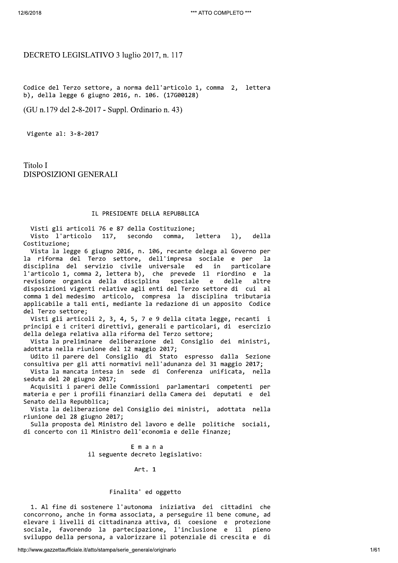# DECRETO LEGISLATIVO 3 luglio 2017, n. 117

Codice del Terzo settore, a norma dell'articolo 1, comma 2, lettera b), della legge 6 giugno 2016, n. 106. (17G00128)

(GU n.179 del 2-8-2017 - Suppl. Ordinario n. 43)

Vigente al: 3-8-2017

Titolo I **DISPOSIZIONI GENERALI** 

# IL PRESIDENTE DELLA REPUBBLICA

Visti gli articoli 76 e 87 della Costituzione; Visto l'articolo 117, secondo comma, lettera  $1$ . della Costituzione;

Vista la legge 6 giugno 2016, n. 106, recante delega al Governo per la riforma del Terzo settore, dell'impresa sociale e per<br>disciplina del servizio civile universale ed in particola la particolare l'articolo 1, comma 2, lettera b), che prevede il riordino e la revisione organica della disciplina speciale e delle altre disposizioni vigenti relative agli enti del Terzo settore di cui al comma 1 del medesimo articolo, compresa la disciplina tributaria applicabile a tali enti, mediante la redazione di un apposito Codice del Terzo settore;

Visti gli articoli 2, 3, 4, 5, 7 e 9 della citata legge, recanti i principi e i criteri direttivi, generali e particolari, di esercizio della delega relativa alla riforma del Terzo settore;

Vista la preliminare deliberazione del Consiglio dei ministri, adottata nella riunione del 12 maggio 2017;

Udito il parere del Consiglio di Stato espresso dalla Sezione consultiva per gli atti normativi nell'adunanza del 31 maggio 2017;

Vista la mancata intesa in sede di Conferenza unificata, nella seduta del 20 giugno 2017;

Acquisiti i pareri delle Commissioni parlamentari competenti per materia e per i profili finanziari della Camera dei deputati e del Senato della Repubblica;

Vista la deliberazione del Consiglio dei ministri, adottata nella riunione del 28 giugno 2017;

Sulla proposta del Ministro del lavoro e delle politiche sociali, di concerto con il Ministro dell'economia e delle finanze;

> Emana il seguente decreto legislativo:

> > Art. 1

# Finalita' ed oggetto

1. Al fine di sostenere l'autonoma iniziativa dei cittadini che concorrono, anche in forma associata, a perseguire il bene comune, ad elevare i livelli di cittadinanza attiva, di coesione e protezione sociale, favorendo la partecipazione, l'inclusione e il pieno sviluppo della persona, a valorizzare il potenziale di crescita e di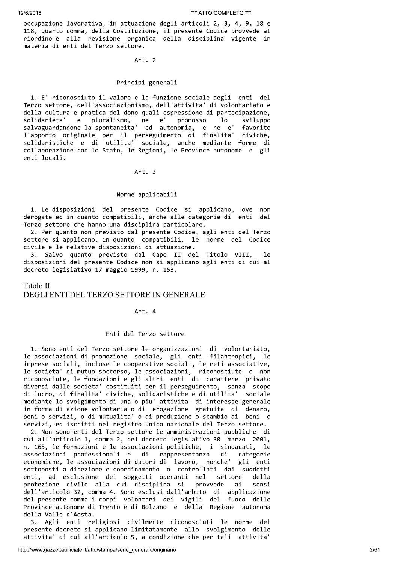occupazione lavorativa, in attuazione degli articoli 2, 3, 4, 9, 18 e 118, quarto comma, della Costituzione, il presente Codice provvede al riordino e alla revisione organica della disciplina vigente in materia di enti del Terzo settore.

Art. 2

# Principi generali

1. E' riconosciuto il valore e la funzione sociale degli enti del Terzo settore, dell'associazionismo, dell'attivita' di volontariato e della cultura e pratica del dono quali espressione di partecipazione, e pluralismo, ne solidarieta'  $e'$ promosso  $1<sub>o</sub>$ sviluppo salvaguardandone la spontaneita' ed autonomia, e ne e' favorito l'apporto originale per il perseguimento di finalita' civiche,<br>solidaristiche e di utilita' sociale, anche mediante forme di collaborazione con lo Stato, le Regioni, le Province autonome e gli enti locali.

Art. 3

#### Norme applicabili

1. Le disposizioni del presente Codice si applicano, ove non derogate ed in quanto compatibili, anche alle categorie di enti del Terzo settore che hanno una disciplina particolare.

2. Per quanto non previsto dal presente Codice, agli enti del Terzo settore si applicano, in quanto compatibili, le norme del Codice civile e le relative disposizioni di attuazione.

3. Salvo quanto previsto dal Capo II del Titolo VIII, disposizioni del presente Codice non si applicano agli enti di cui al decreto legislativo 17 maggio 1999, n. 153.

# Titolo II

# DEGLI ENTI DEL TERZO SETTORE IN GENERALE

# Art. 4

## Enti del Terzo settore

1. Sono enti del Terzo settore le organizzazioni di volontariato,<br>le associazioni di promozione sociale, gli enti filantropici, le<br>imprese sociali, incluse le cooperative sociali, le reti associative, le societa' di mutuo soccorso, le associazioni, riconosciute o non riconosciute, le fondazioni e gli altri enti di carattere privato diversi dalle societa' costituiti per il perseguimento, senza scopo<br>di lucro, di finalita' civiche, solidaristiche e di utilita' sociale mediante lo svolgimento di una o piu' attivita' di interesse generale in forma di azione volontaria o di erogazione gratuita di denaro,<br>beni o servizi, o di mutualita' o di produzione o scambio di beni o servizi, ed iscritti nel registro unico nazionale del Terzo settore.

2. Non sono enti del Terzo settore le amministrazioni pubbliche di cui all'articolo 1, comma 2, del decreto legislativo 30 marzo 2001, n. 165, le formazioni e le associazioni politiche, i sindacati, le associazioni professionali e di rappresentanza di categorie economiche, le associazioni di datori di lavoro, nonche' gli enti sottoposti a direzione e coordinamento o controllati dai suddetti enti, ad esclusione dei soggetti operanti nel settore della protezione civile alla cui disciplina si provvede ai sensi dell'articolo 32, comma 4. Sono esclusi dall'ambito di applicazione del presente comma i corpi volontari dei vigili del fuoco delle Province autonome di Trento e di Bolzano e della Regione autonoma della Valle d'Aosta.

3. Agli enti religiosi civilmente riconosciuti le norme del presente decreto si applicano limitatamente allo svolgimento delle attivita' di cui all'articolo 5, a condizione che per tali attivita'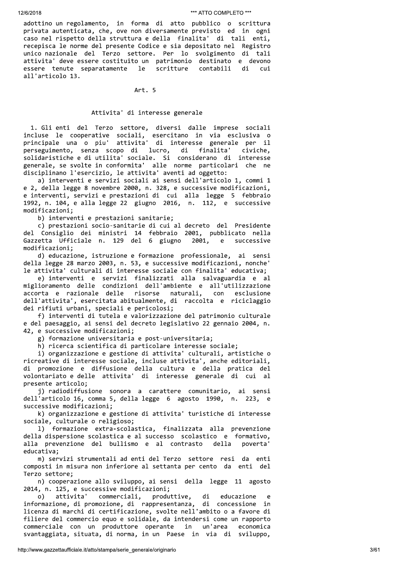adottino un regolamento, in forma di atto pubblico o scrittura privata autenticata, che, ove non diversamente previsto ed in ogni caso nel rispetto della struttura e della finalita' di tali enti, recepisca le norme del presente Codice e sia depositato nel Registro unico nazionale del Terzo settore. Per lo svolgimento di tali attivita' deve essere costituito un patrimonio destinato e devono  $1e$ essere tenute separatamente scritture contabili di cui all'articolo 13.

#### Art. 5

# Attivita' di interesse generale

1. Gli enti del Terzo settore, diversi dalle imprese sociali incluse le cooperative sociali, esercitano in via esclusiva o<br>principale una o piu' attivita' di interesse generale per il perseguimento, senza scopo di lucro, di finalita' civiche, solidaristiche e di utilita' sociale. Si considerano di interesse generale, se svolte in conformita' alle norme particolari che ne disciplinano l'esercizio, le attivita' aventi ad oggetto:

a) interventi e servizi sociali ai sensi dell'articolo 1, commi 1 e 2, della legge 8 novembre 2000, n. 328, e successive modificazioni, e interventi, servizi e prestazioni di cui alla legge 5 febbraio 1992, n. 104, e alla legge 22 giugno 2016, n. 112, e successive modificazioni;

b) interventi e prestazioni sanitarie;

c) prestazioni socio-sanitarie di cui al decreto del Presidente del Consiglio dei ministri 14 febbraio 2001, pubblicato nella Gazzetta Ufficiale n. 129 del 6 giugno 2001,  $\epsilon$ successive modificazioni;

d) educazione, istruzione e formazione professionale, ai sensi della legge 28 marzo 2003, n. 53, e successive modificazioni, nonche' le attivita' culturali di interesse sociale con finalita' educativa;

e) interventi e servizi finalizzati alla salvaguardia e al miglioramento delle condizioni dell'ambiente e all'utilizzazione accorta e razionale delle naturali, risorse con esclusione dell'attivita', esercitata abitualmente, di raccolta e riciclaggio dei rifiuti urbani, speciali e pericolosi;

f) interventi di tutela e valorizzazione del patrimonio culturale e del paesaggio, ai sensi del decreto legislativo 22 gennaio 2004, n. 42, e successive modificazioni;

g) formazione universitaria e post-universitaria;

h) ricerca scientifica di particolare interesse sociale;

i) organizzazione e gestione di attivita' culturali, artistiche o ricreative di interesse sociale, incluse attivita', anche editoriali, di promozione e diffusione della cultura e della pratica del volontariato e delle attivita' di interesse generale di cui al presente articolo;

j) radiodiffusione sonora a carattere comunitario, ai sensi dell'articolo 16, comma 5, della legge 6 agosto 1990, n. 223, e successive modificazioni;

k) organizzazione e gestione di attivita' turistiche di interesse sociale, culturale o religioso;

1) formazione extra-scolastica, finalizzata alla prevenzione della dispersione scolastica e al successo scolastico e formativo, alla prevenzione del bullismo e al contrasto della poverta' educativa;

m) servizi strumentali ad enti del Terzo settore resi da enti composti in misura non inferiore al settanta per cento da enti del Terzo settore;

n) cooperazione allo sviluppo, ai sensi della legge 11 agosto 2014, n. 125, e successive modificazioni;

attivita' commerciali, produttive, di educazione  $\circ$ )  $\epsilon$ informazione, di promozione, di rappresentanza, di concessione in licenza di marchi di certificazione, svolte nell'ambito o a favore di filiere del commercio equo e solidale, da intendersi come un rapporto commerciale con un produttore operante in un'area economica svantaggiata, situata, di norma, in un Paese in via di sviluppo,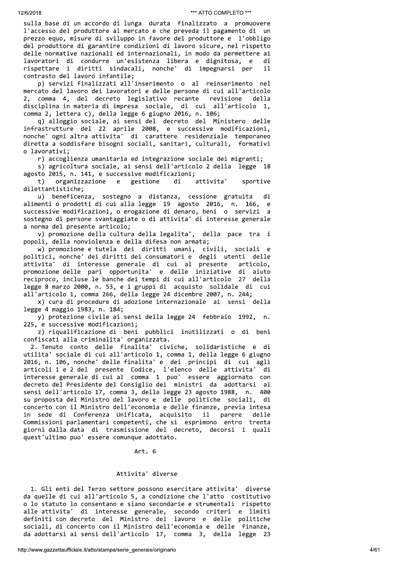sulla base di un accordo di lunga durata finalizzato a promuovere l'accesso del produttore al mercato e che preveda il pagamento di un prezzo equo, misure di sviluppo in favore del produttore e l'obbligo del produttore di garantire condizioni di lavoro sicure, nel rispetto delle normative nazionali ed internazionali, in modo da permettere ai lavoratori di condurre un'esistenza libera e dignitosa, e di rispettare i diritti sindacali, nonche' di impegnarsi per  $\mathbf{i}$ contrasto del lavoro infantile;

p) servizi finalizzati all'inserimento o al reinserimento nel mercato del lavoro dei lavoratori e delle persone di cui all'articolo 2, comma 4, del decreto legislativo recante revisione della disciplina in materia di impresa sociale, di cui all'articolo 1, comma 2, lettera c), della legge 6 giugno 2016, n. 106;

q) alloggio sociale, ai sensi del decreto del Ministero delle infrastrutture del 22 aprile 2008, e successive modificazioni, nonche' ogni altra attivita' di carattere residenziale temporaneo diretta a soddisfare bisogni sociali, sanitari, culturali, formativi o lavorativi;

r) accoglienza umanitaria ed integrazione sociale dei migranti;

s) agricoltura sociale, ai sensi dell'articolo 2 della legge 18 agosto 2015, n. 141, e successive modificazioni;

organizzazione  $t)$ e gestione di attivita' sportive dilettantistiche;

u) beneficenza, sostegno a distanza, cessione gratuita di alimenti o prodotti di cui alla legge 19 agosto 2016, n. 166, e e successive modificazioni, o erogazione di denaro, beni o servizi a sostegno di persone svantaggiate o di attivita' di interesse generale a norma del presente articolo;

v) promozione della cultura della legalita', della pace tra i popoli, della nonviolenza e della difesa non armata;

w) promozione e tutela dei diritti umani, civili, sociali e politici, nonche' dei diritti dei consumatori e degli utenti delle attivita' di interesse generale di cui al presente articolo. promozione delle pari opportunita' e delle iniziative di aiuto reciproco, incluse le banche dei tempi di cui all'articolo 27 della legge 8 marzo 2000, n. 53, e i gruppi di acquisto solidale di cui all'articolo 1, comma 266, della legge 24 dicembre 2007, n. 244;

x) cura di procedure di adozione internazionale ai sensi della legge 4 maggio 1983, n. 184;

y) protezione civile ai sensi della legge 24 febbraio 1992, n. 225, e successive modificazioni;

z) riqualificazione di beni pubblici inutilizzati o di beni confiscati alla criminalita' organizzata.

2. Tenuto conto delle finalita' civiche, solidaristiche e di utilita' sociale di cui all'articolo 1, comma 1, della legge 6 giugno 2016, n. 106, nonche' delle finalita' e dei principi di cui agli articoli 1 e 2 del presente Codice, l'elenco delle attivita' di interesse generale di cui al comma 1 puo' essere aggiornato con decreto del Presidente del Consiglio dei ministri da adottarsi ai sensi dell'articolo 17, comma 3, della legge 23 agosto 1988, n. 400 su proposta del Ministro del lavoro e delle politiche sociali, di concerto con il Ministro dell'economia e delle finanze, previa intesa in sede di Conferenza Unificata, acquisito il parere delle Commissioni parlamentari competenti, che si esprimono entro trenta giorni dalla data di trasmissione del decreto, decorsi i quali quest'ultimo puo' essere comunque adottato.

# Art.  $6$

# Attivita' diverse

1. Gli enti del Terzo settore possono esercitare attivita' diverse da quelle di cui all'articolo 5, a condizione che l'atto costitutivo o lo statuto lo consentano e siano secondarie e strumentali rispetto alle attivita' di interesse generale, secondo criteri e limiti definiti con decreto del Ministro del lavoro e delle politiche sociali, di concerto con il Ministro dell'economia e delle finanze, da adottarsi ai sensi dell'articolo 17, comma 3, della legge 23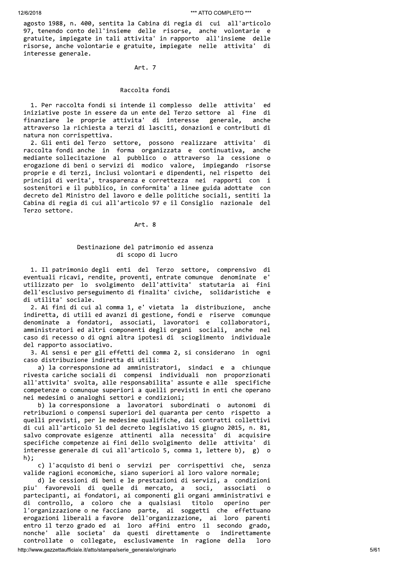agosto 1988, n. 400, sentita la Cabina di regia di cui all'articolo 97, tenendo conto dell'insieme delle risorse, anche volontarie e gratuite, impiegate in tali attivita' in rapporto all'insieme delle risorse, anche volontarie e gratuite, impiegate nelle attivita' di interesse generale.

# Art. 7

#### Raccolta fondi

1. Per raccolta fondi si intende il complesso delle attivita' ed iniziative poste in essere da un ente del Terzo settore al fine di finanziare le proprie attivita' di interesse generale, anche attraverso la richiesta a terzi di lasciti, donazioni e contributi di natura non corrispettiva.

2. Gli enti del Terzo settore, possono realizzare attivita' di raccolta fondi anche in forma organizzata e continuativa, anche mediante sollecitazione al pubblico o attraverso la cessione o erogazione di beni o servizi di modico valore, impiegando risorse proprie e di terzi, inclusi volontari e dipendenti, nel rispetto dei principi di verita', trasparenza e correttezza nei rapporti con i sostenitori e il pubblico, in conformita' a linee guida adottate con decreto del Ministro del lavoro e delle politiche sociali, sentiti la Cabina di regia di cui all'articolo 97 e il Consiglio nazionale del Terzo settore.

Art. 8

# Destinazione del patrimonio ed assenza di scopo di lucro

1. Il patrimonio degli enti del Terzo settore, comprensivo di eventuali ricavi, rendite, proventi, entrate comunque denominate e' utilizzato per lo svolgimento dell'attivita' statutaria ai fini dell'esclusivo perseguimento di finalita' civiche, solidaristiche e di utilita' sociale.

2. Ai fini di cui al comma 1, e' vietata la distribuzione, anche indiretta, di utili ed avanzi di gestione, fondi e riserve comunque denominate a fondatori, associati, lavoratori e collaboratori, amministratori ed altri componenti degli organi sociali, anche nel caso di recesso o di ogni altra ipotesi di scioglimento individuale del rapporto associativo.

3. Ai sensi e per gli effetti del comma 2, si considerano in ogni caso distribuzione indiretta di utili:

a) la corresponsione ad amministratori, sindaci e a chiunque rivesta cariche sociali di compensi individuali non proporzionati all'attivita' svolta, alle responsabilita' assunte e alle specifiche competenze o comunque superiori a quelli previsti in enti che operano nei medesimi o analoghi settori e condizioni;

b) la corresponsione a lavoratori subordinati o autonomi di retribuzioni o compensi superiori del quaranta per cento rispetto a quelli previsti, per le medesime qualifiche, dai contratti collettivi di cui all'articolo 51 del decreto legislativo 15 giugno 2015, n. 81, salvo comprovate esigenze attinenti alla necessita' di acquisire specifiche competenze ai fini dello svolgimento delle attivita' di interesse generale di cui all'articolo 5, comma 1, lettere b),  $g$ ) o  $h)$ :

c) l'acquisto di beni o servizi per corrispettivi che, senza valide ragioni economiche, siano superiori al loro valore normale;

d) le cessioni di beni e le prestazioni di servizi, a condizioni piu' favorevoli di quelle di mercato, a soci, associati  $\Omega$ partecipanti, ai fondatori, ai componenti gli organi amministrativi e di controllo, a coloro che a qualsiasi titolo operino per l'organizzazione o ne facciano parte, ai soggetti che effettuano erogazioni liberali a favore dell'organizzazione, ai loro parenti entro il terzo grado ed ai loro affini entro il secondo grado,<br>nonche' alle societa' da questi direttamente o indirettamente controllate o collegate, esclusivamente in ragione della loro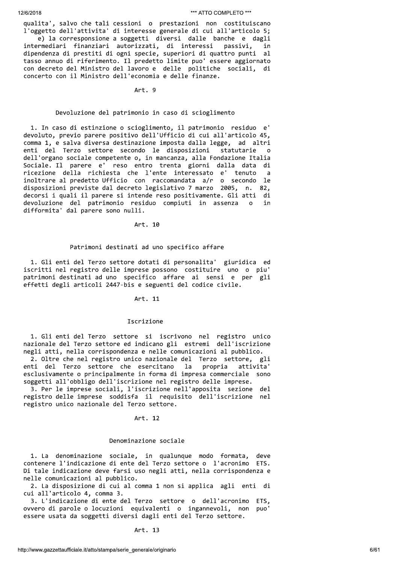3000111. Saint de Bali cesteini a pentrate al contentius componentista.<br>
1. Saint de Bali cesteini e international de la liberational de la liberational de la liberational de la liberational de la liberational de la liber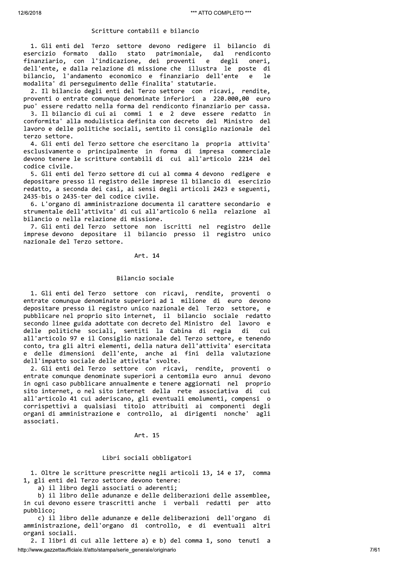#### Scritture contabili e bilancio

1. Gli enti del Terzo settore devono redigere il bilancio di esercizio formato dallo stato patrimoniale, dal rendiconto finanziario, con l'indicazione, dei proventi e degli oneri, dell'ente, e dalla relazione di missione che illustra le poste di bilancio, l'andamento economico e finanziario dell'ente e le modalita' di perseguimento delle finalita' statutarie.

2. Il bilancio degli enti del Terzo settore con ricavi, rendite, proventi o entrate comunque denominate inferiori a 220.000,00 euro puo' essere redatto nella forma del rendiconto finanziario per cassa.

3. Il bilancio di cui ai commi 1 e 2 deve essere redatto in conformita' alla modulistica definita con decreto del Ministro del lavoro e delle politiche sociali, sentito il consiglio nazionale del terzo settore.

4. Gli enti del Terzo settore che esercitano la propria attivita' esclusivamente o principalmente in forma di impresa commerciale devono tenere le scritture contabili di cui all'articolo 2214 del codice civile.

5. Gli enti del Terzo settore di cui al comma 4 devono redigere e depositare presso il registro delle imprese il bilancio di esercizio redatto, a seconda dei casi, ai sensi degli articoli 2423 e seguenti, 2435-bis o 2435-ter del codice civile.

6. L'organo di amministrazione documenta il carattere secondario e strumentale dell'attivita' di cui all'articolo 6 nella relazione al bilancio o nella relazione di missione.

7. Gli enti del Terzo settore non iscritti nel registro delle imprese devono depositare il bilancio presso il registro unico nazionale del Terzo settore.

## Art. 14

#### Bilancio sociale

1. Gli enti del Terzo settore con ricavi, rendite, proventi o entrate comunque denominate superiori ad 1 milione di euro devono depositare presso il registro unico nazionale del Terzo settore, e pubblicare nel proprio sito internet, il bilancio sociale redatto secondo linee guida adottate con decreto del Ministro del lavoro e delle politiche sociali, sentiti la Cabina di regia di  $cui$ all'articolo 97 e il Consiglio nazionale del Terzo settore, e tenendo conto, tra gli altri elementi, della natura dell'attivita' esercitata e delle dimensioni dell'ente, anche ai fini della valutazione dell'impatto sociale delle attivita' svolte.

2. Gli enti del Terzo settore con ricavi, rendite, proventi o entrate comunque denominate superiori a centomila euro annui devono in ogni caso pubblicare annualmente e tenere aggiornati nel proprio sito internet, o nel sito internet della rete associativa di cui all'articolo 41 cui aderiscano, gli eventuali emolumenti, compensi o corrispettivi a qualsiasi titolo attribuiti ai componenti degli organi di amministrazione e controllo, ai dirigenti nonche' agli associati.

# Art. 15

# Libri sociali obbligatori

1. Oltre le scritture prescritte negli articoli 13, 14 e 17, comma 1, gli enti del Terzo settore devono tenere:

a) il libro degli associati o aderenti:

b) il libro delle adunanze e delle deliberazioni delle assemblee. in cui devono essere trascritti anche i verbali redatti per atto pubblico:

c) il libro delle adunanze e delle deliberazioni dell'organo di amministrazione, dell'organo di controllo, e di eventuali altri organi sociali.

2. I libri di cui alle lettere a) e b) del comma 1, sono tenuti a http://www.gazzettaufficiale.it/atto/stampa/serie\_generale/originario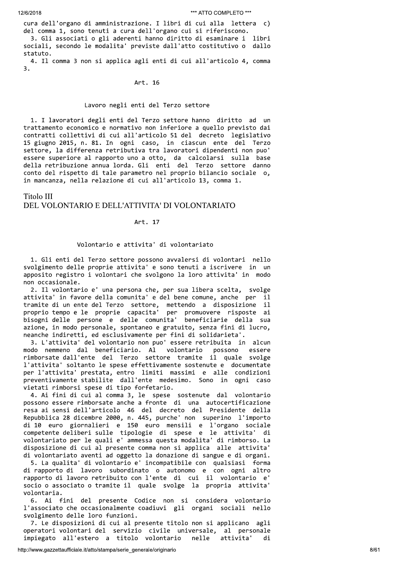cura dell'organo di amministrazione. I libri di cui alla lettera c) del comma 1, sono tenuti a cura dell'organo cui si riferiscono. 3. Gli associati o gli aderenti hanno diritto di esaminare i libri sociali, secondo le modalita' previste dall'atto costitutivo o dallo statuto.

4. Il comma 3 non si applica agli enti di cui all'articolo 4, comma  $\overline{\mathbf{3}}$ .

#### Art. 16

#### Lavoro negli enti del Terzo settore

1. I lavoratori degli enti del Terzo settore hanno diritto ad un trattamento economico e normativo non inferiore a quello previsto dai contratti collettivi di cui all'articolo 51 del decreto legislativo 15 giugno 2015, n. 81. In ogni caso, in ciascun ente del Terzo settore, la differenza retributiva tra lavoratori dipendenti non puo' essere superiore al rapporto uno a otto, da calcolarsi sulla base della retribuzione annua lorda. Gli enti del Terzo settore danno conto del rispetto di tale parametro nel proprio bilancio sociale o, in mancanza, nella relazione di cui all'articolo 13, comma 1.

# Titolo III DEL VOLONTARIO E DELL'ATTIVITA' DI VOLONTARIATO

# Art. 17

# Volontario e attivita' di volontariato

1. Gli enti del Terzo settore possono avvalersi di volontari nello svolgimento delle proprie attivita' e sono tenuti a iscrivere in un apposito registro i volontari che svolgono la loro attivita' in modo non occasionale.

2. Il volontario e' una persona che, per sua libera scelta, svolge attivita' in favore della comunita' e del bene comune, anche per il tramite di un ente del Terzo settore, mettendo a disposizione il proprio tempo e le proprie capacita' per promuovere risposte ai bisogni delle persone e delle comunita' beneficiarie della sua azione, in modo personale, spontaneo e gratuito, senza fini di lucro, neanche indiretti, ed esclusivamente per fini di solidarieta'.

3. L'attivita' del volontario non puo' essere retribuita in alcun volontario modo nemmeno dal beneficiario. Al possono essere rimborsate dall'ente del Terzo settore tramite il quale svolge l'attivita' soltanto le spese effettivamente sostenute e documentate per l'attivita' prestata, entro limiti massimi e alle condizioni preventivamente stabilite dall'ente medesimo. Sono in ogni caso vietati rimborsi spese di tipo forfetario.

4. Ai fini di cui al comma 3, le spese sostenute dal volontario possono essere rimborsate anche a fronte di una autocertificazione resa ai sensi dell'articolo 46 del decreto del Presidente della Repubblica 28 dicembre 2000, n. 445, purche' non superino l'importo di 10 euro giornalieri e 150 euro mensili e l'organo sociale competente deliberi sulle tipologie di spese e le attivita' di volontariato per le quali e' ammessa questa modalita' di rimborso. La disposizione di cui al presente comma non si applica alle attivita' di volontariato aventi ad oggetto la donazione di sangue e di organi.

5. La qualita' di volontario e' incompatibile con qualsiasi forma di rapporto di lavoro subordinato o autonomo e con ogni altro rapporto di lavoro retribuito con l'ente di cui il volontario e' socio o associato o tramite il quale svolge la propria attivita' volontaria.

6. Ai fini del presente Codice non si considera volontario l'associato che occasionalmente coadiuvi gli organi sociali nello svolgimento delle loro funzioni.

7. Le disposizioni di cui al presente titolo non si applicano agli operatori volontari del servizio civile universale, al personale impiegato all'estero a titolo volontario nelle attivita' di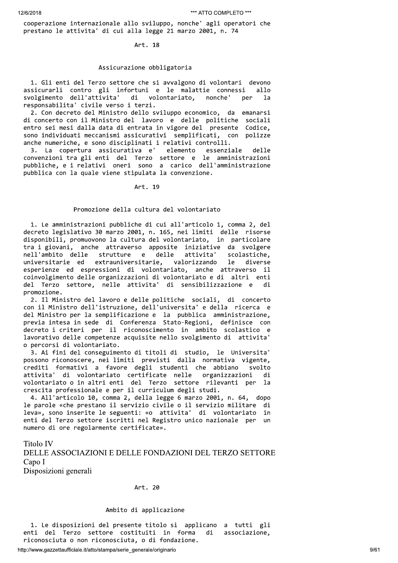cooperazione internazionale allo sviluppo, nonche' agli operatori che prestano le attivita' di cui alla legge 21 marzo 2001, n. 74

Art. 18

## Assicurazione obbligatoria

1. Gli enti del Terzo settore che si avvalgono di volontari devono assicurarli contro gli infortuni e le malattie connessi allo svolgimento dell'attivita' di volontariato, nonche' ner  $1a$ responsabilita' civile verso i terzi.

2. Con decreto del Ministro dello sviluppo economico, da emanarsi di concerto con il Ministro del lavoro e delle politiche sociali entro sei mesi dalla data di entrata in vigore del presente Codice, sono individuati meccanismi assicurativi semplificati, con polizze anche numeriche, e sono disciplinati i relativi controlli.

3. La copertura assicurativa e' elemento essenziale delle convenzioni tra gli enti del Terzo settore e le amministrazioni pubbliche, e i relativi oneri sono a carico dell'amministrazione pubblica con la quale viene stipulata la convenzione.

Art. 19

# Promozione della cultura del volontariato

1. Le amministrazioni pubbliche di cui all'articolo 1, comma 2, del decreto legislativo 30 marzo 2001, n. 165, nei limiti delle risorse disponibili, promuovono la cultura del volontariato, in particolare tra i giovani, anche attraverso apposite iniziative da svolgere nell'ambito delle strutture e delle attivita' scolastiche, universitarie ed extrauniversitarie, valorizzando le diverse esperienze ed espressioni di volontariato, anche attraverso il coinvolgimento delle organizzazioni di volontariato e di altri enti del Terzo settore, nelle attivita' di sensibilizzazione e di promozione.

2. Il Ministro del lavoro e delle politiche sociali, di concerto con il Ministro dell'istruzione, dell'universita' e della ricerca e del Ministro per la semplificazione e la pubblica amministrazione,<br>previa intesa in sede di Conferenza Stato-Regioni, definisce con decreto i criteri per il riconoscimento in ambito scolastico e lavorativo delle competenze acquisite nello svolgimento di attivita' o percorsi di volontariato.

3. Ai fini del conseguimento di titoli di studio, le Universita' possono riconoscere, nei limiti previsti dalla normativa vigente, crediti formativi a favore degli studenti che abbiano svolto attivita' di volontariato certificate nelle organizzazioni di volontariato o in altri enti del Terzo settore rilevanti per -la crescita professionale e per il curriculum degli studi.

4. All'articolo 10, comma 2, della legge 6 marzo 2001, n. 64, dopo le parole «che prestano il servizio civile o il servizio militare di leva», sono inserite le seguenti: «o attivita' di volontariato in enti del Terzo settore iscritti nel Registro unico nazionale per un numero di ore regolarmente certificate».

**Titolo IV** 

DELLE ASSOCIAZIONI E DELLE FONDAZIONI DEL TERZO SETTORE Capo I

Disposizioni generali

# Art. 20

## Ambito di applicazione

1. Le disposizioni del presente titolo si applicano a tutti gli enti del Terzo settore costituiti in forma di associazione, riconosciuta o non riconosciuta, o di fondazione.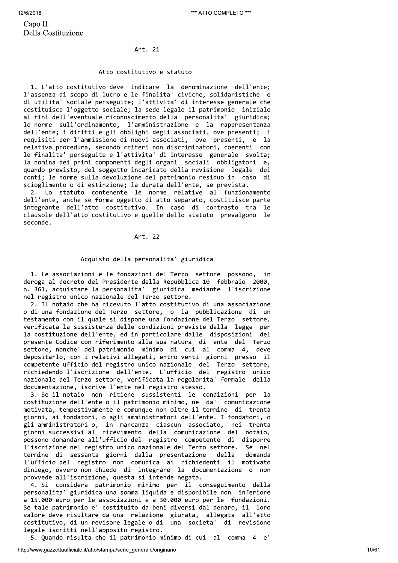12/6/2

# Art. 21

# Atto costitutivo e statuto

12/6/2018<br>
Capo II<br>
Della Costituzione<br>
Atto<br>
1. L'atto costitutivo d<br>
l'assenza di scopo di luc<br>
di utilita' sociale perse 1. L'atto costitutivo deve indicare la denominazione dell'ente; l'assenza di scopo di lucro e le finalita' civiche, solidaristiche e di utilita' sociale perseguite; l'attivita' di interesse generale che costituisce l'oggetto sociale; la sede legale il patrimonio iniziale ai fini dell'eventuale riconoscimento della personalita' giuridica; le norme sull'ordinamento, l'amministrazione e la rappresentanza dell'ente; i diritti e gli obblighi degli associati, ove presenti; i requisiti per l'ammissione di nuovi associati, ove presenti, e la relativa procedura, secondo criteri non discriminatori, coerenti con le finalita' perseguite e l'attivita' di interesse generale svolta; la nomina dei primi componenti degli organi sociali obbligatori e, quando previsto, del soggetto incaricato della revisione legale dei conti; le norme sulla devoluzione del patrimonio residuo in caso di scioglimento o di estinzione; la durata dell'ente, se prevista.

> 2. Lo statuto contenente le norme relative al funzionamento dell'ente, anche se forma oggetto di atto separato, costituisce parte integrante dell'atto costitutivo. In caso di contrasto tra le clausole dell'atto costitutivo e quelle dello statuto prevalgono le seconde.

# Art. 22

# Acquisto della personalita' giuridica

1. Le associazioni e le fondazioni del Terzo settore possono, in deroga al decreto del Presidente della Repubblica 10 febbraio 2000, n. 361, acquistare la personalita' giuridica mediante l'iscrizione nel registro unico nazionale del Terzo settore.

2. Il notaio che ha ricevuto l'atto costitutivo di una associazione o di una fondazione del Terzo settore, o la pubblicazione di un testamento con il quale si dispone una fondazione del Terzo settore. verificata la sussistenza delle condizioni previste dalla legge per la costituzione dell'ente, ed in particolare dalle disposizioni del presente Codice con riferimento alla sua natura di ente del Terzo settore, nonche' del patrimonio minimo di cui al comma 4, deve depositarlo, con i relativi allegati, entro venti giorni presso il competente ufficio del registro unico nazionale del Terzo settore, richiedendo l'iscrizione dell'ente. L'ufficio del registro unico nazionale del Terzo settore, verificata la regolarita' formale della documentazione, iscrive l'ente nel registro stesso.

3. Se il notaio non ritiene sussistenti le condizioni per la costituzione dell'ente o il patrimonio minimo, ne da' comunicazione motivata, tempestivamente e comunque non oltre il termine di trenta giorni, ai fondatori, o agli amministratori dell'ente. I fondatori, o  $\bar{\mathbf{z}}$ li amministratori o, in mancanza ciascun associato, nei trenta  $\frac{1}{2}$ eiorni successivi al ricevimento della comunicazione del notaio. possono domandare all'ufficio del registro competente di disporre l'iscrizione nel registro unico nazionale del Terzo settore. Se nel termine di sessanta giorni dalla presentazione della domanda l'ufficio del registro non comunica ai richiedenti il motivato diniego, ovvero non chiede di integrare la documentazione o non provvede all'iscrizione, questa si intende negata.

4. Si considera patrimonio minimo per il conseguimento della personalita' giuridica una somma liquida e disponibile non inferiore a 15.000 euro per le associazioni e a 30.000 euro per le fondazioni. Se tale patrimonio e' costituito da beni diversi dal denaro, il loro valore deve risultare da una relazione giurata, allegata all'atto costitutivo, di un revisore legale o di una societa' di revisione legale iscritti nell'apposito registro.

5. Quando risulta che il patrimonio minimo di cui al comma 4 e'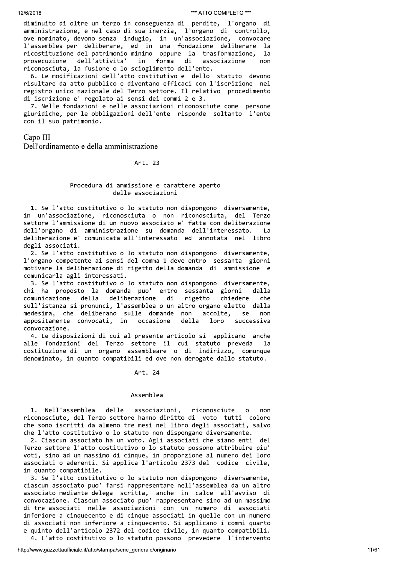diminuito di oltre un terzo in conseguenza di perdite, l'organo di amministrazione, e nel caso di sua inerzia, l'organo di controllo, ove nominato, devono senza indugio, in un'associazione, convocare l'assemblea per deliberare, ed in una fondazione deliberare la ricostituzione del patrimonio minimo oppure la trasformazione, la forma prosecuzione dell'attivita' in di associazione non riconosciuta, la fusione o lo scioglimento dell'ente.

6. Le modificazioni dell'atto costitutivo e dello statuto devono risultare da atto pubblico e diventano efficaci con l'iscrizione nel registro unico nazionale del Terzo settore. Il relativo procedimento di iscrizione e' regolato ai sensi dei commi 2 e 3.

7. Nelle fondazioni e nelle associazioni riconosciute come persone giuridiche, per le obbligazioni dell'ente risponde soltanto l'ente con il suo patrimonio.

Capo III

Dell'ordinamento e della amministrazione

Art. 23

# Procedura di ammissione e carattere aperto delle associazioni

1. Se l'atto costitutivo o lo statuto non dispongono diversamente, in un'associazione, riconosciuta o non riconosciuta, del Terzo settore l'ammissione di un nuovo associato e' fatta con deliberazione dell'organo di amministrazione su domanda dell'interessato.  $La$ deliberazione e' comunicata all'interessato ed annotata nel libro degli associati.

2. Se l'atto costitutivo o lo statuto non dispongono diversamente, l'organo competente ai sensi del comma 1 deve entro sessanta giorni motivare la deliberazione di rigetto della domanda di ammissione e comunicarla agli interessati.

3. Se l'atto costitutivo o lo statuto non dispongono diversamente, chi ha proposto la domanda puo' entro sessanta giorni dalla comunicazione della deliberazione di rigetto chiedere  $che$ sull'istanza si pronunci, l'assemblea o un altro organo eletto dalla medesima, che deliberano sulle domande non accolte, Se non appositamente convocati, in occasione della loro successiva convocazione.

4. Le disposizioni di cui al presente articolo si applicano anche alle fondazioni del Terzo settore il cui statuto preveda 1a costituzione di un organo assembleare o di indirizzo, comunque denominato, in quanto compatibili ed ove non derogate dallo statuto.

Art. 24

# Assemblea

1. Nell'assemblea delle associazioni, riconosciute  $\circ$ non riconosciute, del Terzo settore hanno diritto di voto tutti coloro che sono iscritti da almeno tre mesi nel libro degli associati, salvo che l'atto costitutivo o lo statuto non dispongano diversamente.

2. Ciascun associato ha un voto. Agli associati che siano enti del Terzo settore l'atto costitutivo o lo statuto possono attribuire piu' voti, sino ad un massimo di cinque, in proporzione al numero dei loro associati o aderenti. Si applica l'articolo 2373 del codice civile, in quanto compatibile.

3. Se l'atto costitutivo o lo statuto non dispongono diversamente, ciascun associato puo' farsi rappresentare nell'assemblea da un altro associato mediante delega scritta, anche in calce all'avviso di convocazione. Ciascun associato puo' rappresentare sino ad un massimo di tre associati nelle associazioni con un numero di associati inferiore a cinquecento e di cinque associati in quelle con un numero di associati non inferiore a cinquecento. Si applicano i commi quarto e quinto dell'articolo 2372 del codice civile, in quanto compatibili. 4. L'atto costitutivo o lo statuto possono prevedere l'intervento

http://www.gazzettaufficiale.it/atto/stampa/serie\_generale/originario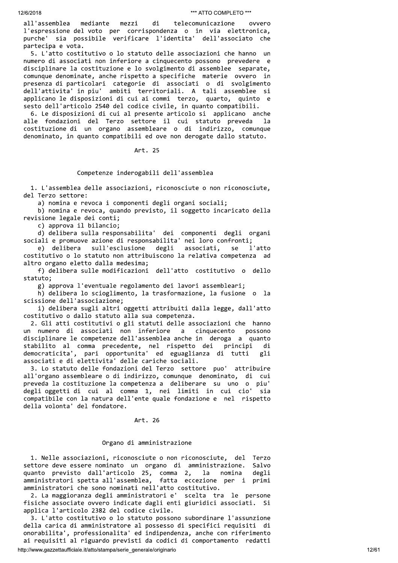mediante all'assemblea ovvero mezzi di telecomunicazione l'espressione del voto per corrispondenza o in via elettronica, purche' sia possibile verificare l'identita' dell'associato che partecipa e vota.

5. L'atto costitutivo o lo statuto delle associazioni che hanno un numero di associati non inferiore a cinquecento possono prevedere e disciplinare la costituzione e lo svolgimento di assemblee separate, comunque denominate, anche rispetto a specifiche materie ovvero in presenza di particolari categorie di associati o di svolgimento dell'attivita' in piu' ambiti territoriali. A tali assemblee si applicano le disposizioni di cui ai commi terzo, quarto, quinto e sesto dell'articolo 2540 del codice civile, in quanto compatibili.

6. Le disposizioni di cui al presente articolo si applicano anche alle fondazioni del Terzo settore il cui statuto preveda la costituzione di un organo assembleare o di indirizzo, comunque denominato, in quanto compatibili ed ove non derogate dallo statuto.

# Art. 25

## Competenze inderogabili dell'assemblea

1. L'assemblea delle associazioni, riconosciute o non riconosciute, del Terzo settore:

a) nomina e revoca i componenti degli organi sociali;

b) nomina e revoca, quando previsto, il soggetto incaricato della revisione legale dei conti;

c) approva il bilancio;

d) delibera sulla responsabilita' dei componenti degli organi sociali e promuove azione di responsabilita' nei loro confronti;

e) delibera sull'esclusione degli associati, **SA** l'atto costitutivo o lo statuto non attribuiscono la relativa competenza ad altro organo eletto dalla medesima;

f) delibera sulle modificazioni dell'atto costitutivo o dello statuto;

g) approva l'eventuale regolamento dei lavori assembleari;

h) delibera lo scioglimento, la trasformazione, la fusione o la scissione dell'associazione;

i) delibera sugli altri oggetti attribuiti dalla legge, dall'atto costitutivo o dallo statuto alla sua competenza.

2. Gli atti costitutivi o gli statuti delle associazioni che hanno un numero di associati non inferiore a cinquecento possono disciplinare le competenze dell'assemblea anche in deroga a quanto principi stabilito al comma precedente, nel rispetto dei di democraticita', pari opportunita' ed eguaglianza di tutti gli associati e di elettivita' delle cariche sociali.

3. Lo statuto delle fondazioni del Terzo settore puo' attribuire all'organo assembleare o di indirizzo, comunque denominato, di cui preveda la costituzione la competenza a deliberare su uno o piu' degli oggetti di cui al comma 1, nei limiti in cui cio' sia compatibile con la natura dell'ente quale fondazione e nel rispetto della volonta' del fondatore.

# Art. 26

# Organo di amministrazione

1. Nelle associazioni, riconosciute o non riconosciute, del Terzo settore deve essere nominato un organo di amministrazione. Salvo quanto previsto dall'articolo 25, comma 2, la nomina<br>amministratori spetta-all'assemblea, fatta eccezione per i degli primi amministratori che sono nominati nell'atto costitutivo.

2. La maggioranza degli amministratori e' scelta tra le persone fisiche associate ovvero indicate dagli enti giuridici associati. Si applica l'articolo 2382 del codice civile.

3. L'atto costitutivo o lo statuto possono subordinare l'assunzione della carica di amministratore al possesso di specifici requisiti di onorabilita', professionalita' ed indipendenza, anche con riferimento ai requisiti al riguardo previsti da codici di comportamento redatti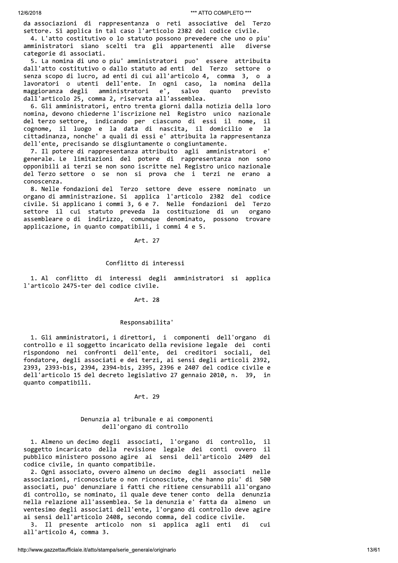da associazioni di rappresentanza o reti associative del Terzo settore. Si applica in tal caso l'articolo 2382 del codice civile.

4. L'atto costitutivo o lo statuto possono prevedere che uno o piu' amministratori siano scelti tra gli appartenenti alle diverse categorie di associati.

5. La nomina di uno o piu' amministratori puo' essere attribuita dall'atto costitutivo o dallo statuto ad enti del Terzo settore o senza scopo di lucro, ad enti di cui all'articolo 4, comma 3, o a lavoratori o utenti dell'ente. In ogni caso, la nomina della  $e^{\prime}$ , maggioranza degli amministratori quanto salvo previsto dall'articolo 25, comma 2, riservata all'assemblea.

6. Gli amministratori, entro trenta giorni dalla notizia della loro nomina, devono chiederne l'iscrizione nel Registro unico nazionale del terzo settore, indicando per ciascuno di essi il nome, il cognome, il luogo e la data di nascita, il domicilio e la cittadinanza, nonche' a quali di essi e' attribuita la rappresentanza dell'ente, precisando se disgiuntamente o congiuntamente.

7. Il potere di rappresentanza attribuito agli amministratori e' generale. Le limitazioni del potere di rappresentanza non sono opponibili ai terzi se non sono iscritte nel Registro unico nazionale del Terzo settore o se non si prova che i terzi ne erano a conoscenza.

8. Nelle fondazioni del Terzo settore deve essere nominato un organo di amministrazione. Si applica l'articolo 2382 del codice civile. Si applicano i commi 3, 6 e 7. Nelle fondazioni del Terzo settore il cui statuto preveda la costituzione di un organo assembleare o di indirizzo, comunque denominato, possono trovare applicazione, in quanto compatibili, i commi 4 e 5.

#### Art. 27

# Conflitto di interessi

1. Al conflitto di interessi degli amministratori si applica l'articolo 2475-ter del codice civile.

# Art. 28

#### Responsabilita'

1. Gli amministratori, i direttori, i componenti dell'organo di controllo e il soggetto incaricato della revisione legale dei conti rispondono nei confronti dell'ente, dei creditori sociali, del<br>fondatore, degli associati e dei terzi, ai sensi degli articoli 2392, 2393, 2393-bis, 2394, 2394-bis, 2395, 2396 e 2407 del codice civile e dell'articolo 15 del decreto legislativo 27 gennaio 2010, n. 39, in quanto compatibili.

#### Art. 29

# Denunzia al tribunale e ai componenti dell'organo di controllo

1. Almeno un decimo degli associati, l'organo di controllo, il soggetto incaricato della revisione legale dei conti ovvero il pubblico ministero possono agire ai sensi dell'articolo 2409 del codice civile, in quanto compatibile.

2. Ogni associato, ovvero almeno un decimo degli associati nelle associazioni, riconosciute o non riconosciute, che hanno piu' di 500 associati, puo' denunziare i fatti che ritiene censurabili all'organo di controllo, se nominato, il quale deve tener conto della denunzia nella relazione all'assemblea. Se la denunzia e' fatta da almeno un ventesimo degli associati dell'ente, l'organo di controllo deve agire ai sensi dell'articolo 2408, secondo comma, del codice civile.

3. Il presente articolo non si applica agli enti di cui all'articolo 4, comma 3.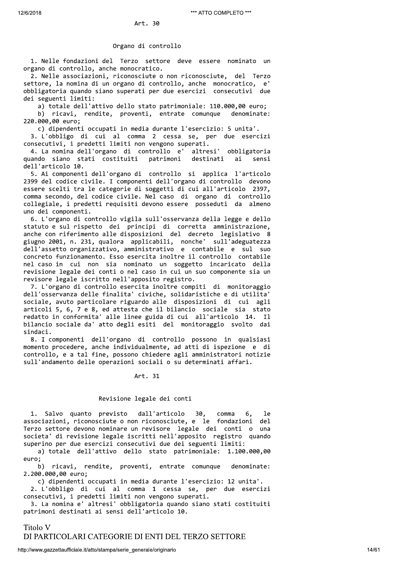### Organo di controllo

1. Nelle fondazioni del Terzo settore deve essere nominato un organo di controllo, anche monocratico.

2. Nelle associazioni, riconosciute o non riconosciute, del Terzo settore, la nomina di un organo di controllo, anche monocratico, e' obbligatoria quando siano superati per due esercizi consecutivi due dei seguenti limiti:

a) totale dell'attivo dello stato patrimoniale: 110.000,00 euro; b) ricavi, rendite, proventi, entrate comunque denominate:

220.000,00 euro; c) dipendenti occupati in media durante l'esercizio: 5 unita'.

3. L'obbligo di cui al comma 2 cessa se, per due esercizi consecutivi, i predetti limiti non vengono superati.

4. La nomina dell'organo di controllo e' altresi' obbligatoria quando siano stati costituiti patrimoni destinati ai sensi dell'articolo 10.

5. Ai componenti dell'organo di controllo si applica l'articolo 2399 del codice civile. I componenti dell'organo di controllo devono essere scelti tra le categorie di soggetti di cui all'articolo 2397, comma secondo, del codice civile. Nel caso di organo di controllo collegiale, i predetti requisiti devono essere posseduti da almeno uno dei componenti.

6. L'organo di controllo vigila sull'osservanza della legge e dello statuto e sul rispetto dei principi di corretta amministrazione, anche con riferimento alle disposizioni del decreto legislativo 8 giugno 2001, n. 231, qualora applicabili, nonche' sull'adeguatezza dell'assetto organizzativo, amministrativo e contabile e sul suo concreto funzionamento. Esso esercita inoltre il controllo contabile nel caso in cui non sia nominato un soggetto incaricato della revisione legale dei conti o nel caso in cui un suo componente sia un revisore legale iscritto nell'apposito registro.

7. L'organo di controllo esercita inoltre compiti di monitoraggio dell'osservanza delle finalita' civiche, solidaristiche e di utilita' sociale, avuto particolare riguardo alle disposizioni di cui agli articoli 5, 6, 7 e 8, ed attesta che il bilancio sociale sia stato redatto in conformita' alle linee guida di cui all'articolo 14. Il bilancio sociale da' atto degli esiti del monitoraggio svolto dai sindaci.

8. I componenti dell'organo di controllo possono in qualsiasi momento procedere, anche individualmente, ad atti di ispezione e di controllo, e a tal fine, possono chiedere agli amministratori notizie sull'andamento delle operazioni sociali o su determinati affari.

# Art. 31

# Revisione legale dei conti

1. Salvo quanto previsto dall'articolo 30,  $comma$ <sup>1e</sup> 6, associazioni, riconosciute o non riconosciute, e le fondazioni del Terzo settore devono nominare un revisore legale dei conti o una societa' di revisione legale iscritti nell'apposito registro quando superino per due esercizi consecutivi due dei seguenti limiti:

a) totale dell'attivo dello stato patrimoniale: 1.100.000,00 euro:

b) ricavi, rendite, proventi, entrate comunque denominate: 2.200.000,00 euro;

c) dipendenti occupati in media durante l'esercizio: 12 unita'. 2. L'obbligo di cui al comma 1 cessa se, per due esercizi consecutivi, i predetti limiti non vengono superati.

3. La nomina e' altresi' obbligatoria quando siano stati costituiti patrimoni destinati ai sensi dell'articolo 10.

Titolo V DI PARTICOLARI CATEGORIE DI ENTI DEL TERZO SETTORE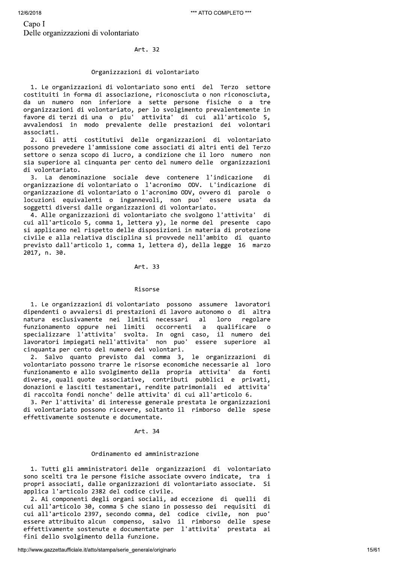# Organizzazioni di volontariato

\*\*\* ATT<br>
Capo I<br>
Delle organizzazioni di volontariato<br>
Art. 32<br>
Organizzazioni di volontariato<br>
1. Le organizzazioni di volontariato sono enti de<br>
costituiti in forma di associazione, riconosciuta o<br>
da un numero non infer 1. Le organizzazioni di volontariato sono enti del Terzo settore costituiti in forma di associazione, riconosciuta o non riconosciuta, da un numero non inferiore a sette persone fisiche o a tre organizzazioni di volontariato, per lo svolgimento prevalentemente in favore di terzi di una o piu' attivita' di cui all'articolo 5, avvalendosi in modo prevalente delle prestazioni dei volontari associati.

> 2. Gli atti costitutivi delle organizzazioni di volontariato possono prevedere l'ammissione come associati di altri enti del Terzo settore o senza scopo di lucro, a condizione che il loro numero non sia superiore al cinquanta per cento del numero delle organizzazioni di volontariato.

> 3. La denominazione sociale deve contenere l'indicazione di organizzazione di volontariato o l'acronimo ODV. L'indicazione di organizzazione di volontariato o l'acronimo ODV, ovvero di parole o locuzioni equivalenti o ingannevoli, non puo' essere usata da soggetti diversi dalle organizzazioni di volontariato.

> 4. Alle organizzazioni di volontariato che svolgono l'attivita' di cui all'articolo 5, comma 1, lettera y), le norme del presente capo si applicano nel rispetto delle disposizioni in materia di protezione civile e alla relativa disciplina si provvede nell'ambito di quanto previsto dall'articolo 1, comma 1, lettera d), della legge 16 marzo 2017, n. 30.

# Art. 33

# 777777777777777777777777777777777aBKD9KJ77

1. Le organizzazioni di volontariato possono assumere lavoratori dipendenti o avvalersi di prestazioni di lavoro autonomo o di altra natura esclusivamente nei limiti necessari al loro regolare funzionamento oppure nei limiti occorrenti a qualificare o specializzare l'attivita' svolta. In ogni caso, il numero dei lavoratori impiegati nell'attivita' non puo' essere superiore al cinquanta per cento del numero dei volontari.

2. Salvo quanto previsto dal comma 3, le organizzazioni di volontariato possono trarre le risorse economiche necessarie al loro funzionamento e allo svolgimento della propria attivita' da fonti diverse, quali quote associative, contributi pubblici e privati, donazioni e lasciti testamentari, rendite patrimoniali ed attivita' di raccolta fondi nonche' delle attivita' di cui all'articolo 6.

3. Per l'attivita' di interesse generale prestata le organizzazioni di volontariato possono ricevere, soltanto il rimborso delle spese effettivamente sostenute e documentate.

#### Art. 34

# Ordinamento ed amministrazione

1. Tutti gli amministratori delle organizzazioni di volontariato sono scelti tra le persone fisiche associate ovvero indicate, tra i propri associati, dalle organizzazioni di volontariato associate. Si applica l'articolo 2382 del codice civile.

2. Ai componenti degli organi sociali, ad eccezione di quelli di cui all'articolo 30, comma 5 che siano in possesso dei requisiti di cui all'articolo 2397, secondo comma, del codice civile, non puo' essere attribuito alcun compenso, salvo il rimborso delle spese effettivamente sostenute e documentate per l'attivita' prestata ai fini dello svolgimento della funzione.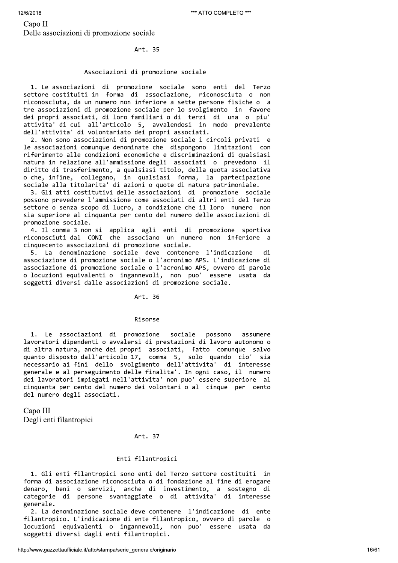# Associazioni di promozione sociale

%12/6/2018<br>
Capo II<br>
Delle associazioni di promozione sociale<br>
Art. 35<br>
Associazioni di promozione<br>
1. Le associazioni di promozione socia<br>
settore costituiti in forma di associaz<br>
riconosciuta, da un numero non inferiore<br> 1. Le associazioni di promozione sociale sono enti del Terzo settore costituiti in forma di associazione, riconosciuta o non riconosciuta, da un numero non inferiore a sette persone fisiche o a tre associazioni di promozione sociale per lo svolgimento in favore dei propri associati, di loro familiari o di terzi di una o piu' attivita' di cui all'articolo 5, avvalendosi in modo prevalente dell'attivita' di volontariato dei propri associati.

2. Non sono associazioni di promozione sociale i circoli privati e le associazioni comunque denominate che dispongono limitazioni con riferimento alle condizioni economiche e discriminazioni di qualsiasi natura in relazione all'ammissione degli associati o prevedono il diritto di trasferimento, a qualsiasi titolo, della quota associativa o che, infine, collegano, in qualsiasi forma, la partecipazione sociale alla titolarita' di azioni o quote di natura patrimoniale.

3. Gli atti costitutivi delle associazioni di promozione sociale possono prevedere l'ammissione come associati di altri enti del Terzo settore o senza scopo di lucro, a condizione che il loro numero non sia superiore al cinquanta per cento del numero delle associazioni di promozione sociale.

4. Il comma 3 non si applica agli enti di promozione sportiva riconosciuti dal CONI che associano un numero non inferiore a cinquecento associazioni di promozione sociale.

5. La denominazione sociale deve contenere l'indicazione di associazione di promozione sociale o l'acronimo APS. L'indicazione di associazione di promozione sociale o l'acronimo APS, ovvero di parole o locuzioni equivalenti o ingannevoli, non puo' essere usata da soggetti diversi dalle associazioni di promozione sociale.

Art. 36

# 666666666666666666666666666666666^@=>8=G66

1. Le associazioni di promozione sociale possono assumere lavoratori dipendenti o avvalersi di prestazioni di lavoro autonomo o di altra natura, anche dei propri associati, fatto comunque salvo auanto disposto dall'articolo 17, comma 5, solo quando cio' sia necessario ai fini dello svolgimento dell'attivita' di interesse generale e al perseguimento delle finalita'. In ogni caso, il numero dei lavoratori impiegati nell'attivita' non puo' essere superiore al cinquanta per cento del numero dei volontari o al cinque per cento 1. Le associazioni di promozione<br>lavoratori dipendenti o avvalersi di pu<br>di altra natura, anche dei propri associanto disposto dall'articolo 17, comme<br>necessario ai fini dello svolgimento<br>generale e al perseguimento delle

# Art. 37

# Enti filantropici

1. Gli enti filantropici sono enti del Terzo settore costituiti in forma di associazione riconosciuta o di fondazione al fine di erogare denaro, beni o servizi, anche di investimento, a sostegno di categorie di persone svantaggiate o di attivita' di interesse generale.

2. La denominazione sociale deve contenere l'indicazione di ente filantropico. L'indicazione di ente filantropico, ovvero di parole o locuzioni equivalenti o ingannevoli, non puo' essere usata da soggetti diversi dagli enti filantropici.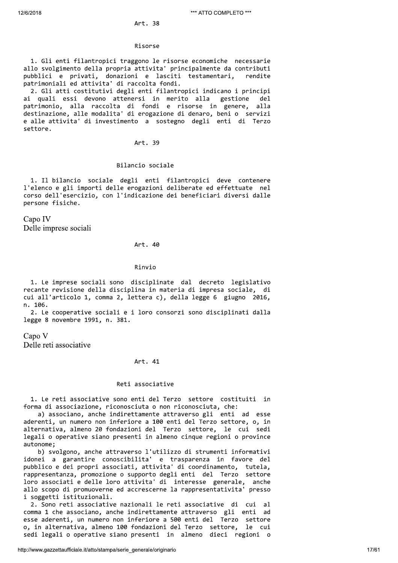#### Risorse

1. Gli enti filantropici traggono le risorse economiche necessarie allo svolgimento della propria attivita' principalmente da contributi pubblici e privati, donazioni e lasciti testamentari, rendite patrimoniali ed attivita' di raccolta fondi.

2. Gli atti costitutivi degli enti filantropici indicano i principi ai quali essi devono attenersi in merito alla gestione del patrimonio, alla raccolta di fondi e risorse in genere, alla destinazione, alle modalita' di erogazione di denaro, beni o servizi e alle attivita' di investimento a sostegno degli enti di Terzo settore.

# Art. 39

# Bilancio sociale

1. Il bilancio sociale degli enti filantropici deve contenere l'elenco e gli importi delle erogazioni deliberate ed effettuate nel corso dell'esercizio, con l'indicazione dei beneficiari diversi dalle persone fisiche.

Capo IV Delle imprese sociali

# Art. 40

# Rinvio

1. Le imprese sociali sono disciplinate dal decreto legislativo recante revisione della disciplina in materia di impresa sociale, di cui all'articolo 1, comma 2, lettera c), della legge 6 giugno 2016, n. 106.

2. Le cooperative sociali e i loro consorzi sono disciplinati dalla legge 8 novembre 1991, n. 381.

Capo V Delle reti associative

### Art. 41

# Reti associative

1. Le reti associative sono enti del Terzo settore costituiti in forma di associazione, riconosciuta o non riconosciuta, che:

a) associano, anche indirettamente attraverso gli enti ad esse aderenti, un numero non inferiore a 100 enti del Terzo settore, o, in alternativa, almeno 20 fondazioni del Terzo settore, le cui sedi legali o operative siano presenti in almeno cinque regioni o province autonome:

b) svolgono, anche attraverso l'utilizzo di strumenti informativi idonei a garantire conoscibilita' e trasparenza in favore del pubblico e dei propri associati, attivita' di coordinamento, tutela, rappresentanza, promozione o supporto degli enti del Terzo settore loro associati e delle loro attivita' di interesse generale, anche allo scopo di promuoverne ed accrescerne la rappresentativita' presso i soggetti istituzionali.

2. Sono reti associative nazionali le reti associative di cui al comma 1 che associano, anche indirettamente attraverso gli enti ad esse aderenti, un numero non inferiore a 500 enti del Terzo settore o, in alternativa, almeno 100 fondazioni del Terzo settore, le cui sedi legali o operative siano presenti in almeno dieci regioni o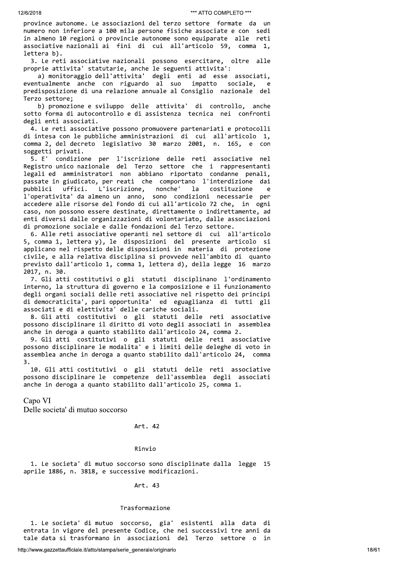province autonome. Le associazioni del terzo settore formate da un numero non inferiore a 100 mila persone fisiche associate e con sedi in almeno 10 regioni o provincie autonome sono equiparate alle reti associative nazionali ai fini di cui all'articolo 59, comma 1, lettera b).

3. Le reti associative nazionali possono esercitare, oltre alle proprie attivita' statutarie, anche le seguenti attivita':

a) monitoraggio dell'attivita' degli enti ad esse associati, eventualmente anche con riguardo al suo impatto sociale, e predisposizione di una relazione annuale al Consiglio nazionale del Terzo settore;

b) promozione e sviluppo delle attivita' di controllo, anche sotto forma di autocontrollo e di assistenza tecnica nei confronti degli enti associati.

4. Le reti associative possono promuovere partenariati e protocolli di intesa con le pubbliche amministrazioni di cui all'articolo 1, comma 2, del decreto legislativo 30 marzo 2001, n. 165, e con soggetti privati.

condizione per l'iscrizione delle reti associative nel 5. F' Registro unico nazionale del Terzo settore che i rappresentanti legali ed amministratori non abbiano riportato condanne penali, passate in giudicato, per reati che comportano l'interdizione dai L'iscrizione, nonche' pubblici uffici. la costituzione  $\epsilon$ l'operativita' da almeno un anno, sono condizioni necessarie per accedere alle risorse del Fondo di cui all'articolo 72 che, in ogni caso, non possono essere destinate, direttamente o indirettamente, ad enti diversi dalle organizzazioni di volontariato, dalle associazioni di promozione sociale e dalle fondazioni del Terzo settore.

6. Alle reti associative operanti nel settore di cui all'articolo 5, comma 1, lettera y), le disposizioni del presente articolo si applicano nel rispetto delle disposizioni in materia di protezione civile, e alla relativa disciplina si provvede nell'ambito di quanto previsto dall'articolo 1, comma 1, lettera d), della legge 16 marzo 2017, n. 30.

7. Gli atti costitutivi o gli statuti disciplinano l'ordinamento interno, la struttura di governo e la composizione e il funzionamento degli organi sociali delle reti associative nel rispetto dei principi di democraticita', pari opportunita' ed eguaglianza di tutti gli associati e di elettivita' delle cariche sociali.

8. Gli atti costitutivi o gli statuti delle reti associative possono disciplinare il diritto di voto degli associati in assemblea anche in deroga a quanto stabilito dall'articolo 24, comma 2.

9. Gli atti costitutivi o gli statuti delle reti associative possono disciplinare le modalita' e i limiti delle deleghe di voto in assemblea anche in deroga a quanto stabilito dall'articolo 24, comma  $\overline{3}$ .

10. Gli atti costitutivi o gli statuti delle reti associative possono disciplinare le competenze dell'assemblea degli associati anche in deroga a quanto stabilito dall'articolo 25, comma 1.

Capo VI

Delle societa' di mutuo soccorso

## Art. 42

## Rinvio

1. Le societa' di mutuo soccorso sono disciplinate dalla legge 15 aprile 1886, n. 3818, e successive modificazioni.

#### Art. 43

#### Trasformazione

1. Le societa' di mutuo soccorso, gia' esistenti alla data di entrata in vigore del presente Codice, che nei successivi tre anni da tale data si trasformano in associazioni del Terzo settore o in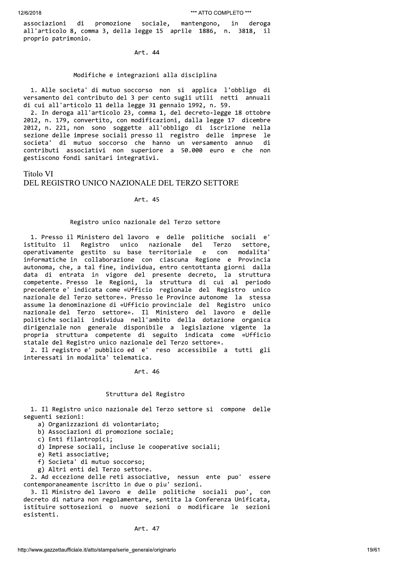di promozione sociale, associazioni mantengono, deroga in in all'articolo 8, comma 3, della legge 15 aprile 1886, n. 3818, - il proprio patrimonio.

Art. 44

## Modifiche e integrazioni alla disciplina

1. Alle societa' di mutuo soccorso non si applica l'obbligo di versamento del contributo del 3 per cento sugli utili netti annuali di cui all'articolo 11 della legge 31 gennaio 1992, n. 59.

2. In deroga all'articolo 23, comma 1, del decreto-legge 18 ottobre 2012, n. 179, convertito, con modificazioni, dalla legge 17 dicembre 2012, n. 221, non sono soggette all'obbligo di iscrizione nella sezione delle imprese sociali presso il registro delle imprese le societa' di mutuo soccorso che hanno un versamento annuo di<br>contributi associativi non superiore a 50.000 euro e che non gestiscono fondi sanitari integrativi.

**Titolo VI** DEL REGISTRO UNICO NAZIONALE DEL TERZO SETTORE

Art. 45

# Registro unico nazionale del Terzo settore

1. Presso il Ministero del lavoro e delle politiche sociali e' istituito il Registro unico nazionale del Terzo settore, con operativamente gestito su base territoriale e modalita' informatiche in collaborazione con ciascuna Regione e Provincia autonoma, che, a tal fine, individua, entro centottanta giorni dalla data di entrata in vigore del presente decreto, la struttura competente. Presso le Regioni, la struttura di cui al periodo precedente e' indicata come «Ufficio regionale del Registro unico nazionale del Terzo settore». Presso le Province autonome la stessa assume la denominazione di «Ufficio provinciale del Registro unico nazionale del Terzo settore». Il Ministero del lavoro e delle politiche sociali individua nell'ambito della dotazione organica dirigenziale non generale disponibile a legislazione vigente la propria struttura competente di seguito indicata come «Ufficio statale del Registro unico nazionale del Terzo settore».

2. Il registro e' pubblico ed e' reso accessibile a tutti gli interessati in modalita' telematica.

Art. 46

# Struttura del Registro

1. Il Registro unico nazionale del Terzo settore si compone delle seguenti sezioni:

a) Organizzazioni di volontariato;

b) Associazioni di promozione sociale;

c) Enti filantropici;

d) Imprese sociali, incluse le cooperative sociali;

e) Reti associative;

f) Societa' di mutuo soccorso;

g) Altri enti del Terzo settore.

2. Ad eccezione delle reti associative, nessun ente puo'<br>contemporaneamente iscritto in due o piu' sezioni. essere

3. Il Ministro del lavoro e delle politiche sociali puo', con decreto di natura non regolamentare, sentita la Conferenza Unificata, istituire sottosezioni o nuove sezioni o modificare le sezioni esistenti.

Art. 47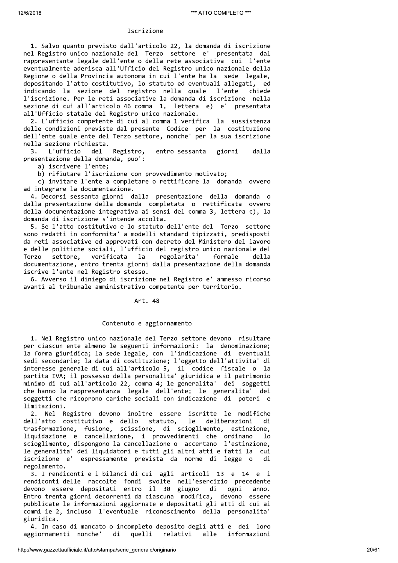## Iscrizione

1. Salvo quanto previsto dall'articolo 22, la domanda di iscrizione nel Registro unico nazionale del Terzo settore e' presentata dal rappresentante legale dell'ente o della rete associativa cui l'ente eventualmente aderisca all'Ufficio del Registro unico nazionale della Regione o della Provincia autonoma in cui l'ente ha la sede legale, depositando l'atto costitutivo, lo statuto ed eventuali allegati, ed indicando la sezione del registro nella quale l'ente chiede l'iscrizione. Per le reti associative la domanda di iscrizione nella sezione di cui all'articolo 46 comma 1, lettera e) e' presentata all'Ufficio statale del Registro unico nazionale.

2. L'ufficio competente di cui al comma 1 verifica la sussistenza delle condizioni previste dal presente Codice per la costituzione dell'ente quale ente del Terzo settore, nonche' per la sua iscrizione nella sezione richiesta.

L'ufficio Registro, entro sessanta giorni  $3.$ del dalla presentazione della domanda, puo':

a) iscrivere l'ente;

b) rifiutare l'iscrizione con provvedimento motivato;

c) invitare l'ente a completare o rettificare la domanda ovvero ad integrare la documentazione.

4. Decorsi sessanta giorni dalla presentazione della domanda o dalla presentazione della domanda completata o rettificata ovvero della documentazione integrativa ai sensi del comma 3, lettera c), la domanda di iscrizione s'intende accolta.

5. Se l'atto costitutivo e lo statuto dell'ente del Terzo settore sono redatti in conformita' a modelli standard tipizzati, predisposti da reti associative ed approvati con decreto del Ministero del lavoro e delle politiche sociali, l'ufficio del registro unico nazionale del Terzo settore, verificata la regolarita' formale della documentazione, entro trenta giorni dalla presentazione della domanda iscrive l'ente nel Registro stesso.

6. Avverso il diniego di iscrizione nel Registro e' ammesso ricorso avanti al tribunale amministrativo competente per territorio.

# Art. 48

# Contenuto e aggiornamento

1. Nel Registro unico nazionale del Terzo settore devono risultare per ciascun ente almeno le seguenti informazioni: la denominazione; la forma giuridica; la sede legale, con l'indicazione di eventuali sedi secondarie; la data di costituzione; l'oggetto dell'attivita' di interesse generale di cui all'articolo 5, il codice fiscale o la partita IVA; il possesso della personalita' giuridica e il patrimonio minimo di cui all'articolo 22, comma 4; le generalita' dei soggetti che hanno la rappresentanza legale dell'ente; le generalita' dei soggetti che ricoprono cariche sociali con indicazione di poteri e limitazioni.

2. Nel Registro devono inoltre essere iscritte le modifiche dell'atto costitutivo e dello statuto. le deliberazioni di trasformazione, fusione, scissione, di scioglimento, estinzione, liquidazione e cancellazione, i provvedimenti che ordinano  $1<sub>o</sub>$ scioglimento, dispongono la cancellazione o accertano l'estinzione, le generalita' dei liquidatori e tutti gli altri atti e fatti la cui iscrizione e' espressamente prevista da norme di legge o di regolamento.

3. I rendiconti e i bilanci di cui agli articoli 13 e 14 e i rendiconti delle raccolte fondi svolte nell'esercizio precedente devono essere depositati entro il 30 giugno di ogni anno. Entro trenta giorni decorrenti da ciascuna modifica, devono essere pubblicate le informazioni aggiornate e depositati gli atti di cui ai commi 1e 2, incluso l'eventuale riconoscimento della personalita' giuridica.

4. In caso di mancato o incompleto deposito degli atti e dei loro quelli relativi aggiornamenti nonche' di alle informazioni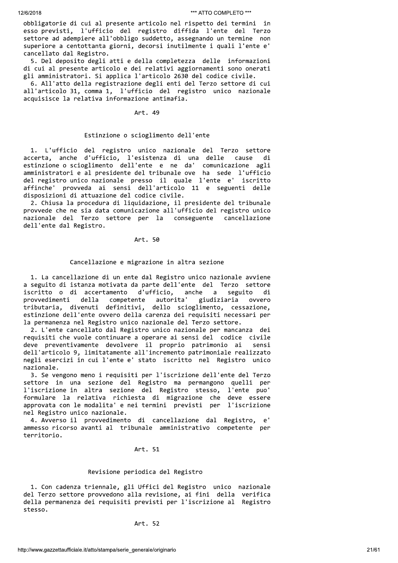obbligatorie di cui al presente articolo nel rispetto dei termini in esso previsti, l'ufficio del registro diffida l'ente del Terzo settore ad adempiere all'obbligo suddetto, assegnando un termine non superiore a centottanta giorni, decorsi inutilmente i quali l'ente e' cancellato dal Registro.

5. Del deposito degli atti e della completezza delle informazioni di cui al presente articolo e dei relativi aggiornamenti sono onerati gli amministratori. Si applica l'articolo 2630 del codice civile.

6. All'atto della registrazione degli enti del Terzo settore di cui all'articolo 31, comma 1, l'ufficio del registro unico nazionale acquisisce la relativa informazione antimafia.

# Art. 49

# Estinzione o scioglimento dell'ente

1. L'ufficio del registro unico nazionale del Terzo settore accerta, anche d'ufficio, l'esistenza di una delle cause di estinzione o scioglimento dell'ente e ne da' comunicazione agli amministratori e al presidente del tribunale ove ha sede l'ufficio del registro unico nazionale presso il quale l'ente e' iscritto affinche' provveda ai sensi dell'articolo 11 e seguenti delle disposizioni di attuazione del codice civile.

2. Chiusa la procedura di liquidazione, il presidente del tribunale provvede che ne sia data comunicazione all'ufficio del registro unico nazionale del Terzo settore per la conseguente cancellazione dell'ente dal Registro.

# Art. 50

#### Cancellazione e migrazione in altra sezione

1. La cancellazione di un ente dal Registro unico nazionale avviene a seguito di istanza motivata da parte dell'ente del Terzo settore iscritto o di accertamento d'ufficio, anche a seguito di della competente autorita' provvedimenti giudiziaria ovvero tributaria, divenuti definitivi, dello scioglimento, cessazione, estinzione dell'ente ovvero della carenza dei requisiti necessari per la permanenza nel Registro unico nazionale del Terzo settore.

2. L'ente cancellato dal Registro unico nazionale per mancanza dei requisiti che vuole continuare a operare ai sensi del codice civile deve preventivamente devolvere il proprio patrimonio ai sensi dell'articolo 9, limitatamente all'incremento patrimoniale realizzato negli esercizi in cui l'ente e' stato iscritto nel Registro unico nazionale.

3. Se vengono meno i requisiti per l'iscrizione dell'ente del Terzo settore in una sezione del Registro ma permangono quelli per l'iscrizione in altra sezione del Registro stesso, l'ente puo' formulare la relativa richiesta di migrazione che deve essere approvata con le modalita' e nei termini previsti per l'iscrizione nel Registro unico nazionale.

4. Avverso il provvedimento di cancellazione dal Registro, e' ammesso ricorso avanti al tribunale amministrativo competente per territorio.

# Art. 51

# Revisione periodica del Registro

1. Con cadenza triennale, gli Uffici del Registro unico nazionale del Terzo settore provvedono alla revisione, ai fini della verifica della permanenza dei requisiti previsti per l'iscrizione al Registro stesso.

# Art. 52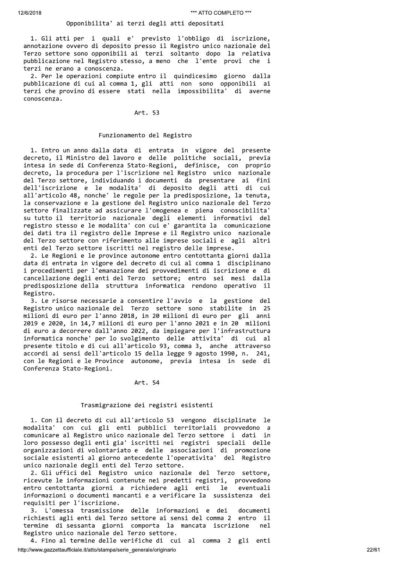# Opponibilita' ai terzi degli atti depositati

1. Gli atti per i quali e' previsto l'obbligo di iscrizione, annotazione ovvero di deposito presso il Registro unico nazionale del Terzo settore sono opponibili ai terzi soltanto dopo la relativa pubblicazione nel Registro stesso, a meno che l'ente provi che i terzi ne erano a conoscenza.

2. Per le operazioni compiute entro il quindicesimo giorno dalla pubblicazione di cui al comma 1, gli atti non sono opponibili ai terzi che provino di essere stati nella impossibilita' di averne conoscenza.

# Art. 53

# Funzionamento del Registro

1. Entro un anno dalla data di entrata in vigore del presente decreto, il Ministro del lavoro e delle politiche sociali, previa intesa in sede di Conferenza Stato-Regioni, definisce, con proprio decreto, la procedura per l'iscrizione nel Registro unico nazionale del Terzo settore, individuando i documenti da presentare ai fini dell'iscrizione e le modalita' di deposito degli atti di cui all'articolo 48, nonche' le regole per la predisposizione, la tenuta, la conservazione e la gestione del Registro unico nazionale del Terzo settore finalizzate ad assicurare l'omogenea e piena conoscibilita' su tutto il territorio nazionale degli elementi informativi del registro stesso e le modalita' con cui e' garantita la comunicazione dei dati tra il registro delle Imprese e il Registro unico nazionale del Terzo settore con riferimento alle imprese sociali e agli altri enti del Terzo settore iscritti nel registro delle imprese.

2. Le Regioni e le province autonome entro centottanta giorni dalla data di entrata in vigore del decreto di cui al comma 1 disciplinano i procedimenti per l'emanazione dei provvedimenti di iscrizione e di cancellazione degli enti del Terzo settore; entro sei mesi dalla predisposizione della struttura informatica rendono operativo il Registro.

3. Le risorse necessarie a consentire l'avvio e la gestione del Registro unico nazionale del Terzo settore sono stabilite in 25 milioni di euro per l'anno 2018, in 20 milioni di euro per gli anni 2019 e 2020, in 14,7 milioni di euro per l'anno 2021 e in 20 milioni di euro a decorrere dall'anno 2022, da impiegare per l'infrastruttura informatica nonche' per lo svolgimento delle attivita' di cui al presente titolo e di cui all'articolo 93, comma 3, anche attraverso accordi ai sensi dell'articolo 15 della legge 9 agosto 1990, n. 241, con le Regioni e le Province autonome, previa intesa in sede di Conferenza Stato-Regioni.

#### Art. 54

# Trasmigrazione dei registri esistenti

1. Con il decreto di cui all'articolo 53 vengono disciplinate le modalita' con cui gli enti pubblici territoriali provvedono a comunicare al Registro unico nazionale del Terzo settore i dati in loro possesso degli enti gia' iscritti nei registri speciali delle organizzazioni di volontariato e delle associazioni di promozione sociale esistenti al giorno antecedente l'operativita' del Registro unico nazionale degli enti del Terzo settore.

2. Gli uffici del Registro unico nazionale del Terzo settore. ricevute le informazioni contenute nei predetti registri, provvedono entro centottanta giorni a richiedere agli enti le eventuali informazioni o documenti mancanti e a verificare la sussistenza ieh requisiti per l'iscrizione.

L'omessa trasmissione delle informazioni e dei  $\mathbf{R}$ documenti richiesti agli enti del Terzo settore ai sensi del comma 2 entro il termine di sessanta giorni comporta la mancata iscrizione  $ne<sub>1</sub>$ Registro unico nazionale del Terzo settore.

4. Fino al termine delle verifiche di cui al comma 2 gli enti http://www.gazzettaufficiale.it/atto/stampa/serie\_generale/originario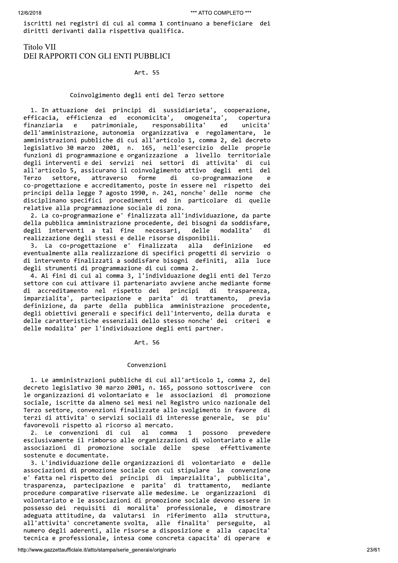iscritti nei registri di cui al comma 1 continuano a beneficiare dei diritti derivanti dalla rispettiva qualifica.

# **Titolo VII** DEI RAPPORTI CON GLI ENTI PUBBLICI

# Art. 55

# Coinvolgimento degli enti del Terzo settore

1. In attuazione dei principi di sussidiarieta', cooperazione, economicita', omogeneita', efficacia, efficienza ed copertura finanziaria  $^{\circ}$ e patrimoniale, responsabilita' ed unicita' dell'amministrazione, autonomia organizzativa e regolamentare, le amministrazioni pubbliche di cui all'articolo 1, comma 2, del decreto legislativo 30 marzo 2001, n. 165, nell'esercizio delle proprie funzioni di programmazione e organizzazione a livello territoriale degli interventi e dei servizi nei settori di attivita' di cui all'articolo 5, assicurano il coinvolgimento attivo degli enti del. Terzo settore, attraverso forme di co-programmazione e co-progettazione e accreditamento, poste in essere nel rispetto dei principi della legge 7 agosto 1990, n. 241, nonche' delle norme che disciplinano specifici procedimenti ed in particolare di quelle relative alla programmazione sociale di zona.

2. La co-programmazione e' finalizzata all'individuazione, da parte della pubblica amministrazione procedente, dei bisogni da soddisfare, degli interventi a tal fine necessari, delle modalita' di realizzazione degli stessi e delle risorse disponibili.

3. La co-progettazione e' finalizzata alla definizione ed eventualmente alla realizzazione di specifici progetti di servizio o di intervento finalizzati a soddisfare bisogni definiti, alla luce degli strumenti di programmazione di cui comma 2.

4. Ai fini di cui al comma 3, l'individuazione degli enti del Terzo settore con cui attivare il partenariato avviene anche mediante forme di accreditamento nel rispetto dei principi di trasparenza. imparzialita', partecipazione e parita' di trattamento, previa definizione, da parte della pubblica amministrazione procedente, degli obiettivi generali e specifici dell'intervento, della durata e delle caratteristiche essenziali dello stesso nonche' dei criteri e delle modalita' per l'individuazione degli enti partner.

# Art. 56

# Convenzioni

1. Le amministrazioni pubbliche di cui all'articolo 1, comma 2, del decreto legislativo 30 marzo 2001, n. 165, possono sottoscrivere con le organizzazioni di volontariato e le associazioni di promozione sociale, iscritte da almeno sei mesi nel Registro unico nazionale del Terzo settore, convenzioni finalizzate allo svolgimento in favore di terzi di attivita' o servizi sociali di interesse generale, se piu' favorevoli rispetto al ricorso al mercato.

 $a1$ comma prevedere 2. Le convenzioni di cui  $\mathbf{1}$ possono esclusivamente il rimborso alle organizzazioni di volontariato e alle associazioni di promozione sociale delle spese effettivamente sostenute e documentate.

3. L'individuazione delle organizzazioni di volontariato e delle associazioni di promozione sociale con cui stipulare la convenzione e' fatta nel rispetto dei principi di imparzialita', pubblicita', trasparenza, partecipazione e parita' di trattamento, mediante procedure comparative riservate alle medesime. Le organizzazioni di volontariato e le associazioni di promozione sociale devono essere in possesso dei requisiti di moralita' professionale, e dimostrare adeguata attitudine, da valutarsi in riferimento alla struttura, all'attivita' concretamente svolta, alle finalita' perseguite, al numero degli aderenti, alle risorse a disposizione e alla capacita' tecnica e professionale, intesa come concreta capacita' di operare e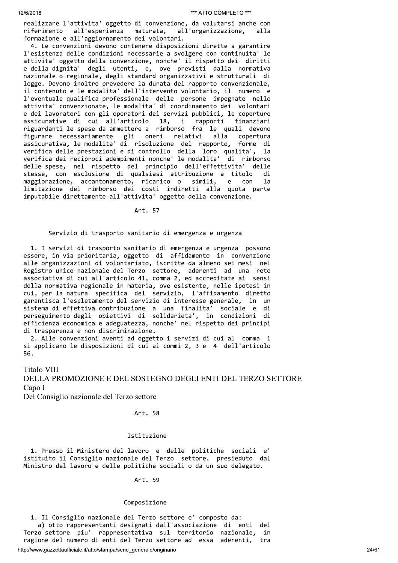realizzare l'attivita' oggetto di convenzione, da valutarsi anche con all'esperienza maturata, all'organizzazione, riferimento alla formazione e all'aggiornamento dei volontari.

4. Le convenzioni devono contenere disposizioni dirette a garantire l'esistenza delle condizioni necessarie a svolgere con continuita' le attivita' oggetto della convenzione, nonche' il rispetto dei diritti e della dignita' degli utenti, e, ove previsti dalla normativa nazionale o regionale, degli standard organizzativi e strutturali di legge. Devono inoltre prevedere la durata del rapporto convenzionale, il contenuto e le modalita' dell'intervento volontario, il numero e l'eventuale qualifica professionale delle persone impegnate nelle attivita' convenzionate, le modalita' di coordinamento dei volontari e dei lavoratori con gli operatori dei servizi pubblici, le coperture finanziari assicurative di cui all'articolo rapporti 18, i riguardanti le spese da ammettere a rimborso fra le quali devono figurare necessariamente gli oneri relativi alla copertura assicurativa, le modalita' di risoluzione del rapporto, forme di verifica delle prestazioni e di controllo della loro qualita', la verifica dei reciproci adempimenti nonche' le modalita' di rimborso delle spese, nel rispetto del principio dell'effettivita' delle stesse, con esclusione di qualsiasi attribuzione a titolo di maggiorazione, accantonamento, ricarico o simili,  $\mathsf{e}$  $con$ 1a limitazione del rimborso dei costi indiretti alla quota parte imputabile direttamente all'attivita' oggetto della convenzione.

Art. 57

# Servizio di trasporto sanitario di emergenza e urgenza

1. I servizi di trasporto sanitario di emergenza e urgenza possono essere, in via prioritaria, oggetto di affidamento in convenzione alle organizzazioni di volontariato, iscritte da almeno sei mesi nel Registro unico nazionale del Terzo settore, aderenti ad una rete<br>associativa di cui all'articolo 41, comma 2, ed accreditate ai sensi della normativa regionale in materia, ove esistente, nelle ipotesi in cui, per la natura specifica del servizio, l'affidamento diretto garantisca l'espletamento del servizio di interesse generale, in un sistema di effettiva contribuzione a una finalita' sociale e di<br>perseguimento degli obiettivi di solidarieta', in condizioni di efficienza economica e adeguatezza, nonche' nel rispetto dei principi di trasparenza e non discriminazione.

2. Alle convenzioni aventi ad oggetto i servizi di cui al comma 1 si applicano le disposizioni di cui ai commi 2, 3 e 4 dell'articolo 56.

# **Titolo VIII** DELLA PROMOZIONE E DEL SOSTEGNO DEGLI ENTI DEL TERZO SETTORE Capo I

Del Consiglio nazionale del Terzo settore

## Art. 58

## Istituzione

1. Presso il Ministero del lavoro e delle politiche sociali e' istituito il Consiglio nazionale del Terzo settore, presieduto dal Ministro del lavoro e delle politiche sociali o da un suo delegato.

# Art. 59

#### Composizione

1. Il Consiglio nazionale del Terzo settore e' composto da: a) otto rappresentanti designati dall'associazione di enti del Terzo settore piu' rappresentativa sul territorio nazionale, in ragione del numero di enti del Terzo settore ad essa aderenti, tra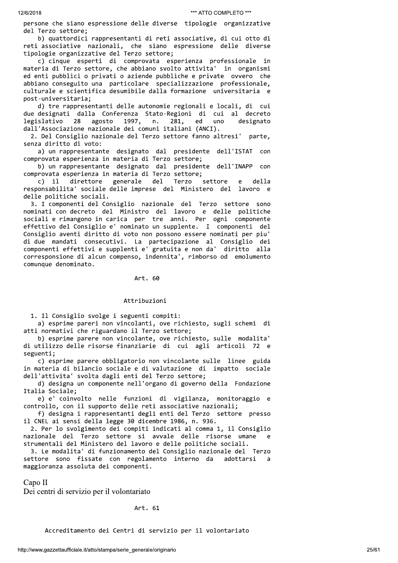persone che siano espressione delle diverse tipologie organizzative del Terzo settore;

b) quattordici rappresentanti di reti associative, di cui otto di reti associative nazionali, che siano espressione delle diverse tipologie organizzative del Terzo settore;

c) cinque esperti di comprovata esperienza professionale in materia di Terzo settore, che abbiano svolto attivita' in organismi ed enti pubblici o privati o aziende pubbliche e private ovvero che abbiano conseguito una particolare specializzazione professionale, culturale e scientifica desumibile dalla formazione universitaria e post-universitaria;

d) tre rappresentanti delle autonomie regionali e locali, di cui due designati dalla Conferenza Stato-Regioni di cui al decreto 1997, legislativo 28 agosto n. 281, ed uno designato dall'Associazione nazionale dei comuni italiani (ANCI).

2. Del Consiglio nazionale del Terzo settore fanno altresi' parte, senza diritto di voto:

a) un rappresentante designato dal presidente dell'ISTAT con comprovata esperienza in materia di Terzo settore;

b) un rappresentante designato dal presidente dell'INAPP con comprovata esperienza in materia di Terzo settore;

 $c)$  il direttore generale del Terzo settore  $\epsilon$ della responsabilita' sociale delle imprese del Ministero del lavoro e delle politiche sociali.

3. I componenti del Consiglio nazionale del Terzo settore sono nominati con decreto del Ministro del lavoro e delle politiche sociali e rimangono in carica per tre anni. Per ogni componente effettivo del Consiglio e' nominato un supplente. I componenti del Consiglio aventi diritto di voto non possono essere nominati per piu' di due mandati consecutivi. La partecipazione al Consiglio dei componenti effettivi e supplenti e' gratuita e non da' diritto alla corresponsione di alcun compenso, indennita', rimborso od emolumento comunque denominato.

Art. 60

# Attribuzioni

1. Il Consiglio svolge i seguenti compiti:

a) esprime pareri non vincolanti, ove richiesto, sugli schemi di atti normativi che riguardano il Terzo settore;

b) esprime parere non vincolante, ove richiesto, sulle modalita' di utilizzo delle risorse finanziarie di cui agli articoli 72 e seguenti;

c) esprime parere obbligatorio non vincolante sulle linee guida in materia di bilancio sociale e di valutazione di impatto sociale dell'attivita' svolta dagli enti del Terzo settore;

d) designa un componente nell'organo di governo della Fondazione Italia Sociale;

e) e' coinvolto nelle funzioni di vigilanza, monitoraggio e controllo, con il supporto delle reti associative nazionali;

f) designa i rappresentanti degli enti del Terzo settore presso il CNEL ai sensi della legge 30 dicembre 1986, n. 936.

2. Per lo svolgimento dei compiti indicati al comma 1, il Consiglio nazionale del Terzo settore si avvale delle risorse umane strumentali del Ministero del lavoro e delle politiche sociali.

3. Le modalita' di funzionamento del Consiglio nazionale del Terzo settore sono fissate con regolamento interno da adottarsi maggioranza assoluta dei componenti.

 $Capo II$ 

Dei centri di servizio per il volontariato

# Art. 61

Accreditamento dei Centri di servizio per il volontariato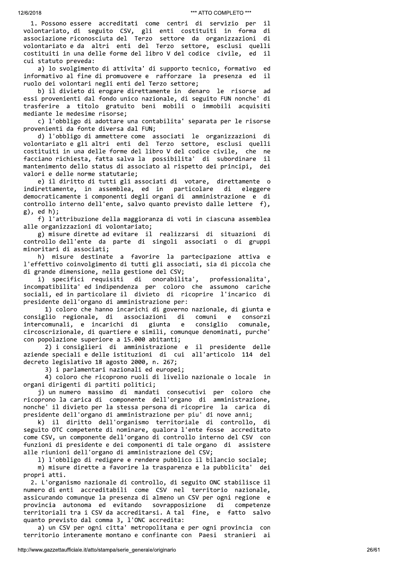1. Possono essere accreditati come centri di servizio per -i 1 volontariato, di seguito CSV, gli enti costituiti in forma di associazione riconosciuta del Terzo settore da organizzazioni di volontariato e da altri enti del Terzo settore, esclusi quelli costituiti in una delle forme del libro V del codice civile, ed il cui statuto preveda:

a) lo svolgimento di attivita' di supporto tecnico, formativo ed informativo al fine di promuovere e rafforzare la presenza ed il ruolo dei volontari negli enti del Terzo settore;

b) il divieto di erogare direttamente in denaro le risorse ad essi provenienti dal fondo unico nazionale, di seguito FUN nonche' di trasferire a titolo gratuito beni mobili o immobili acquisiti mediante le medesime risorse;

c) l'obbligo di adottare una contabilita' separata per le risorse provenienti da fonte diversa dal FUN;

d) l'obbligo di ammettere come associati le organizzazioni di volontariato e gli altri enti del Terzo settore, esclusi quelli costituiti in una delle forme del libro V del codice civile, che ne facciano richiesta, fatta salva la possibilita' di subordinare il mantenimento dello status di associato al rispetto dei principi, dei valori e delle norme statutarie;

e) il diritto di tutti gli associati di votare, direttamente o indirettamente, in assemblea, ed in particolare di eleggere democraticamente i componenti degli organi di amministrazione e di controllo interno dell'ente, salvo quanto previsto dalle lettere f), g), ed h);

f) l'attribuzione della maggioranza di voti in ciascuna assemblea alle organizzazioni di volontariato;

g) misure dirette ad evitare il realizzarsi di situazioni di controllo dell'ente da parte di singoli associati o di gruppi minoritari di associati;

h) misure destinate a favorire la partecipazione attiva e l'effettivo coinvolgimento di tutti gli associati, sia di piccola che di grande dimensione, nella gestione del CSV;

i) specifici requisiti di onorabilita', professionalita', incompatibilita' ed indipendenza per coloro che assumono cariche sociali, ed in particolare il divieto di ricoprire l'incarico di presidente dell'organo di amministrazione per:

1) coloro che hanno incarichi di governo nazionale, di giunta e consiglio regionale, di associazioni di comuni e. consorzi intercomunali, e incarichi di giunta consiglio  $e$ comunale. circoscrizionale, di quartiere e simili, comunque denominati, purche' con popolazione superiore a 15.000 abitanti;

2) i consiglieri di amministrazione e il presidente delle aziende speciali e delle istituzioni di cui all'articolo 114 del decreto legislativo 18 agosto 2000, n. 267;

3) i parlamentari nazionali ed europei;

4) coloro che ricoprono ruoli di livello nazionale o locale in organi dirigenti di partiti politici;

i) un numero massimo di mandati consecutivi per coloro che ricoprono la carica di componente dell'organo di amministrazione, nonche' il divieto per la stessa persona di ricoprire la carica di presidente dell'organo di amministrazione per piu' di nove anni;

k) il diritto dell'organismo territoriale di controllo, di seguito OTC competente di nominare, qualora l'ente fosse accreditato come CSV, un componente dell'organo di controllo interno del CSV con funzioni di presidente e dei componenti di tale organo di assistere alle riunioni dell'organo di amministrazione del CSV;

1) l'obbligo di redigere e rendere pubblico il bilancio sociale; m) misure dirette a favorire la trasparenza e la pubblicita' dei propri atti.

2. L'organismo nazionale di controllo, di seguito ONC stabilisce il numero di enti accreditabili come CSV nel territorio nazionale, assicurando comunque la presenza di almeno un CSV per ogni regione e provincia autonoma ed evitando sovrapposizione di competenze territoriali tra i CSV da accreditarsi. A tal fine, e fatto salvo quanto previsto dal comma 3, l'ONC accredita:

a) un CSV per ogni citta' metropolitana e per ogni provincia con territorio interamente montano e confinante con Paesi stranieri ai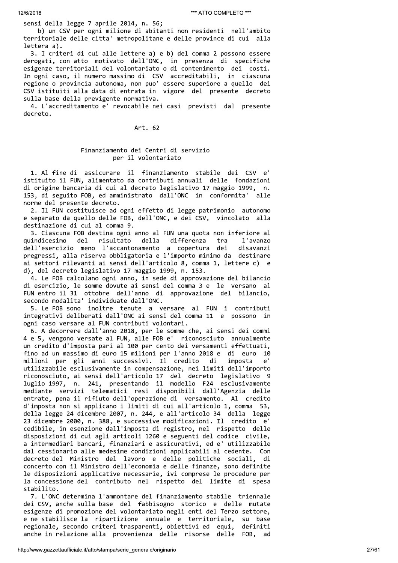sensi della legge 7 aprile 2014, n. 56;

b) un CSV per ogni milione di abitanti non residenti nell'ambito territoriale delle citta' metropolitane e delle province di cui alla lettera a).

3. I criteri di cui alle lettere a) e b) del comma 2 possono essere derogati, con atto motivato dell'ONC, in presenza di specifiche esigenze territoriali del volontariato o di contenimento dei costi. In ogni caso, il numero massimo di CSV accreditabili, in ciascuna regione o provincia autonoma, non puo' essere superiore a quello dei CSV istituiti alla data di entrata in vigore del presente decreto sulla base della previgente normativa.

4. L'accreditamento e' revocabile nei casi previsti dal presente decreto.

Art. 62

# Finanziamento dei Centri di servizio per il volontariato

1. Al fine di assicurare il finanziamento stabile dei CSV istituito il FUN, alimentato da contributi annuali delle fondazioni di origine bancaria di cui al decreto legislativo 17 maggio 1999, n. 153, di seguito FOB, ed amministrato dall'ONC in conformita' alle norme del presente decreto.

2. Il FUN costituisce ad ogni effetto di legge patrimonio autonomo e separato da quello delle FOB, dell'ONC, e dei CSV, vincolato alla destinazione di cui al comma 9.

3. Ciascuna FOB destina ogni anno al FUN una quota non inferiore al quindicesimo del d risultato della differenza tra l'avanzo dell'esercizio meno l'accantonamento a copertura dei disavanzi pregressi, alla riserva obbligatoria e l'importo minimo da destinare ai settori rilevanti ai sensi dell'articolo 8, comma 1, lettere c) e d), del decreto legislativo 17 maggio 1999, n. 153.

4. Le FOB calcolano ogni anno, in sede di approvazione del bilancio di esercizio, le somme dovute ai sensi del comma 3 e le versano al FUN entro il 31 ottobre dell'anno di approvazione del bilancio, secondo modalita' individuate dall'ONC.

5. Le FOB sono inoltre tenute a versare al FUN i contributi integrativi deliberati dall'ONC ai sensi del comma 11 e possono in ogni caso versare al FUN contributi volontari.

6. A decorrere dall'anno 2018, per le somme che, ai sensi dei commi 4 e 5, vengono versate al FUN, alle FOB e' riconosciuto annualmente un credito d'imposta pari al 100 per cento dei versamenti effettuati, fino ad un massimo di euro 15 milioni per l'anno 2018 e di euro 10 milioni per gli anni successivi. Il credito di imposta  $\rho$ utilizzabile esclusivamente in compensazione, nei limiti dell'importo riconosciuto, ai sensi dell'articolo 17 del decreto legislativo 9 luglio 1997, n. 241, presentando il modello F24 esclusivamente<br>mediante servizi telematici resi disponibili dall'Agenzia delle entrate, pena il rifiuto dell'operazione di versamento. Al credito d'imposta non si applicano i limiti di cui all'articolo 1, comma 53, della legge 24 dicembre 2007, n. 244, e all'articolo 34 della legge 23 dicembre 2000, n. 388, e successive modificazioni. Il credito e' cedibile, in esenzione dall'imposta di registro, nel rispetto delle disposizioni di cui agli articoli 1260 e seguenti del codice civile, a intermediari bancari, finanziari e assicurativi, ed e' utilizzabile dal cessionario alle medesime condizioni applicabili al cedente. Con decreto del Ministro del lavoro e delle politiche sociali, di concerto con il Ministro dell'economia e delle finanze, sono definite le disposizioni applicative necessarie, ivi comprese le procedure per la concessione del contributo nel rispetto del limite di spesa stabilito.

7. L'ONC determina l'ammontare del finanziamento stabile triennale dei CSV, anche sulla base del fabbisogno storico e delle mutate esigenze di promozione del volontariato negli enti del Terzo settore, e ne stabilisce la ripartizione annuale e territoriale, su base regionale, secondo criteri trasparenti, obiettivi ed equi, definiti anche in relazione alla provenienza delle risorse delle FOB, ad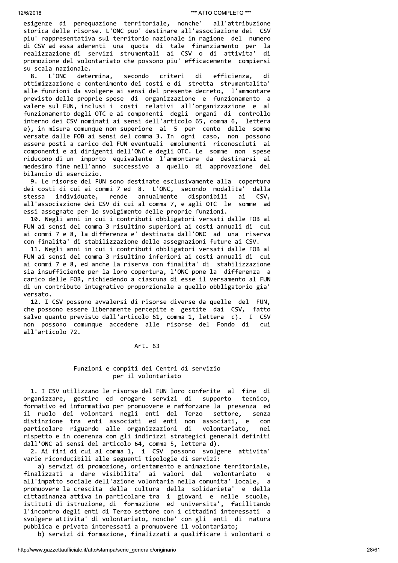esigenze di perequazione territoriale, nonche' all'attribuzione storica delle risorse. L'ONC puo' destinare all'associazione dei CSV piu' rappresentativa sul territorio nazionale in ragione del numero di CSV ad essa aderenti una quota di tale finanziamento per la realizzazione di servizi strumentali ai CSV o di attivita' di promozione del volontariato che possono piu' efficacemente compiersi su scala nazionale.

L'ONC determina, secondo criteri di efficienza, 8. di ottimizzazione e contenimento dei costi e di stretta strumentalita' alle funzioni da svolgere ai sensi del presente decreto, l'ammontare previsto delle proprie spese di organizzazione e funzionamento a valere sul FUN, inclusi i costi relativi all'organizzazione e al funzionamento degli OTC e ai componenti degli organi di controllo interno dei CSV nominati ai sensi dell'articolo 65, comma 6, lettera e), in misura comunque non superiore al 5 per cento delle somme versate dalle FOB ai sensi del comma 3. In ogni caso, non possono essere posti a carico del FUN eventuali emolumenti riconosciuti ai componenti e ai dirigenti dell'ONC e degli OTC. Le somme non spese riducono di un importo equivalente l'ammontare da destinarsi al medesimo fine nell'anno successivo a quello di approvazione del bilancio di esercizio.

9. Le risorse del FUN sono destinate esclusivamente alla copertura dei costi di cui ai commi 7 ed 8. L'ONC, secondo modalita' dalla annualmente CSV, stessa individuate, rende disponibili ai all'associazione dei CSV di cui al comma 7, e agli OTC le somme ad essi assegnate per lo svolgimento delle proprie funzioni.

10. Negli anni in cui i contributi obbligatori versati dalle FOB al FUN ai sensi del comma 3 risultino superiori ai costi annuali di cui ai commi 7 e 8, la differenza e' destinata dall'ONC ad una riserva con finalita' di stabilizzazione delle assegnazioni future ai CSV.

11. Negli anni in cui i contributi obbligatori versati dalle FOB al FUN ai sensi del comma 3 risultino inferiori ai costi annuali di cui ai commi 7 e 8, ed anche la riserva con finalita' di stabilizzazione sia insufficiente per la loro copertura, l'ONC pone la differenza a carico delle FOB, richiedendo a ciascuna di esse il versamento al FUN di un contributo integrativo proporzionale a quello obbligatorio gia' versato.

12. I CSV possono avvalersi di risorse diverse da quelle del FUN, che possono essere liberamente percepite e gestite dai CSV, fatto salvo quanto previsto dall'articolo 61, comma 1, lettera c). I CSV non possono comunque accedere alle risorse del Fondo di cui all'articolo 72.

Art. 63

# Funzioni e compiti dei Centri di servizio per il volontariato

1. I CSV utilizzano le risorse del FUN loro conferite al fine di organizzare, gestire ed erogare servizi di supporto tecnico, formativo ed informativo per promuovere e rafforzare la presenza ed il ruolo dei volontari negli enti del Terzo settore, senza distinzione tra enti associati ed enti non associati, e con particolare riguardo alle organizzazioni di volontariato, nel rispetto e in coerenza con gli indirizzi strategici generali definiti dall'ONC ai sensi del articolo 64, comma 5, lettera d).

2. Ai fini di cui al comma 1, i CSV possono svolgere attivita' varie riconducibili alle seguenti tipologie di servizi:

a) servizi di promozione, orientamento e animazione territoriale, finalizzati a dare visibilita' ai valori del volontariato  $\overline{a}$ all'impatto sociale dell'azione volontaria nella comunita' locale, a promuovere la crescita della cultura della solidarieta' e della cittadinanza attiva in particolare tra i giovani e nelle scuole, istituti di istruzione, di formazione ed universita', facilitando l'incontro degli enti di Terzo settore con i cittadini interessati a svolgere attivita' di volontariato, nonche' con gli enti di natura pubblica e privata interessati a promuovere il volontariato;

b) servizi di formazione, finalizzati a qualificare i volontari o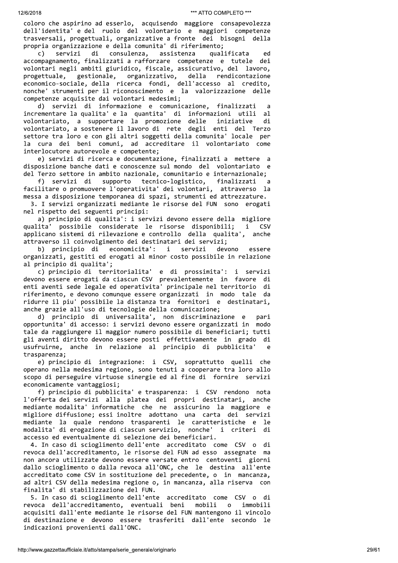coloro che aspirino ad esserlo, acquisendo maggiore consapevolezza dell'identita' e del ruolo del volontario e maggiori competenze trasversali, progettuali, organizzative a fronte dei bisogni della propria organizzazione e della comunita' di riferimento;

qualificata  $\mathsf{c}$ ) servizi di consulenza, assistenza ed accompagnamento, finalizzati a rafforzare competenze e tutele dei volontari negli ambiti giuridico, fiscale, assicurativo, del lavoro, gestionale, organizzativo, rendicontazione progettuale, della economico-sociale, della ricerca fondi, dell'accesso al credito, nonche' strumenti per il riconoscimento e la valorizzazione delle competenze acquisite dai volontari medesimi;

d) servizi di informazione e comunicazione, finalizzati a incrementare la qualita' e la quantita' di informazioni utili - al volontariato, a supportare la promozione delle iniziative di volontariato, a sostenere il lavoro di rete degli enti del Terzo settore tra loro e con gli altri soggetti della comunita' locale per la cura dei beni comuni, ad accreditare il volontariato come interlocutore autorevole e competente;

e) servizi di ricerca e documentazione, finalizzati a mettere a disposizione banche dati e conoscenze sul mondo del volontariato e del Terzo settore in ambito nazionale, comunitario e internazionale;

f) servizi di supporto tecnico-logistico, finalizzati a facilitare o promuovere l'operativita' dei volontari, attraverso la messa a disposizione temporanea di spazi, strumenti ed attrezzature.

3. I servizi organizzati mediante le risorse del FUN sono erogati nel rispetto dei seguenti principi:

a) principio di qualita': i servizi devono essere della migliore qualita' possibile considerate le risorse disponibili;  $\mathbf{i}$ CSV applicano sistemi di rilevazione e controllo della qualita', anche attraverso il coinvolgimento dei destinatari dei servizi;

b) principio di economicita':  $\mathbf{i}$ servizi devono essere organizzati, gestiti ed erogati al minor costo possibile in relazione al principio di qualita';

c) principio di territorialita' e di prossimita': i servizi devono essere erogati da ciascun CSV prevalentemente in favore di enti aventi sede legale ed operativita' principale nel territorio di riferimento, e devono comunque essere organizzati in modo tale da ridurre il piu' possibile la distanza tra fornitori e destinatari, anche grazie all'uso di tecnologie della comunicazione;

d) principio di universalita', non discriminazione e pari opportunita' di accesso: i servizi devono essere organizzati in modo tale da raggiungere il maggior numero possibile di beneficiari; tutti gli aventi diritto devono essere posti effettivamente in grado di usufruirne, anche in relazione al principio di pubblicita' trasparenza;

e) principio di integrazione: i CSV, soprattutto quelli che operano nella medesima regione, sono tenuti a cooperare tra loro allo scopo di perseguire virtuose sinergie ed al fine di fornire servizi economicamente vantaggiosi;

f) principio di pubblicita' e trasparenza: i CSV rendono nota l'offerta dei servizi alla platea dei propri destinatari, anche mediante modalita' informatiche che ne assicurino la maggiore e migliore diffusione; essi inoltre adottano una carta dei servizi mediante la quale rendono trasparenti le caratteristiche e le modalita' di erogazione di ciascun servizio, nonche' i criteri di. accesso ed eventualmente di selezione dei beneficiari.

4. In caso di scioglimento dell'ente accreditato come CSV o di revoca dell'accreditamento, le risorse del FUN ad esso assegnate ma non ancora utilizzate devono essere versate entro centoventi giorni dallo scioglimento o dalla revoca all'ONC, che le destina all'ente accreditato come CSV in sostituzione del precedente, o in mancanza, ad altri CSV della medesima regione o, in mancanza, alla riserva con finalita' di stabilizzazione del FUN.

5. In caso di scioglimento dell'ente accreditato come CSV o di revoca dell'accreditamento, eventuali beni mobili immobili  $\Omega$ acquisiti dall'ente mediante le risorse del FUN mantengono il vincolo di destinazione e devono essere trasferiti dall'ente secondo le indicazioni provenienti dall'ONC.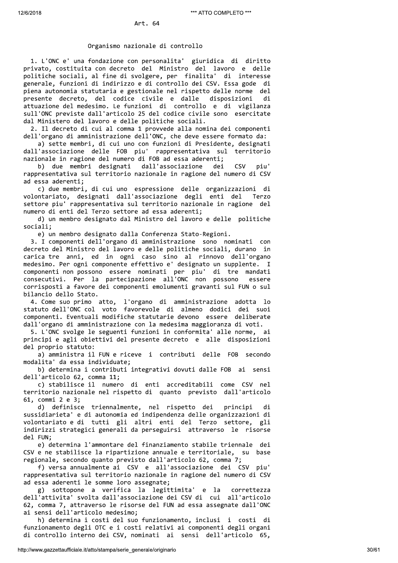# Organismo nazionale di controllo

1. L'ONC e' una fondazione con personalita' giuridica di diritto privato, costituita con decreto del Ministro del lavoro e delle politiche sociali, al fine di svolgere, per finalita' di interesse generale, funzioni di indirizzo e di controllo dei CSV. Essa gode di piena autonomia statutaria e gestionale nel rispetto delle norme del presente decreto, del codice civile e dalle disposizioni di attuazione del medesimo. Le funzioni di controllo e di vigilanza sull'ONC previste dall'articolo 25 del codice civile sono esercitate dal Ministero del lavoro e delle politiche sociali.

2. Il decreto di cui al comma 1 provvede alla nomina dei componenti dell'organo di amministrazione dell'ONC, che deve essere formato da:

a) sette membri, di cui uno con funzioni di Presidente, designati dall'associazione delle FOB piu' rappresentativa sul territorio nazionale in ragione del numero di FOB ad essa aderenti;

b) due membri designati dall'associazione dei CSV piu' rappresentativa sul territorio nazionale in ragione del numero di CSV ad essa aderenti;

c) due membri, di cui uno espressione delle organizzazioni di volontariato, designati dall'associazione degli enti del Terzo settore piu' rappresentativa sul territorio nazionale in ragione del numero di enti del Terzo settore ad essa aderenti;

d) un membro designato dal Ministro del lavoro e delle politiche sociali;

e) un membro designato dalla Conferenza Stato-Regioni.

3. I componenti dell'organo di amministrazione sono nominati con decreto del Ministro del lavoro e delle politiche sociali, durano in carica tre anni, ed in ogni caso sino al rinnovo dell'organo medesimo. Per ogni componente effettivo e' designato un supplente. I componenti non possono essere nominati per piu' di tre mandati consecutivi. Per la partecipazione all'ONC non possono essere corrisposti a favore dei componenti emolumenti gravanti sul FUN o sul bilancio dello Stato.

4. Come suo primo atto, l'organo di amministrazione adotta lo statuto dell'ONC col voto favorevole di almeno dodici dei suoi componenti. Eventuali modifiche statutarie devono essere deliberate dall'organo di amministrazione con la medesima maggioranza di voti.

5. L'ONC svolge le seguenti funzioni in conformita' alle norme, ai principi e agli obiettivi del presente decreto e alle disposizioni del proprio statuto:

a) amministra il FUN e riceve i contributi delle FOB secondo modalita' da essa individuate;

b) determina i contributi integrativi dovuti dalle FOB ai sensi dell'articolo 62, comma 11;

c) stabilisce il numero di enti accreditabili come CSV nel territorio nazionale nel rispetto di quanto previsto dall'articolo 61, commi 2 e 3;

d) definisce triennalmente, nel rispetto dei principi di sussidiarieta' e di autonomia ed indipendenza delle organizzazioni di volontariato e di tutti gli altri enti del Terzo settore, gli indirizzi strategici generali da perseguirsi attraverso le risorse del FUN:

e) determina l'ammontare del finanziamento stabile triennale dei CSV e ne stabilisce la ripartizione annuale e territoriale, su base regionale, secondo quanto previsto dall'articolo 62, comma 7;

f) versa annualmente ai CSV e all'associazione dei CSV piu' rappresentativa sul territorio nazionale in ragione del numero di CSV ad essa aderenti le somme loro assegnate;

g) sottopone a verifica la legittimita' e la correttezza dell'attivita' svolta dall'associazione dei CSV di cui all'articolo 62, comma 7, attraverso le risorse del FUN ad essa assegnate dall'ONC ai sensi dell'articolo medesimo;

h) determina i costi del suo funzionamento, inclusi i costi di funzionamento degli OTC e i costi relativi ai componenti degli organi di controllo interno dei CSV, nominati ai sensi dell'articolo 65,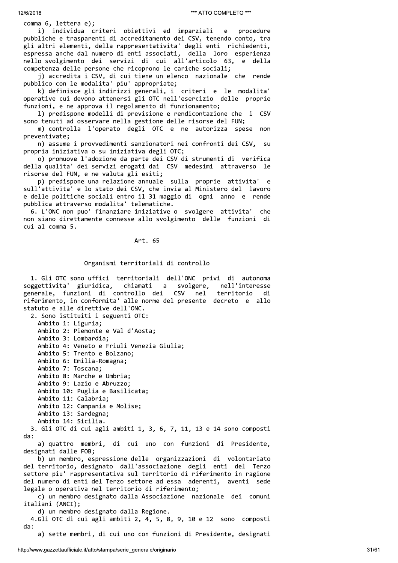comma 6, lettera e);

individua criteri obiettivi ed imparziali procedure i).  $\mathbf{e}$ pubbliche e trasparenti di accreditamento dei CSV, tenendo conto, tra gli altri elementi, della rappresentativita' degli enti richiedenti, espressa anche dal numero di enti associati, della loro esperienza nello svolgimento dei servizi di cui all'articolo 63, e della competenza delle persone che ricoprono le cariche sociali;

j) accredita i CSV, di cui tiene un elenco nazionale che rende pubblico con le modalita' piu' appropriate;

k) definisce gli indirizzi generali, i criteri e le modalita' operative cui devono attenersi gli OTC nell'esercizio delle proprie funzioni, e ne approva il regolamento di funzionamento;

1) predispone modelli di previsione e rendicontazione che i - CSV sono tenuti ad osservare nella gestione delle risorse del FUN;

m) controlla l'operato degli OTC e ne autorizza spese non preventivate;

n) assume i provvedimenti sanzionatori nei confronti dei CSV, su propria iniziativa o su iniziativa degli OTC;

o) promuove l'adozione da parte dei CSV di strumenti di verifica della qualita' dei servizi erogati dai CSV medesimi attraverso le risorse del FUN, e ne valuta gli esiti;

p) predispone una relazione annuale sulla proprie attivita' e sull'attivita' e lo stato dei CSV, che invia al Ministero del lavoro e delle politiche sociali entro il 31 maggio di ogni anno e rende pubblica attraverso modalita' telematiche.

6. L'ONC non puo' finanziare iniziative o svolgere attivita' che non siano direttamente connesse allo svolgimento delle funzioni di cui al comma 5.

### Art. 65

#### Organismi territoriali di controllo

1. Gli OTC sono uffici territoriali dell'ONC privi di autonoma soggettivita' giuridica, chiamati a svolgere, nell'interesse generale, funzioni di controllo dei CSV nel territorio di riferimento, in conformita' alle norme del presente decreto e allo statuto e alle direttive dell'ONC.

2. Sono istituiti i seguenti OTC: Ambito 1: Liguria; Ambito 2: Piemonte e Val d'Aosta; Ambito 3: Lombardia; Ambito 4: Veneto e Friuli Venezia Giulia; Ambito 5: Trento e Bolzano; Ambito 6: Emilia-Romagna; Ambito 7: Toscana; Ambito 8: Marche e Umbria; Ambito 9: Lazio e Abruzzo; Ambito 10: Puglia e Basilicata; Ambito 11: Calabria; Ambito 12: Campania e Molise; Ambito 13: Sardegna; Ambito 14: Sicilia.

3. Gli OTC di cui agli ambiti 1, 3, 6, 7, 11, 13 e 14 sono composti  $da:$ 

a) quattro membri, di cui uno con funzioni di Presidente, designati dalle FOB;

b) un membro, espressione delle organizzazioni di volontariato del territorio, designato dall'associazione degli enti del Terzo settore piu' rappresentativa sul territorio di riferimento in ragione del numero di enti del Terzo settore ad essa aderenti, aventi sede legale o operativa nel territorio di riferimento;

c) un membro designato dalla Associazione nazionale dei comuni italiani (ANCI);

d) un membro designato dalla Regione.

4.Gli OTC di cui agli ambiti 2, 4, 5, 8, 9, 10 e 12 sono composti  $dx^2$ 

a) sette membri, di cui uno con funzioni di Presidente, designati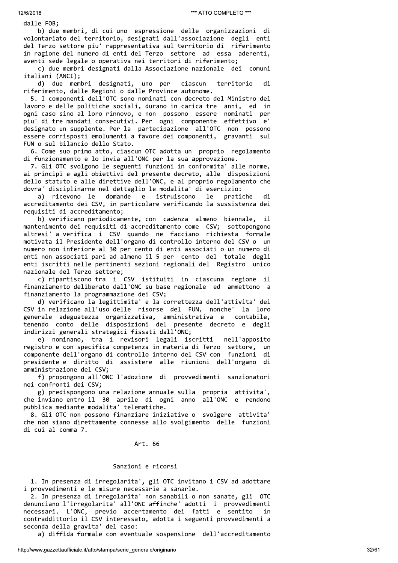dalle FOB;

b) due membri, di cui uno espressione delle organizzazioni di volontariato del territorio, designati dall'associazione degli enti del Terzo settore piu' rappresentativa sul territorio di riferimento in ragione del numero di enti del Terzo settore ad essa aderenti, aventi sede legale o operativa nei territori di riferimento;

c) due membri designati dalla Associazione nazionale dei comuni italiani (ANCI);

d) due membri designati, uno per territorio di ciascun riferimento, dalle Regioni o dalle Province autonome.

5. I componenti dell'OTC sono nominati con decreto del Ministro del lavoro e delle politiche sociali, durano in carica tre anni, ed in ogni caso sino al loro rinnovo, e non possono essere nominati per piu' di tre mandati consecutivi. Per ogni componente effettivo e' designato un supplente. Per la partecipazione all'OTC non possono essere corrisposti emolumenti a favore dei componenti, gravanti sul FUN o sul bilancio dello Stato.

6. Come suo primo atto, ciascun OTC adotta un proprio regolamento di funzionamento e lo invia all'ONC per la sua approvazione.

7. Gli OTC svolgono le seguenti funzioni in conformita' alle norme, ai principi e agli obiettivi del presente decreto, alle disposizioni dello statuto e alle direttive dell'ONC, e al proprio regolamento che dovra' disciplinarne nel dettaglio le modalita' di esercizio:

a) ricevono le domande  $^{\circ}$ e istruiscono le pratiche di accreditamento dei CSV, in particolare verificando la sussistenza dei requisiti di accreditamento;

b) verificano periodicamente, con cadenza almeno biennale,  $11$ mantenimento dei requisiti di accreditamento come CSV; sottopongono altresi' a verifica i CSV quando ne facciano richiesta formale motivata il Presidente dell'organo di controllo interno del CSV o un numero non inferiore al 30 per cento di enti associati o un numero di enti non associati pari ad almeno il 5 per cento del totale degli enti iscritti nelle pertinenti sezioni regionali del Registro unico nazionale del Terzo settore;

c) ripartiscono tra i CSV istituiti in ciascuna regione il finanziamento deliberato dall'ONC su base regionale ed ammettono a finanziamento la programmazione dei CSV;

d) verificano la legittimita' e la correttezza dell'attivita' dei CSV in relazione all'uso delle risorse del FUN, nonche' la loro generale adeguatezza organizzativa, amministrativa e contabile, tenendo conto delle disposizioni del presente decreto e degli indirizzi generali strategici fissati dall'ONC;

e) nominano, tra i revisori legali iscritti nell'apposito registro e con specifica competenza in materia di Terzo settore, un componente dell'organo di controllo interno del CSV con funzioni di presidente e diritto di assistere alle riunioni dell'organo di amministrazione del CSV;

f) propongono all'ONC l'adozione di provvedimenti sanzionatori nei confronti dei CSV;

g) predispongono una relazione annuale sulla propria attivita', che inviano entro il 30 aprile di ogni anno all'ONC e rendono pubblica mediante modalita' telematiche.

8. Gli OTC non possono finanziare iniziative o svolgere attivita' che non siano direttamente connesse allo svolgimento delle funzioni di cui al comma 7.

Art. 66

# Sanzioni e ricorsi

1. In presenza di irregolarita', gli OTC invitano i CSV ad adottare i provvedimenti e le misure necessarie a sanarle.

2. In presenza di irregolarita' non sanabili o non sanate, gli OTC denunciano l'irregolarita' all'ONC affinche' adotti i provvedimenti necessari. L'ONC, previo accertamento dei fatti e sentito in contraddittorio il CSV interessato, adotta i seguenti provvedimenti a seconda della gravita' del caso:

a) diffida formale con eventuale sospensione dell'accreditamento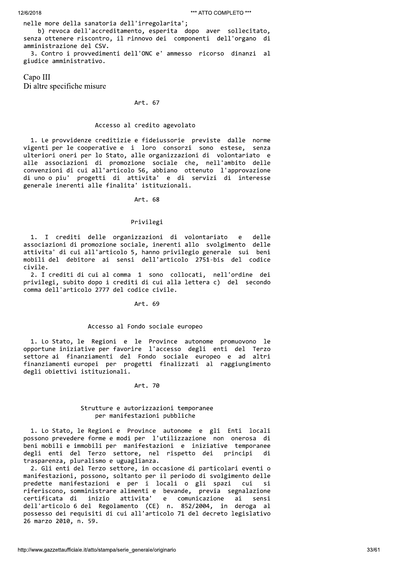nelle more della sanatoria dell'irregolarita';

b) revoca dell'accreditamento, esperita dopo aver sollecitato, senza ottenere riscontro, il rinnovo dei componenti dell'organo di amministrazione del CSV.

3. Contro i provvedimenti dell'ONC e' ammesso ricorso dinanzi al giudice amministrativo.

Capo III Di altre specifiche misure

## Art. 67

# Accesso al credito agevolato

1. Le provvidenze creditizie e fideiussorie previste dalle norme vigenti per le cooperative e i loro consorzi sono estese, senza ulteriori oneri per lo Stato, alle organizzazioni di volontariato e alle associazioni di promozione sociale che, nell'ambito delle convenzioni di cui all'articolo 56, abbiano ottenuto l'approvazione di uno o piu' progetti di attivita' e di servizi di interesse generale inerenti alle finalita' istituzionali.

Art. 68

# Privilegi

1. I crediti delle organizzazioni di volontariato delle  $\mathbf{P}$ associazioni di promozione sociale, inerenti allo svolgimento delle attivita' di cui all'articolo 5, hanno privilegio generale sui beni mobili del debitore ai sensi dell'articolo 2751-bis del codice civile.

2. I crediti di cui al comma 1 sono collocati, nell'ordine dei privilegi, subito dopo i crediti di cui alla lettera c) del secondo comma dell'articolo 2777 del codice civile.

Art. 69

# Accesso al Fondo sociale europeo

1. Lo Stato, le Regioni e le Province autonome promuovono le opportune iniziative per favorire l'accesso degli enti del Terzo settore ai finanziamenti del Fondo sociale europeo e ad altri finanziamenti europei per progetti finalizzati al raggiungimento degli obiettivi istituzionali.

# Art. 70

# Strutture e autorizzazioni temporanee per manifestazioni pubbliche

1. Lo Stato, le Regioni e Province autonome e gli Enti locali possono prevedere forme e modi per l'utilizzazione non onerosa di beni mobili e immobili per manifestazioni e iniziative temporanee degli enti del Terzo settore, nel rispetto dei principi di trasparenza, pluralismo e uguaglianza.

2. Gli enti del Terzo settore, in occasione di particolari eventi o manifestazioni, possono, soltanto per il periodo di svolgimento delle predette manifestazioni e per i locali o gli spazi cui si riferiscono, somministrare alimenti e bevande, previa segnalazione inizio attivita' certificata di e comunicazione ai sensi dell'articolo 6 del Regolamento (CE) n. 852/2004, in deroga al possesso dei requisiti di cui all'articolo 71 del decreto legislativo 26 marzo 2010, n. 59.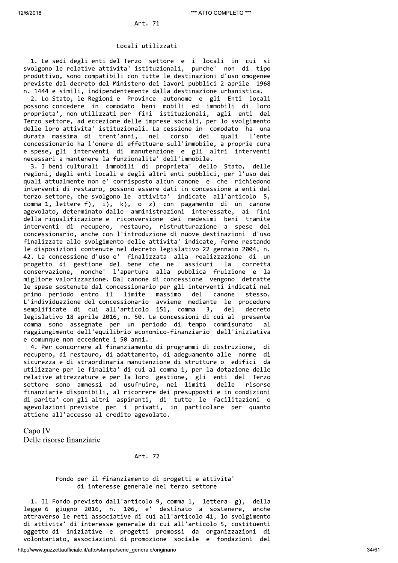### Locali utilizzati

1. Le sedi degli enti del Terzo settore e i locali in cui si svolgono le relative attivita' istituzionali, purche' non di tipo produttivo, sono compatibili con tutte le destinazioni d'uso omogenee previste dal decreto del Ministero dei lavori pubblici 2 aprile 1968 n. 1444 e simili, indipendentemente dalla destinazione urbanistica.

2. Lo Stato, le Regioni e Province autonome e gli Enti locali possono concedere in comodato beni mobili ed immobili di loro proprieta', non utilizzati per fini istituzionali, agli enti del Terzo settore, ad eccezione delle imprese sociali, per lo svolgimento delle loro attivita' istituzionali. La cessione in comodato ha una durata massima di trent'anni, nel dei corso auali l'ente concessionario ha l'onere di effettuare sull'immobile, a proprie cura e spese, gli interventi di manutenzione e gli altri interventi necessari a mantenere la funzionalita' dell'immobile.

3. I beni culturali immobili di proprieta' dello Stato, delle regioni, degli enti locali e degli altri enti pubblici, per l'uso dei quali attualmente non e' corrisposto alcun canone e che richiedono interventi di restauro, possono essere dati in concessione a enti del terzo settore, che svolgono le attivita' indicate all'articolo 5, comma 1, lettere f), i), k), o z) con pagamento di un canone agevolato, determinato dalle amministrazioni interessate, ai fini della riqualificazione e riconversione dei medesimi beni tramite interventi di recupero, restauro, ristrutturazione a spese del concessionario, anche con l'introduzione di nuove destinazioni d'uso finalizzate allo svolgimento delle attivita' indicate, ferme restando le disposizioni contenute nel decreto legislativo 22 gennaio 2004, n. 42. La concessione d'uso e' finalizzata alla realizzazione di un progetto di gestione del bene che ne assicuri la corretta conservazione, nonche' l'apertura alla pubblica fruizione e la migliore valorizzazione. Dal canone di concessione vengono detratte le spese sostenute dal concessionario per gli interventi indicati nel primo periodo entro il limite massimo del canone stesso. L'individuazione del concessionario avviene mediante le procedure semplificate di cui all'articolo 151, comma  $3,$ del decreto legislativo 18 aprile 2016, n. 50. Le concessioni di cui al presente comma sono assegnate per un periodo di tempo commisurato  $a<sub>1</sub>$ raggiungimento dell'equilibrio economico-finanziario dell'iniziativa e comunque non eccedente i 50 anni.

4. Per concorrere al finanziamento di programmi di costruzione, di recupero, di restauro, di adattamento, di adeguamento alle norme di sicurezza e di straordinaria manutenzione di strutture o edifici da utilizzare per le finalita' di cui al comma 1, per la dotazione delle relative attrezzature e per la loro gestione, gli enti del Terzo settore sono ammessi ad usufruire, nei limiti delle risorse finanziarie disponibili, al ricorrere dei presupposti e in condizioni di parita' con gli altri aspiranti, di tutte le facilitazioni o agevolazioni previste per i privati, in particolare per quanto attiene all'accesso al credito agevolato.

Capo IV Delle risorse finanziarie

Art. 72

# Fondo per il finanziamento di progetti e attivita' di interesse generale nel terzo settore

1. Il Fondo previsto dall'articolo 9, comma 1, lettera g), della legge 6 giugno 2016, n. 106, e' destinato a sostenere, anche attraverso le reti associative di cui all'articolo 41, lo svolgimento di attivita' di interesse generale di cui all'articolo 5, costituenti oggetto di iniziative e progetti promossi da organizzazioni di volontariato, associazioni di promozione sociale e fondazioni del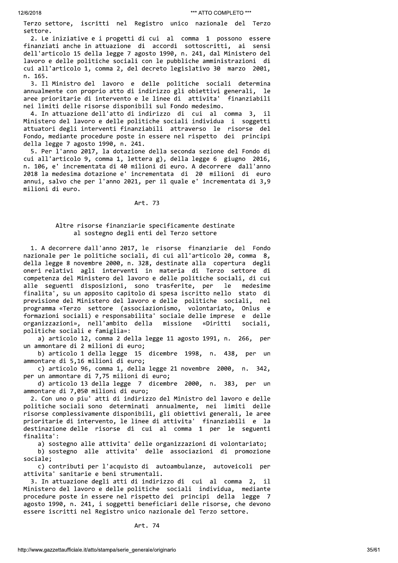Terzo settore, iscritti nel Registro unico nazionale del Terzo settore.

2. Le iniziative e i progetti di cui al comma 1 possono essere finanziati anche in attuazione di accordi sottoscritti, ai sensi dell'articolo 15 della legge 7 agosto 1990, n. 241, dal Ministero del lavoro e delle politiche sociali con le pubbliche amministrazioni di cui all'articolo 1, comma 2, del decreto legislativo 30 marzo 2001, n. 165.

3. Il Ministro del lavoro e delle politiche sociali determina annualmente con proprio atto di indirizzo gli obiettivi generali, le aree prioritarie di intervento e le linee di attivita' finanziabili nei limiti delle risorse disponibili sul Fondo medesimo.

4. In attuazione dell'atto di indirizzo di cui al comma 3, il Ministero del lavoro e delle politiche sociali individua i soggetti attuatori degli interventi finanziabili attraverso le risorse del Fondo, mediante procedure poste in essere nel rispetto dei principi della legge 7 agosto 1990, n. 241.

5. Per l'anno 2017, la dotazione della seconda sezione del Fondo di cui all'articolo 9, comma 1, lettera g), della legge 6 giugno 2016, n. 106, e' incrementata di 40 milioni di euro. A decorrere dall'anno 2018 la medesima dotazione e' incrementata di 20 milioni di euro annui, salvo che per l'anno 2021, per il quale e' incrementata di 3,9 milioni di euro.

# Art. 73

# Altre risorse finanziarie specificamente destinate al sostegno degli enti del Terzo settore

1. A decorrere dall'anno 2017, le risorse finanziarie del Fondo nazionale per le politiche sociali, di cui all'articolo 20, comma 8, della legge 8 novembre 2000, n. 328, destinate alla copertura degli oneri relativi agli interventi in materia di Terzo settore di competenza del Ministero del lavoro e delle politiche sociali, di cui alle seguenti disposizioni, sono trasferite, per le medesime finalita', su un apposito capitolo di spesa iscritto nello stato di previsione del Ministero del lavoro e delle politiche sociali, nel programma «Terzo settore (associazionismo, volontariato, Onlus e formazioni sociali) e responsabilita' sociale delle imprese e delle organizzazioni», nell'ambito della missione «Diritti sociali, politiche sociali e famiglia»:

a) articolo 12, comma 2 della legge 11 agosto 1991, n. 266, per un ammontare di 2 milioni di euro;

b) articolo 1 della legge 15 dicembre 1998, n. 438, per un ammontare di 5,16 milioni di euro;

c) articolo 96, comma 1, della legge 21 novembre 2000, n. 342, per un ammontare di 7,75 milioni di euro;

d) articolo 13 della legge 7 dicembre 2000, n. 383, per un ammontare di 7,050 milioni di euro;

2. Con uno o piu' atti di indirizzo del Ministro del lavoro e delle politiche sociali sono determinati annualmente, nei limiti delle risorse complessivamente disponibili, gli obiettivi generali, le aree prioritarie di intervento, le linee di attivita' finanziabili e la destinazione delle risorse di cui al comma 1 per le seguenti finalita':

a) sostegno alle attivita' delle organizzazioni di volontariato;

b) sostegno alle attivita' delle associazioni di promozione sociale:

c) contributi per l'acquisto di autoambulanze, autoveicoli per attivita' sanitarie e beni strumentali.

3. In attuazione degli atti di indirizzo di cui al comma 2, il Ministero del lavoro e delle politiche sociali individua, mediante procedure poste in essere nel rispetto dei principi della legge 7 agosto 1990, n. 241, i soggetti beneficiari delle risorse, che devono essere iscritti nel Registro unico nazionale del Terzo settore.

Art. 74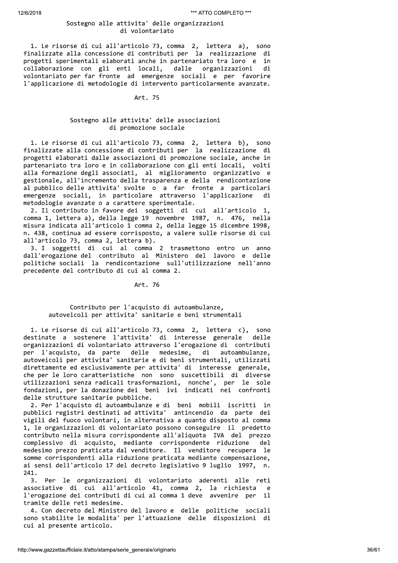# Sostegno alle attivita' delle organizzazioni di volontariato

1. Le risorse di cui all'articolo 73, comma 2, lettera a), sono finalizzate alla concessione di contributi per la realizzazione di progetti sperimentali elaborati anche in partenariato tra loro e in collaborazione con gli enti locali, dalle organizzazioni di volontariato per far fronte ad emergenze sociali e per favorire l'applicazione di metodologie di intervento particolarmente avanzate.

#### Art. 75

# Sostegno alle attivita' delle associazioni di promozione sociale

1. Le risorse di cui all'articolo 73, comma 2, lettera b), sono finalizzate alla concessione di contributi per la realizzazione di progetti elaborati dalle associazioni di promozione sociale, anche in partenariato tra loro e in collaborazione con gli enti locali, volti alla formazione degli associati, al miglioramento organizzativo e gestionale, all'incremento della trasparenza e della rendicontazione al pubblico delle attivita' svolte o a far fronte a particolari emergenze sociali, in particolare attraverso l'applicazione di metodologie avanzate o a carattere sperimentale.

2. Il contributo in favore dei soggetti di cui all'articolo 1, comma 1, lettera a), della legge 19 novembre 1987, n. 476, nella misura indicata all'articolo 1 comma 2, della legge 15 dicembre 1998, n. 438, continua ad essere corrisposto, a valere sulle risorse di cui all'articolo 73, comma 2, lettera b).

3. I soggetti di cui al comma 2 trasmettono entro un anno dall'erogazione del contributo al Ministero del lavoro e delle politiche sociali la rendicontazione sull'utilizzazione nell'anno precedente del contributo di cui al comma 2.

#### Art. 76

# Contributo per l'acquisto di autoambulanze, autoveicoli per attivita' sanitarie e beni strumentali

1. Le risorse di cui all'articolo 73, comma 2, lettera c), sono destinate a sostenere l'attivita' di interesse generale delle organizzazioni di volontariato attraverso l'erogazione di contributi per l'acquisto, da parte delle medesime, di autoambulanze. autoveicoli per attivita' sanitarie e di beni strumentali, utilizzati direttamente ed esclusivamente per attivita' di interesse generale, che per le loro caratteristiche non sono suscettibili di diverse utilizzazioni senza radicali trasformazioni, nonche', per le sole<br>fondazioni, per la donazione dei beni ivi indicati nei confronti delle strutture sanitarie pubbliche.

2. Per l'acquisto di autoambulanze e di beni mobili iscritti in pubblici registri destinati ad attivita' antincendio da parte dei vigili del fuoco volontari, in alternativa a quanto disposto al comma 1, le organizzazioni di volontariato possono conseguire il predetto contributo nella misura corrispondente all'aliquota IVA del prezzo complessivo di acquisto, mediante corrispondente riduzione del d medesimo prezzo praticata dal venditore. Il venditore recupera le somme corrispondenti alla riduzione praticata mediante compensazione, ai sensi dell'articolo 17 del decreto legislativo 9 luglio 1997,  $n$ . 241.

Per le organizzazioni di volontariato aderenti alle reti  $3.$ associative di cui all'articolo 41, comma 2, la richiesta - e l'erogazione dei contributi di cui al comma 1 deve avvenire per il tramite delle reti medesime.

4. Con decreto del Ministro del lavoro e delle politiche sociali sono stabilite le modalita' per l'attuazione delle disposizioni di cui al presente articolo.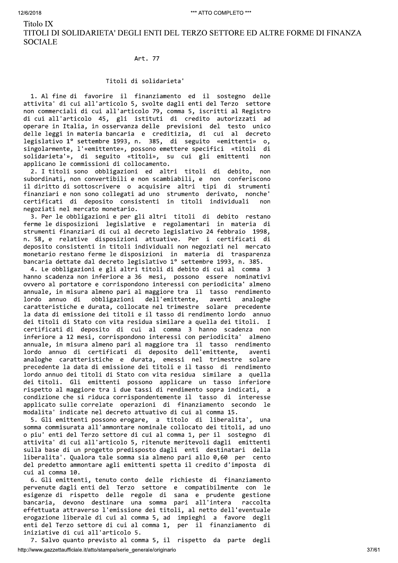Titolo IX

TITOLI DI SOLIDARIETA' DEGLI ENTI DEL TERZO SETTORE ED ALTRE FORME DI FINANZA **SOCIALE** 

Art. 77

# Titoli di solidarieta'

1. Al fine di favorire il finanziamento ed il sostegno delle attivita' di cui all'articolo 5, svolte dagli enti del Terzo settore non commerciali di cui all'articolo 79, comma 5, iscritti al Registro di cui all'articolo 45, gli istituti di credito autorizzati ad operare in Italia, in osservanza delle previsioni del testo unico delle leggi in materia bancaria e creditizia, di cui al decreto legislativo 1º settembre 1993, n. 385, di seguito «emittenti»  $\mathsf{o},$ singolarmente, l'«emittente», possono emettere specifici «titoli di solidarieta'», di seguito «titoli», su cui gli emittenti  $non$ applicano le commissioni di collocamento.

2. I titoli sono obbligazioni ed altri titoli di debito, non subordinati, non convertibili e non scambiabili, e non conferiscono il diritto di sottoscrivere o acquisire altri tipi di strumenti finanziari e non sono collegati ad uno strumento derivato, nonche' certificati di deposito consistenti in titoli individuali  $non$ negoziati nel mercato monetario.

3. Per le obbligazioni e per gli altri titoli di debito restano ferme le disposizioni legislative e regolamentari in materia di strumenti finanziari di cui al decreto legislativo 24 febbraio 1998, n. 58, e relative disposizioni attuative. Per i certificati di deposito consistenti in titoli individuali non negoziati nel mercato monetario restano ferme le disposizioni in materia di trasparenza bancaria dettate dal decreto legislativo 1º settembre 1993, n. 385.

4. Le obbligazioni e gli altri titoli di debito di cui al comma 3 hanno scadenza non inferiore a 36 mesi, possono essere nominativi ovvero al portatore e corrispondono interessi con periodicita' almeno annuale, in misura almeno pari al maggiore tra il tasso rendimento obbligazioni dell'emittente, aventi analoghe lordo annuo di caratteristiche e durata, collocate nel trimestre solare precedente la data di emissione dei titoli e il tasso di rendimento lordo annuo dei titoli di Stato con vita residua similare a quella dei titoli. I certificati di deposito di cui al comma 3 hanno scadenza non inferiore a 12 mesi, corrispondono interessi con periodicita' almeno annuale, in misura almeno pari al maggiore tra il tasso rendimento lordo annuo di certificati di deposito dell'emittente, aventi analoghe caratteristiche e durata, emessi nel trimestre solare precedente la data di emissione dei titoli e il tasso di rendimento lordo annuo dei titoli di Stato con vita residua similare a quella dei titoli. Gli emittenti possono applicare un tasso inferiore rispetto al maggiore tra i due tassi di rendimento sopra indicati, a condizione che si riduca corrispondentemente il tasso di interesse applicato sulle correlate operazioni di finanziamento secondo le modalita' indicate nel decreto attuativo di cui al comma 15.

5. Gli emittenti possono erogare, a titolo di liberalita', una somma commisurata all'ammontare nominale collocato dei titoli, ad uno o piu' enti del Terzo settore di cui al comma 1, per il sostegno di attivita' di cui all'articolo 5, ritenute meritevoli dagli emittenti sulla base di un progetto predisposto dagli enti destinatari della liberalita'. Qualora tale somma sia almeno pari allo 0,60 per cento del predetto ammontare agli emittenti spetta il credito d'imposta di cui al comma 10.

6. Gli emittenti, tenuto conto delle richieste di finanziamento pervenute dagli enti del Terzo settore e compatibilmente con le esigenze di rispetto delle regole di sana e prudente gestione<br>bancaria, devono destinare una somma pari all'intera raccolta effettuata attraverso l'emissione dei titoli, al netto dell'eventuale erogazione liberale di cui al comma 5, ad impieghi a favore degli enti del Terzo settore di cui al comma 1, per il finanziamento di iniziative di cui all'articolo 5.

7. Salvo quanto previsto al comma 5, il rispetto da parte degli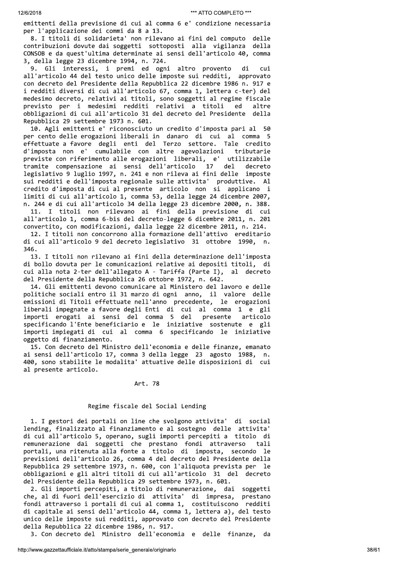emittenti della previsione di cui al comma 6 e' condizione necessaria per l'applicazione dei commi da 8 a 13.

8. I titoli di solidarieta' non rilevano ai fini del computo delle contribuzioni dovute dai soggetti sottoposti alla vigilanza della CONSOB e da quest'ultima determinate ai sensi dell'articolo 40, comma 3, della legge 23 dicembre 1994, n. 724.

9. Gli interessi, i premi ed ogni altro provento di cui all'articolo 44 del testo unico delle imposte sui redditi, approvato con decreto del Presidente della Repubblica 22 dicembre 1986 n. 917 e i redditi diversi di cui all'articolo 67, comma 1, lettera c-ter) del medesimo decreto, relativi ai titoli, sono soggetti al regime fiscale previsto per i medesimi redditi relativi a titoli ed altre obbligazioni di cui all'articolo 31 del decreto del Presidente della Repubblica 29 settembre 1973 n. 601.

10. Agli emittenti e' riconosciuto un credito d'imposta pari al 50 per cento delle erogazioni liberali in danaro di cui al comma 5 effettuate a favore degli enti del Terzo settore. Tale credito d'imposta non e' cumulabile con altre agevolazioni tributarie previste con riferimento alle erogazioni liberali, e' utilizzabile 17 tramite compensazione ai sensi dell'articolo del decreto legislativo 9 luglio 1997, n. 241 e non rileva ai fini delle imposte sui redditi e dell'imposta regionale sulle attivita' produttive. Al credito d'imposta di cui al presente articolo non si applicano i limiti di cui all'articolo 1, comma 53, della legge 24 dicembre 2007, n. 244 e di cui all'articolo 34 della legge 23 dicembre 2000, n. 388. 11. I titoli non rilevano ai fini della previsione di cui all'articolo 1, comma 6-bis del decreto-legge 6 dicembre 2011, n. 201 convertito, con modificazioni, dalla legge 22 dicembre 2011, n. 214.

12. I titoli non concorrono alla formazione dell'attivo ereditario di cui all'articolo 9 del decreto legislativo 31 ottobre 1990,  $n$ . 346.

13. I titoli non rilevano ai fini della determinazione dell'imposta di bollo dovuta per le comunicazioni relative ai depositi titoli, di cui alla nota 2-ter dell'allegato A - Tariffa (Parte I), al decreto del Presidente della Repubblica 26 ottobre 1972, n. 642.

14. Gli emittenti devono comunicare al Ministero del lavoro e delle politiche sociali entro il 31 marzo di ogni anno, il valore delle emissioni di Titoli effettuate nell'anno precedente, le erogazioni liberali impegnate a favore degli Enti di cui al comma 1 e gli importi erogati ai sensi del comma 5 del presente articolo specificando l'Ente beneficiario e le iniziative sostenute e gli importi impiegati di cui al comma 6 specificando le iniziative oggetto di finanziamento.

15. Con decreto del Ministro dell'economia e delle finanze, emanato ai sensi dell'articolo 17, comma 3 della legge 23 agosto 1988, n. 400, sono stabilite le modalita' attuative delle disposizioni di cui al presente articolo.

# Art. 78

# Regime fiscale del Social Lending

1. I gestori dei portali on line che svolgono attivita' di social lending, finalizzato al finanziamento e al sostegno delle attivita' di cui all'articolo 5, operano, sugli importi percepiti a titolo di remunerazione dai soggetti che prestano fondi attraverso tali portali, una ritenuta alla fonte a titolo di imposta, secondo le previsioni dell'articolo 26, comma 4 del decreto del Presidente della Repubblica 29 settembre 1973, n. 600, con l'aliquota prevista per le obbligazioni e gli altri titoli di cui all'articolo 31 del decreto del Presidente della Repubblica 29 settembre 1973, n. 601.

2. Gli importi percepiti, a titolo di remunerazione, dai soggetti che, al di fuori dell'esercizio di attivita' di impresa, prestano fondi attraverso i portali di cui al comma 1, costituiscono redditi di capitale ai sensi dell'articolo 44, comma 1, lettera a), del testo unico delle imposte sui redditi, approvato con decreto del Presidente della Repubblica 22 dicembre 1986, n. 917.

3. Con decreto del Ministro dell'economia e delle finanze, da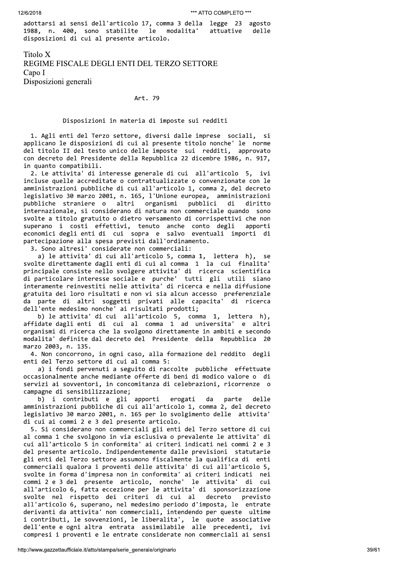adottarsi ai sensi dell'articolo 17, comma 3 della legge 23 agosto 1988, n. 400, sono stabilite le modalita' attuative delle disposizioni di cui al presente articolo.

Titolo X REGIME FISCALE DEGLI ENTI DEL TERZO SETTORE Capo I Disposizioni generali

# Art. 79

# Disposizioni in materia di imposte sui redditi

1. Agli enti del Terzo settore, diversi dalle imprese sociali, si applicano le disposizioni di cui al presente titolo nonche' le norme del titolo II del testo unico delle imposte sui redditi, approvato con decreto del Presidente della Repubblica 22 dicembre 1986, n. 917, in quanto compatibili.

2. Le attivita' di interesse generale di cui all'articolo 5, ivi incluse quelle accreditate o contrattualizzate o convenzionate con le amministrazioni pubbliche di cui all'articolo 1, comma 2, del decreto legislativo 30 marzo 2001, n. 165, l'Unione europea, amministrazioni pubbliche straniere o altri organismi pubblici di diritto internazionale, si considerano di natura non commerciale quando sono svolte a titolo gratuito o dietro versamento di corrispettivi che non superano i costi effettivi, tenuto anche conto degli apporti economici degli enti di cui sopra e salvo eventuali importi di partecipazione alla spesa previsti dall'ordinamento.

3. Sono altresi' considerate non commerciali:

a) le attivita' di cui all'articolo 5, comma 1, lettera h), se svolte direttamente dagli enti di cui al comma 1 la cui finalita' principale consiste nello svolgere attivita' di ricerca scientifica di particolare interesse sociale e purche' tutti gli utili siano interamente reinvestiti nelle attivita' di ricerca e nella diffusione gratuita dei loro risultati e non vi sia alcun accesso preferenziale da parte di altri soggetti privati alle capacita' di ricerca dell'ente medesimo nonche' ai risultati prodotti;

b) le attivita' di cui all'articolo 5, comma 1, lettera h), affidate dagli enti di cui al comma 1 ad universita' e altri organismi di ricerca che la svolgono direttamente in ambiti e secondo modalita' definite dal decreto del Presidente della Repubblica 20 marzo 2003, n. 135.

4. Non concorrono, in ogni caso, alla formazione del reddito degli enti del Terzo settore di cui al comma 5:

a) i fondi pervenuti a seguito di raccolte pubbliche effettuate occasionalmente anche mediante offerte di beni di modico valore o di servizi ai sovventori, in concomitanza di celebrazioni, ricorrenze o campagne di sensibilizzazione;

b) i contributi e gli apporti erogati da parte delle amministrazioni pubbliche di cui all'articolo 1, comma 2, del decreto legislativo 30 marzo 2001, n. 165 per lo svolgimento delle attivita' di cui ai commi 2 e 3 del presente articolo.

5. Si considerano non commerciali gli enti del Terzo settore di cui al comma 1 che svolgono in via esclusiva o prevalente le attivita' di cui all'articolo 5 in conformita' ai criteri indicati nei commi 2 e 3 del presente articolo. Indipendentemente dalle previsioni statutarie gli enti del Terzo settore assumono fiscalmente la qualifica di enti commerciali qualora i proventi delle attivita' di cui all'articolo 5, svolte in forma d'impresa non in conformita' ai criteri indicati nei commi 2 e 3 del presente articolo, nonche' le attivita' di cui all'articolo 6, fatta eccezione per le attivita' di sponsorizzazione svolte nel rispetto dei criteri di cui al decreto previsto all'articolo 6, superano, nel medesimo periodo d'imposta, le entrate derivanti da attivita' non commerciali, intendendo per queste ultime i contributi, le sovvenzioni, le liberalita', le quote associative dell'ente e ogni altra entrata assimilabile alle precedenti, ivi compresi i proventi e le entrate considerate non commerciali ai sensi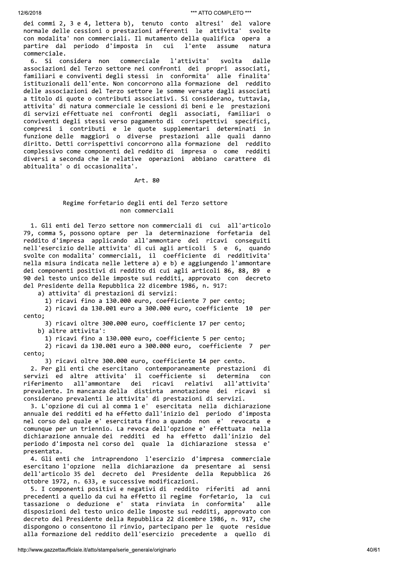dei commi 2, 3 e 4, lettera b), tenuto conto altresi' del valore normale delle cessioni o prestazioni afferenti le attivita' svolte con modalita' non commerciali. Il mutamento della qualifica opera a partire dal periodo d'imposta in cui l'ente assume natura commerciale.

6. Si considera non commerciale l'attivita' svolta dalle associazioni del Terzo settore nei confronti dei propri associati, familiari e conviventi degli stessi in conformita' alle finalita' istituzionali dell'ente. Non concorrono alla formazione del reddito delle associazioni del Terzo settore le somme versate dagli associati a titolo di quote o contributi associativi. Si considerano, tuttavia, attivita' di natura commerciale le cessioni di beni e le prestazioni di servizi effettuate nei confronti degli associati, familiari o conviventi degli stessi verso pagamento di corrispettivi specifici, compresi i contributi e le quote supplementari determinati in funzione delle maggiori o diverse prestazioni alle quali danno diritto. Detti corrispettivi concorrono alla formazione del reddito complessivo come componenti del reddito di impresa o come redditi diversi a seconda che le relative operazioni abbiano carattere di abitualita' o di occasionalita'.

Art. 80

# Regime forfetario degli enti del Terzo settore non commerciali

1. Gli enti del Terzo settore non commerciali di cui all'articolo 79, comma 5, possono optare per la determinazione forfetaria del reddito d'impresa applicando all'ammontare dei ricavi conseguiti nell'esercizio delle attivita' di cui agli articoli 5 e 6, quando svolte con modalita' commerciali, il coefficiente di redditivita' nella misura indicata nelle lettere a) e b) e aggiungendo l'ammontare dei componenti positivi di reddito di cui agli articoli 86, 88, 89 e 90 del testo unico delle imposte sui redditi, approvato con decreto del Presidente della Repubblica 22 dicembre 1986, n. 917:

a) attivita' di prestazioni di servizi:

1) ricavi fino a 130.000 euro, coefficiente 7 per cento;

2) ricavi da 130.001 euro a 300.000 euro, coefficiente 10 per cento;

3) ricavi oltre 300.000 euro, coefficiente 17 per cento; b) altre attivita':

1) ricavi fino a 130.000 euro, coefficiente 5 per cento;

2) ricavi da 130.001 euro a 300.000 euro, coefficiente 7 per cento;

3) ricavi oltre 300.000 euro, coefficiente 14 per cento.

2. Per gli enti che esercitano contemporaneamente prestazioni di servizi ed altre attivita' il coefficiente si determina con riferimento all'ammontare dei ricavi relativi all'attivita' prevalente. In mancanza della distinta annotazione dei ricavi si considerano prevalenti le attivita' di prestazioni di servizi.

3. L'opzione di cui al comma 1 e' esercitata nella dichiarazione annuale dei redditi ed ha effetto dall'inizio del periodo d'imposta nel corso del quale e' esercitata fino a quando non e' revocata e comunque per un triennio. La revoca dell'opzione e' effettuata nella dichiarazione annuale dei redditi ed ha effetto dall'inizio del periodo d'imposta nel corso del quale la dichiarazione stessa e' presentata.

4. Gli enti che intraprendono l'esercizio d'impresa commerciale esercitano l'opzione nella dichiarazione da presentare ai sensi dell'articolo 35 del decreto del Presidente della Repubblica 26 ottobre 1972, n. 633, e successive modificazioni.

5. I componenti positivi e negativi di reddito riferiti ad anni precedenti a quello da cui ha effetto il regime forfetario, la cui tassazione o deduzione e' stata rinviata in conformita' alle disposizioni del testo unico delle imposte sui redditi, approvato con decreto del Presidente della Repubblica 22 dicembre 1986, n. 917, che dispongono o consentono il rinvio, partecipano per le quote residue alla formazione del reddito dell'esercizio precedente a quello di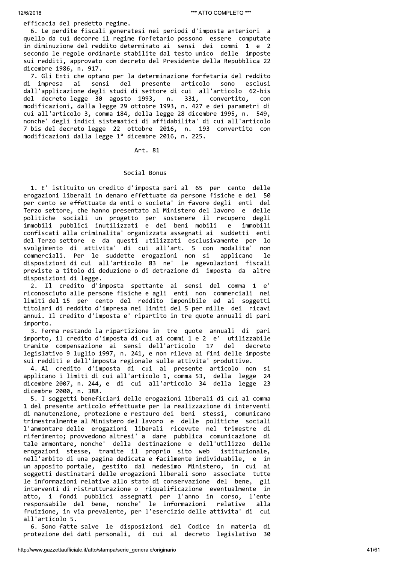efficacia del predetto regime.

6. Le perdite fiscali generatesi nei periodi d'imposta anteriori a quello da cui decorre il regime forfetario possono essere computate in diminuzione del reddito determinato ai sensi dei commi 1 e 2 secondo le regole ordinarie stabilite dal testo unico delle imposte sui redditi, approvato con decreto del Presidente della Repubblica 22 dicembre 1986, n. 917.

7. Gli Enti che optano per la determinazione forfetaria del reddito di impresa sensi presente articolo sono ai del esclusi dall'applicazione degli studi di settore di cui all'articolo 62-bis del decreto-legge 30 agosto 1993, n. 331, convertito, con modificazioni, dalla legge 29 ottobre 1993, n. 427 e dei parametri di cui all'articolo 3, comma 184, della legge 28 dicembre 1995, n. 549, nonche' degli indici sistematici di affidabilita' di cui all'articolo 7-bis del decreto-legge 22 ottobre 2016, n. 193 convertito con modificazioni dalla legge 1º dicembre 2016, n. 225.

Art. 81

# Social Bonus

1. E' istituito un credito d'imposta pari al 65 per cento delle erogazioni liberali in denaro effettuate da persone fisiche e del 50 per cento se effettuate da enti o societa' in favore degli enti del Terzo settore, che hanno presentato al Ministero del lavoro e delle politiche sociali un progetto per sostenere il recupero degli<br>immobili pubblici inutilizzati e dei beni mobili e immobili confiscati alla criminalita' organizzata assegnati ai suddetti enti del Terzo settore e da questi utilizzati esclusivamente per lo svolgimento di attivita' di cui all'art. 5 con modalita' non commerciali. Per le suddette erogazioni non si applicano  $1e$ disposizioni di cui all'articolo 83 ne' le agevolazioni fiscali previste a titolo di deduzione o di detrazione di imposta da altre disposizioni di legge.

2. Il credito d'imposta spettante ai sensi del comma 1 e' riconosciuto alle persone fisiche e agli enti non commerciali nei limiti del 15 per cento del reddito imponibile ed ai soggetti titolari di reddito d'impresa nei limiti del 5 per mille dei ricavi annui. Il credito d'imposta e' ripartito in tre quote annuali di pari importo.

3. Ferma restando la ripartizione in tre quote annuali di pari importo, il credito d'imposta di cui ai commi 1 e 2 e' utilizzabile tramite compensazione ai sensi dell'articolo 17  $de1$ decreto legislativo 9 luglio 1997, n. 241, e non rileva ai fini delle imposte sui redditi e dell'imposta regionale sulle attivita' produttive.

4. Al credito d'imposta di cui al presente articolo non si applicano i limiti di cui all'articolo 1, comma 53, della legge 24 dicembre 2007, n. 244, e di cui all'articolo 34 della legge 23 dicembre 2000, n. 388.

5. I soggetti beneficiari delle erogazioni liberali di cui al comma 1 del presente articolo effettuate per la realizzazione di interventi di manutenzione, protezione e restauro dei beni stessi, comunicano trimestralmente al Ministero del lavoro e delle politiche sociali l'ammontare delle erogazioni liberali ricevute nel trimestre di riferimento; provvedono altresi' a dare pubblica comunicazione di tale ammontare, nonche' della destinazione e dell'utilizzo delle erogazioni stesse, tramite il proprio sito web istituzionale, nell'ambito di una pagina dedicata e facilmente individuabile, e in un apposito portale, gestito dal medesimo Ministero, in cui ai soggetti destinatari delle erogazioni liberali sono associate tutte le informazioni relative allo stato di conservazione del bene, gli interventi di ristrutturazione o riqualificazione eventualmente in atto, i fondi pubblici assegnati per l'anno in corso, l'ente responsabile del bene, nonche' le informazioni relative alla fruizione, in via prevalente, per l'esercizio delle attivita' di cui all'articolo 5.

6. Sono fatte salve le disposizioni del Codice in materia di protezione dei dati personali, di cui al decreto legislativo 30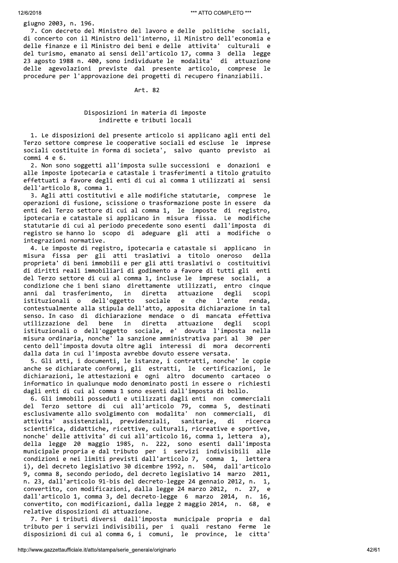# giugno 2003, n. 196.

7. Con decreto del Ministro del lavoro e delle politiche sociali, di concerto con il Ministro dell'interno, il Ministro dell'economia e delle finanze e il Ministro dei beni e delle attivita' culturali e del turismo, emanato ai sensi dell'articolo 17, comma 3 della legge 23 agosto 1988 n. 400, sono individuate le modalita' di attuazione delle agevolazioni previste dal presente articolo, comprese le procedure per l'approvazione dei progetti di recupero finanziabili.

#### Art. 82

# Disposizioni in materia di imposte indirette e tributi locali

1. Le disposizioni del presente articolo si applicano agli enti del Terzo settore comprese le cooperative sociali ed escluse le imprese sociali costituite in forma di societa', salvo quanto previsto ai commi 4 e 6.

2. Non sono soggetti all'imposta sulle successioni e donazioni e alle imposte ipotecaria e catastale i trasferimenti a titolo gratuito effettuati a favore degli enti di cui al comma 1 utilizzati ai sensi dell'articolo 8, comma 1.

3. Agli atti costitutivi e alle modifiche statutarie, comprese le operazioni di fusione, scissione o trasformazione poste in essere da enti del Terzo settore di cui al comma 1, le imposte di registro, ipotecaria e catastale si applicano in misura fissa. Le modifiche statutarie di cui al periodo precedente sono esenti dall'imposta di registro se hanno lo scopo di adeguare gli atti a modifiche o integrazioni normative.

4. Le imposte di registro, ipotecaria e catastale si applicano in misura fissa per gli atti traslativi a titolo oneroso della proprieta' di beni immobili e per gli atti traslativi o costituitivi di diritti reali immobiliari di godimento a favore di tutti gli enti del Terzo settore di cui al comma 1, incluse le imprese sociali, a condizione che i beni siano direttamente utilizzati, entro cinque anni dal trasferimento, in diretta attuazione degli sconi dell'oggetto sociale l'ente istituzionali o e che renda, contestualmente alla stipula dell'atto, apposita dichiarazione in tal senso. In caso di dichiarazione mendace o di mancata effettiva utilizzazione del bene in diretta attuazione degli scopi istituzionali o dell'oggetto sociale, e' dovuta l'imposta nella misura ordinaria, nonche' la sanzione amministrativa pari al 30 per cento dell'imposta dovuta oltre agli interessi di mora decorrenti dalla data in cui l'imposta avrebbe dovuto essere versata.

5. Gli atti, i documenti, le istanze, i contratti, nonche' le copie anche se dichiarate conformi, gli estratti, le certificazioni, le dichiarazioni, le attestazioni e ogni altro documento cartaceo o informatico in qualunque modo denominato posti in essere o richiesti dagli enti di cui al comma 1 sono esenti dall'imposta di bollo.

6. Gli immobili posseduti e utilizzati dagli enti non commerciali del Terzo settore di cui all'articolo 79, comma 5, destinati esclusivamente allo svolgimento con modalita' non commerciali, di attivita' assistenziali, previdenziali, sanitarie, di ricerca scientifica, didattiche, ricettive, culturali, ricreative e sportive, nonche' delle attivita' di cui all'articolo 16, comma 1, lettera a), della legge 20 maggio 1985, n. 222, sono esenti dall'imposta<br>municipale propria e dal tributo per i servizi indivisibili alle condizioni e nei limiti previsti dall'articolo 7, comma 1, lettera i), del decreto legislativo 30 dicembre 1992, n. 504, dall'articolo 9, comma 8, secondo periodo, del decreto legislativo 14 marzo 2011, n. 23, dall'articolo 91-bis del decreto-legge 24 gennaio 2012, n. 1, convertito, con modificazioni, dalla legge 24 marzo 2012, n. 27, e dall'articolo 1, comma 3, del decreto-legge 6 marzo 2014, n. 16, convertito, con modificazioni, dalla legge 2 maggio 2014, n. 68, e relative disposizioni di attuazione.

7. Per i tributi diversi dall'imposta municipale propria e dal tributo per i servizi indivisibili, per i quali restano ferme le disposizioni di cui al comma 6, i comuni, le province, le citta'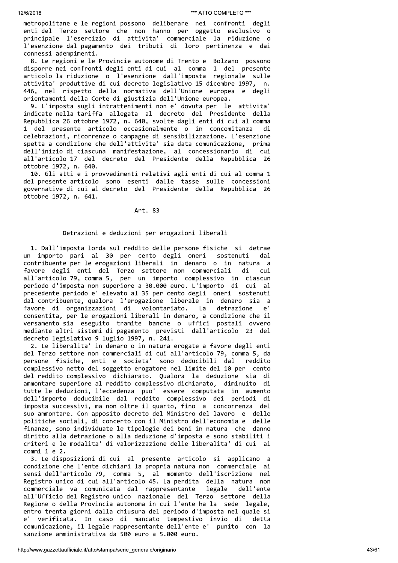metropolitane e le regioni possono deliberare nei confronti degli enti del Terzo settore che non hanno per oggetto esclusivo o principale l'esercizio di attivita' commerciale la riduzione o l'esenzione dal pagamento dei tributi di loro pertinenza e dai connessi adempimenti.

8. Le regioni e le Provincie autonome di Trento e Bolzano possono disporre nei confronti degli enti di cui al comma 1 del presente articolo la riduzione o l'esenzione dall'imposta regionale sulle attivita' produttive di cui decreto legislativo 15 dicembre 1997, n. 446, nel rispetto della normativa dell'Unione europea e degli orientamenti della Corte di giustizia dell'Unione europea.

9. L'imposta sugli intrattenimenti non e' dovuta per le attivita' indicate nella tariffa allegata al decreto del Presidente della Repubblica 26 ottobre 1972, n. 640, svolte dagli enti di cui al comma 1 del presente articolo occasionalmente o in concomitanza di celebrazioni, ricorrenze o campagne di sensibilizzazione. L'esenzione spetta a condizione che dell'attivita' sia data comunicazione, prima dell'inizio di ciascuna manifestazione, al concessionario di cui all'articolo 17 del decreto del Presidente della Repubblica 26 ottobre 1972, n. 640.

10. Gli atti e i provvedimenti relativi agli enti di cui al comma 1 del presente articolo sono esenti dalle tasse sulle concessioni governative di cui al decreto del Presidente della Repubblica 26 ottobre 1972, n. 641.

# Art. 83

# Detrazioni e deduzioni per erogazioni liberali

1. Dall'imposta lorda sul reddito delle persone fisiche si detrae un importo pari al 30 per cento degli oneri sostenuti  $d$ al contribuente per le erogazioni liberali in denaro o in natura a favore degli enti del Terzo settore non commerciali di cui all'articolo 79, comma 5, per un importo complessivo in ciascun periodo d'imposta non superiore a 30.000 euro. L'importo di cui al precedente periodo e' elevato al 35 per cento degli oneri sostenuti dal contribuente, qualora l'erogazione liberale in denaro sia a favore di organizzazioni di volontariato. La detrazione  $\mathsf{e}^{\, \cdot}$ consentita, per le erogazioni liberali in denaro, a condizione che il versamento sia eseguito tramite banche o uffici postali ovvero mediante altri sistemi di pagamento previsti dall'articolo 23 del decreto legislativo 9 luglio 1997, n. 241.

2. Le liberalita' in denaro o in natura erogate a favore degli enti del Terzo settore non commerciali di cui all'articolo 79, comma 5, da persone fisiche, enti e societa' sono deducibili dal reddito complessivo netto del soggetto erogatore nel limite del 10 per cento del reddito complessivo dichiarato. Qualora la deduzione sia di ammontare superiore al reddito complessivo dichiarato, diminuito di tutte le deduzioni, l'eccedenza puo' essere computata in aumento dell'importo deducibile dal reddito complessivo dei periodi di imposta successivi, ma non oltre il quarto, fino a concorrenza del suo ammontare. Con apposito decreto del Ministro del lavoro e delle politiche sociali, di concerto con il Ministro dell'economia e delle finanze, sono individuate le tipologie dei beni in natura che danno diritto alla detrazione o alla deduzione d'imposta e sono stabiliti i criteri e le modalita' di valorizzazione delle liberalita' di cui ai  $commi 1 e 2.$ 

3. Le disposizioni di cui al presente articolo si applicano a condizione che l'ente dichiari la propria natura non commerciale ai sensi dell'articolo 79, comma 5, al momento dell'iscrizione nel Registro unico di cui all'articolo 45. La perdita della natura non commerciale va comunicata dal rappresentante legale dell'ente all'Ufficio del Registro unico nazionale del Terzo settore della Regione o della Provincia autonoma in cui l'ente ha la sede legale, entro trenta giorni dalla chiusura del periodo d'imposta nel quale si verificata. In caso di mancato tempestivo invio di  $e^{\cdot}$ detta comunicazione, il legale rappresentante dell'ente e' punito con la sanzione amministrativa da 500 euro a 5.000 euro.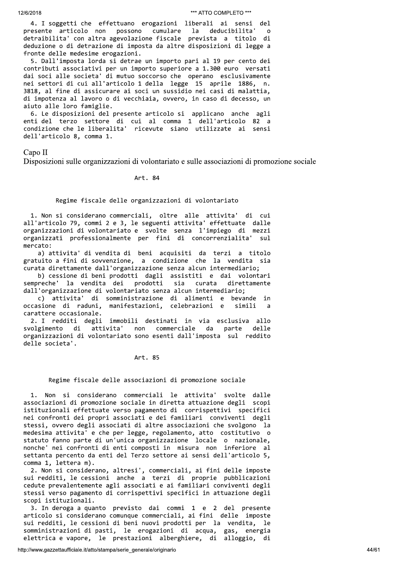4. I soggetti che effettuano erogazioni liberali ai sensi del presente articolo non possono cumulare la deducibilita'  $\Omega$ detraibilita' con altra agevolazione fiscale prevista a titolo di deduzione o di detrazione di imposta da altre disposizioni di legge a fronte delle medesime erogazioni.

5. Dall'imposta lorda si detrae un importo pari al 19 per cento dei contributi associativi per un importo superiore a 1.300 euro versati dai soci alle societa' di mutuo soccorso che operano esclusivamente nei settori di cui all'articolo 1 della legge 15 aprile 1886, n. 3818, al fine di assicurare ai soci un sussidio nei casi di malattia, di impotenza al lavoro o di vecchiaia, ovvero, in caso di decesso, un aiuto alle loro famiglie.

6. Le disposizioni del presente articolo si applicano anche agli enti del terzo settore di cui al comma 1 dell'articolo 82 a condizione che le liberalita' ricevute siano utilizzate ai sensi dell'articolo 8, comma 1.

# Capo II

Disposizioni sulle organizzazioni di volontariato e sulle associazioni di promozione sociale

#### Art. 84

# Regime fiscale delle organizzazioni di volontariato

1. Non si considerano commerciali, oltre alle attivita' di cui all'articolo 79, commi 2 e 3, le seguenti attivita' effettuate dalle organizzazioni di volontariato e svolte senza l'impiego di mezzi organizzati professionalmente per fini di concorrenzialita' sul mercato:

a) attivita' di vendita di beni acquisiti da terzi a titolo gratuito a fini di sovvenzione, a condizione che la vendita sia curata direttamente dall'organizzazione senza alcun intermediario;

b) cessione di beni prodotti dagli assistiti e dai volontari sempreche' la vendita dei prodotti sia curata direttamente dall'organizzazione di volontariato senza alcun intermediario;

attivita' di somministrazione di alimenti e bevande  $\mathcal{L}$ in occasione di raduni, manifestazioni, celebrazioni e simili carattere occasionale.

2. I redditi degli immobili destinati in via esclusiva allo attivita' non commerciale parte svolgimento di da delle organizzazioni di volontariato sono esenti dall'imposta sul reddito delle societa'.

# Art. 85

# Regime fiscale delle associazioni di promozione sociale

1. Non si considerano commerciali le attivita' svolte dalle associazioni di promozione sociale in diretta attuazione degli scopi istituzionali effettuate verso pagamento di corrispettivi specifici nei confronti dei propri associati e dei familiari conviventi degli stessi, ovvero degli associati di altre associazioni che svolgono la medesima attivita' e che per legge, regolamento, atto costitutivo o statuto fanno parte di un'unica organizzazione locale o nazionale, nonche' nei confronti di enti composti in misura non inferiore al settanta percento da enti del Terzo settore ai sensi dell'articolo 5, comma 1, lettera m).

2. Non si considerano, altresi', commerciali, ai fini delle imposte sui redditi, le cessioni anche a terzi di proprie pubblicazioni cedute prevalentemente agli associati e ai familiari conviventi degli stessi verso pagamento di corrispettivi specifici in attuazione degli scopi istituzionali.

3. In deroga a quanto previsto dai commi 1 e 2 del presente articolo si considerano comunque commerciali, ai fini delle imposte sui redditi, le cessioni di beni nuovi prodotti per la vendita, le somministrazioni di pasti, le erogazioni di acqua, gas, energia elettrica e vapore, le prestazioni alberghiere, di alloggio, di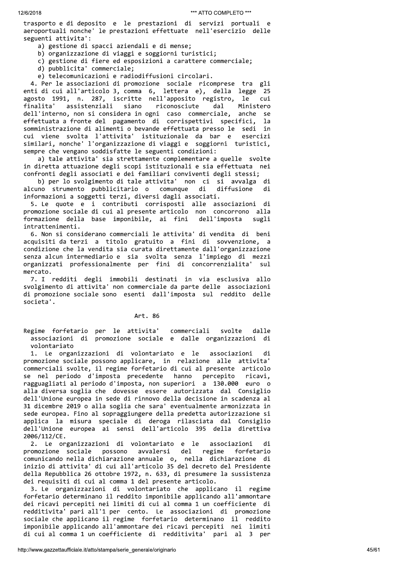trasporto e di deposito e le prestazioni di servizi portuali e aeroportuali nonche' le prestazioni effettuate nell'esercizio delle seguenti attivita':

a) gestione di spacci aziendali e di mense;

- b) organizzazione di viaggi e soggiorni turistici;
- c) gestione di fiere ed esposizioni a carattere commerciale;
- d) pubblicita' commerciale;
- e) telecomunicazioni e radiodiffusioni circolari.

4. Per le associazioni di promozione sociale ricomprese tra gli enti di cui all'articolo 3, comma 6, lettera e), della legge 25 agosto 1991, n. 287, iscritte nell'apposito registro, le cui finalita' assistenziali siano riconosciute Ministero dal dell'interno, non si considera in ogni caso commerciale, anche se effettuata a fronte del pagamento di corrispettivi specifici, la somministrazione di alimenti o bevande effettuata presso le sedi in cui viene svolta l'attivita' istituzionale da bar e esercizi similari, nonche' l'organizzazione di viaggi e soggiorni turistici, sempre che vengano soddisfatte le seguenti condizioni:

a) tale attivita' sia strettamente complementare a quelle svolte in diretta attuazione degli scopi istituzionali e sia effettuata nei confronti degli associati e dei familiari conviventi degli stessi;

b) per lo svolgimento di tale attivita' non ci si avvalga di alcuno strumento pubblicitario o comunque di diffusione di informazioni a soggetti terzi, diversi dagli associati.

5. Le quote e i contributi corrisposti alle associazioni di promozione sociale di cui al presente articolo non concorrono alla formazione della base imponibile, ai fini dell'imposta sugli intrattenimenti.

6. Non si considerano commerciali le attivita' di vendita di beni acquisiti da terzi a titolo gratuito a fini di sovvenzione, a condizione che la vendita sia curata direttamente dall'organizzazione senza alcun intermediario e sia svolta senza l'impiego di mezzi organizzati professionalmente per fini di concorrenzialita' – su l mercato.

7. I redditi degli immobili destinati in via esclusiva allo svolgimento di attivita' non commerciale da parte delle associazioni di promozione sociale sono esenti dall'imposta sul reddito delle societa'.

# Art. 86

Regime forfetario per le attivita' commerciali svolte dalle associazioni di promozione sociale e dalle organizzazioni di volontariato

1. Le organizzazioni di volontariato e le associazioni di promozione sociale possono applicare, in relazione alle attivita' commerciali svolte, il regime forfetario di cui al presente articolo se nel periodo d'imposta precedente hanno percepito ricavi, ragguagliati al periodo d'imposta, non superiori a 130.000 euro o alla diversa soglia che dovesse essere autorizzata dal Consiglio dell'Unione europea in sede di rinnovo della decisione in scadenza al 31 dicembre 2019 o alla soglia che sara' eventualmente armonizzata in sede europea. Fino al sopraggiungere della predetta autorizzazione si applica la misura speciale di deroga rilasciata dal Consiglio dell'Unione europea ai sensi dell'articolo 395 della direttiva 2006/112/CE.

2. Le organizzazioni di volontariato e le associazioni di promozione sociale possono avvalersi del regime forfetario comunicando nella dichiarazione annuale o, nella dichiarazione di inizio di attivita' di cui all'articolo 35 del decreto del Presidente della Repubblica 26 ottobre 1972, n. 633, di presumere la sussistenza dei requisiti di cui al comma 1 del presente articolo.

3. Le organizzazioni di volontariato che applicano il regime forfetario determinano il reddito imponibile applicando all'ammontare dei ricavi percepiti nei limiti di cui al comma 1 un coefficiente di redditivita' pari all'1 per cento. Le associazioni di promozione sociale che applicano il regime forfetario determinano il reddito imponibile applicando all'ammontare dei ricavi percepiti nei limiti di cui al comma 1 un coefficiente di redditivita' pari al 3 per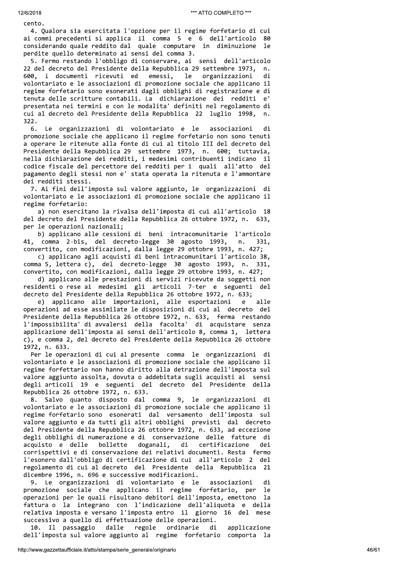cento.

4. Qualora sia esercitata l'opzione per il regime forfetario di cui ai commi precedenti si applica il comma 5 e 6 dell'articolo 80 considerando quale reddito dal quale computare in diminuzione le perdite quello determinato ai sensi del comma 3.

5. Fermo restando l'obbligo di conservare, ai sensi dell'articolo 22 del decreto del Presidente della Repubblica 29 settembre 1973, n. 600, i documenti ricevuti ed emessi, le organizzazioni di volontariato e le associazioni di promozione sociale che applicano il regime forfetario sono esonerati dagli obblighi di registrazione e di tenuta delle scritture contabili. La dichiarazione dei redditi e' presentata nei termini e con le modalita' definiti nel regolamento di cui al decreto del Presidente della Repubblica 22 luglio 1998, n.  $322.$ 

Le organizzazioni di volontariato e le associazioni 6. di promozione sociale che applicano il regime forfetario non sono tenuti a operare le ritenute alla fonte di cui al titolo III del decreto del Presidente della Repubblica 29 settembre 1973, n. 600; tuttavia, nella dichiarazione dei redditi, i medesimi contribuenti indicano il codice fiscale del percettore dei redditi per i quali all'atto del pagamento degli stessi non e' stata operata la ritenuta e l'ammontare dei redditi stessi.

7. Ai fini dell'imposta sul valore aggiunto, le organizzazioni di volontariato e le associazioni di promozione sociale che applicano il regime forfetario:

a) non esercitano la rivalsa dell'imposta di cui all'articolo 18 del decreto del Presidente della Repubblica 26 ottobre 1972, n. 633, per le operazioni nazionali;

b) applicano alle cessioni di beni intracomunitarie l'articolo 41, comma 2-bis, del decreto-legge 30 agosto 1993,  $n.$ 331. convertito, con modificazioni, dalla legge 29 ottobre 1993, n. 427;

c) applicano agli acquisti di beni intracomunitari l'articolo 38, comma 5, lettera c), del decreto-legge 30 agosto 1993, n. 331, convertito, con modificazioni, dalla legge 29 ottobre 1993, n. 427;

d) applicano alle prestazioni di servizi ricevute da soggetti non residenti o rese ai medesimi gli articoli 7-ter e seguenti del decreto del Presidente della Repubblica 26 ottobre 1972, n. 633;

e) applicano alle importazioni, alle esportazioni  $e$ alle operazioni ad esse assimilate le disposizioni di cui al decreto del Presidente della Repubblica 26 ottobre 1972, n. 633, ferma restando l'impossibilita' di avvalersi della facolta' di acquistare senza applicazione dell'imposta ai sensi dell'articolo 8, comma 1, lettera c), e comma 2, del decreto del Presidente della Repubblica 26 ottobre 1972, n. 633.

Per le operazioni di cui al presente comma le organizzazioni di volontariato e le associazioni di promozione sociale che applicano il regime forfettario non hanno diritto alla detrazione dell'imposta sul valore aggiunto assolta, dovuta o addebitata sugli acquisti ai sensi degli articoli 19 e seguenti del decreto del Presidente della Repubblica 26 ottobre 1972, n. 633.

8. Salvo quanto disposto dal comma 9, le organizzazioni di volontariato e le associazioni di promozione sociale che applicano il regime forfetario sono esonerati dal versamento dell'imposta sul valore aggiunto e da tutti gli altri obblighi previsti dal decreto del Presidente della Repubblica 26 ottobre 1972, n. 633, ad eccezione degli obblighi di numerazione e di conservazione delle fatture di acquisto e delle bollette doganali. di certificazione dei corrispettivi e di conservazione dei relativi documenti. Resta fermo l'esonero dall'obbligo di certificazione di cui all'articolo 2 del regolamento di cui al decreto del Presidente della Repubblica 21 dicembre 1996, n. 696 e successive modificazioni.

9. Le organizzazioni di volontariato e le associazioni di promozione sociale che applicano il regime forfetario, per le operazioni per le quali risultano debitori dell'imposta, emettono la fattura o la integrano con l'indicazione dell'aliquota e della relativa imposta e versano l'imposta entro il giorno 16 del mese successivo a quello di effettuazione delle operazioni.

10. Il passaggio dalle regole ordinarie di applicazione dell'imposta sul valore aggiunto al regime forfetario comporta la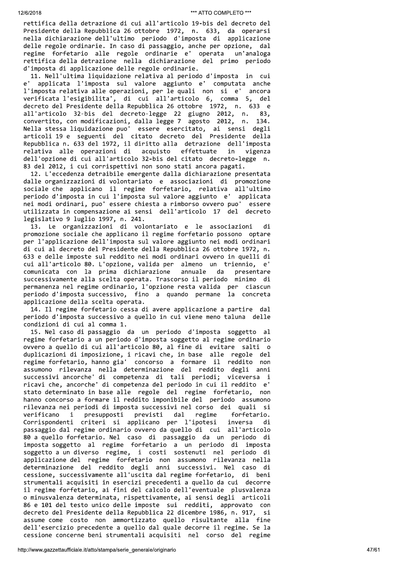rettifica della detrazione di cui all'articolo 19-bis del decreto del Presidente della Repubblica 26 ottobre 1972, n. 633, da operarsi nella dichiarazione dell'ultimo periodo d'imposta di applicazione delle regole ordinarie. In caso di passaggio, anche per opzione, dal regime forfetario alle regole ordinarie e' operata un'analoga rettifica della detrazione nella dichiarazione del primo periodo d'imposta di applicazione delle regole ordinarie.

11. Nell'ultima liquidazione relativa al periodo d'imposta in cui e' applicata l'imposta sul valore aggiunto e' computata anche l'imposta relativa alle operazioni, per le quali non si e' ancora verificata l'esigibilita', di cui all'articolo 6, comma 5, del decreto del Presidente della Repubblica 26 ottobre 1972, n. 633 e all'articolo 32-bis del decreto-legge 22 giugno 2012, n. 83. convertito, con modificazioni, dalla legge 7 agosto 2012, n. 134. Nella stessa liquidazione puo' essere esercitato, ai sensi degli articoli 19 e seguenti del citato decreto del Presidente della Repubblica n. 633 del 1972, il diritto alla detrazione dell'imposta relativa alle operazioni di acquisto effettuate vigenza in dell'opzione di cui all'articolo 32-bis del citato decreto-legge n. 83 del 2012, i cui corrispettivi non sono stati ancora pagati.

12. L'eccedenza detraibile emergente dalla dichiarazione presentata dalle organizzazioni di volontariato e associazioni di promozione sociale che applicano il regime forfetario, relativa all'ultimo periodo d'imposta in cui l'imposta sul valore aggiunto e' applicata nei modi ordinari, puo' essere chiesta a rimborso ovvero puo' essere utilizzata in compensazione ai sensi dell'articolo 17 del decreto legislativo 9 luglio 1997, n. 241.

13. Le organizzazioni di volontariato e le associazioni di promozione sociale che applicano il regime forfetario possono optare per l'applicazione dell'imposta sul valore aggiunto nei modi ordinari di cui al decreto del Presidente della Repubblica 26 ottobre 1972, n. 633 e delle imposte sul reddito nei modi ordinari ovvero in quelli di cui all'articolo 80. L'opzione, valida per almeno un triennio,  $\mathsf{e}$ comunicata con la prima dichiarazione annuale da presentare successivamente alla scelta operata. Trascorso il periodo minimo di permanenza nel regime ordinario, l'opzione resta valida per ciascun periodo d'imposta successivo, fino a quando permane la concreta applicazione della scelta operata.

14. Il regime forfetario cessa di avere applicazione a partire dal periodo d'imposta successivo a quello in cui viene meno taluna delle condizioni di cui al comma 1.

15. Nel caso di passaggio da un periodo d'imposta soggetto al regime forfetario a un periodo d'imposta soggetto al regime ordinario ovvero a quello di cui all'articolo 80, al fine di evitare salti o duplicazioni di imposizione, i ricavi che, in base alle regole del regime forfetario, hanno gia' concorso a formare il reddito non assumono rilevanza nella determinazione del reddito degli anni successivi ancorche' di competenza di tali periodi; viceversa i ricavi che, ancorche' di competenza del periodo in cui il reddito e' stato determinato in base alle regole del regime forfetario, non hanno concorso a formare il reddito imponibile del periodo assumono rilevanza nei periodi di imposta successivi nel corso dei quali si verificano presupposti previsti dal regime  $\mathbf{i}$ forfetario. Corrispondenti criteri si applicano per l'ipotesi inversa di passaggio dal regime ordinario ovvero da quello di cui all'articolo 80 a quello forfetario. Nel caso di passaggio da un periodo di imposta soggetto al regime forfetario a un periodo di imposta soggetto a un diverso regime, i costi sostenuti nel periodo di applicazione del regime forfetario non assumono rilevanza nella determinazione del reddito degli anni successivi. Nel caso di cessione, successivamente all'uscita dal regime forfetario, di beni strumentali acquisiti in esercizi precedenti a quello da cui decorre il regime forfetario, ai fini del calcolo dell'eventuale plusvalenza o minusvalenza determinata, rispettivamente, ai sensi degli articoli 86 e 101 del testo unico delle imposte sui redditi, approvato con decreto del Presidente della Repubblica 22 dicembre 1986, n. 917, si assume come costo non ammortizzato quello risultante alla fine dell'esercizio precedente a quello dal quale decorre il regime. Se la cessione concerne beni strumentali acquisiti nel corso del regime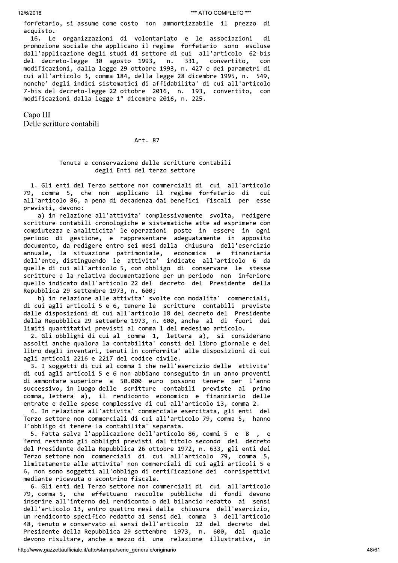forfetario, si assume come costo non ammortizzabile il prezzo di acquisto.

16. Le organizzazioni di volontariato e le associazioni di promozione sociale che applicano il regime forfetario sono escluse dall'applicazione degli studi di settore di cui all'articolo 62-bis del decreto-legge 30 agosto 1993, n. 331, convertito, con modificazioni, dalla legge 29 ottobre 1993, n. 427 e dei parametri di cui all'articolo 3, comma 184, della legge 28 dicembre 1995, n. 549, nonche' degli indici sistematici di affidabilita' di cui all'articolo 7-bis del decreto-legge 22 ottobre 2016, n. 193, convertito, con modificazioni dalla legge 1º dicembre 2016, n. 225.

Capo III

Delle scritture contabili

Art. 87

# Tenuta e conservazione delle scritture contabili degli Enti del terzo settore

1. Gli enti del Terzo settore non commerciali di cui all'articolo 79, comma 5, che non applicano il regime forfetario di cui all'articolo 86, a pena di decadenza dai benefici fiscali per esse previsti, devono:

a) in relazione all'attivita' complessivamente svolta, redigere scritture contabili cronologiche e sistematiche atte ad esprimere con compiutezza e analiticita' le operazioni poste in essere in ogni periodo di gestione, e rappresentare adeguatamente in apposito documento, da redigere entro sei mesi dalla chiusura dell'esercizio annuale, la situazione patrimoniale, economica  $^{\circ}$  e finanziaria dell'ente, distinguendo le attivita' indicate all'articolo 6 da quelle di cui all'articolo 5, con obbligo di conservare le stesse scritture e la relativa documentazione per un periodo non inferiore quello indicato dall'articolo 22 del decreto del Presidente della Repubblica 29 settembre 1973, n. 600;

b) in relazione alle attivita' svolte con modalita' commerciali, di cui agli articoli 5 e 6, tenere le scritture contabili previste dalle disposizioni di cui all'articolo 18 del decreto del Presidente della Repubblica 29 settembre 1973, n. 600, anche al di fuori dei limiti quantitativi previsti al comma 1 del medesimo articolo.

2. Gli obblighi di cui al comma 1, lettera a), si considerano assolti anche qualora la contabilita' consti del libro giornale e del libro degli inventari, tenuti in conformita' alle disposizioni di cui agli articoli 2216 e 2217 del codice civile.

3. I soggetti di cui al comma 1 che nell'esercizio delle attivita' di cui agli articoli 5 e 6 non abbiano conseguito in un anno proventi di ammontare superiore a 50.000 euro possono tenere per l'anno successivo, in luogo delle scritture contabili previste al primo comma, lettera a), il rendiconto economico e finanziario delle entrate e delle spese complessive di cui all'articolo 13, comma 2.

4. In relazione all'attivita' commerciale esercitata, gli enti del Terzo settore non commerciali di cui all'articolo 79, comma 5, hanno l'obbligo di tenere la contabilita' separata.

5. Fatta salva l'applicazione dell'articolo 86, commi 5 e 8, e fermi restando gli obblighi previsti dal titolo secondo del decreto del Presidente della Repubblica 26 ottobre 1972, n. 633, gli enti del Terzo settore non commerciali di cui all'articolo 79, comma 5, limitatamente alle attivita' non commerciali di cui agli articoli 5 e 6, non sono soggetti all'obbligo di certificazione dei corrispettivi mediante ricevuta o scontrino fiscale.

6. Gli enti del Terzo settore non commerciali di cui all'articolo 79, comma 5, che effettuano raccolte pubbliche di fondi devono inserire all'interno del rendiconto o del bilancio redatto ai sensi dell'articolo 13, entro quattro mesi dalla chiusura dell'esercizio, un rendiconto specifico redatto ai sensi del comma 3 dell'articolo 48, tenuto e conservato ai sensi dell'articolo 22 del decreto del Presidente della Repubblica 29 settembre 1973, n. 600, dal quale devono risultare, anche a mezzo di una relazione illustrativa, in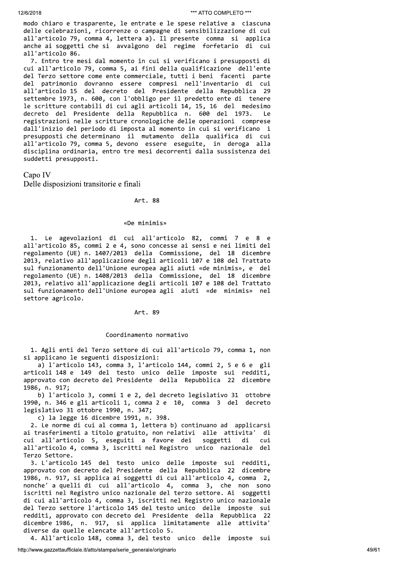modo chiaro e trasparente, le entrate e le spese relative a ciascuna delle celebrazioni, ricorrenze o campagne di sensibilizzazione di cui all'articolo 79, comma 4, lettera a). Il presente comma si applica anche ai soggetti che si avvalgono del regime forfetario di cui all'articolo 86.

7. Entro tre mesi dal momento in cui si verificano i presupposti di cui all'articolo 79, comma 5, ai fini della qualificazione dell'ente del Terzo settore come ente commerciale, tutti i beni facenti parte del patrimonio dovranno essere compresi nell'inventario di cui all'articolo 15 del decreto del Presidente della Repubblica 29 settembre 1973, n. 600, con l'obbligo per il predetto ente di tenere le scritture contabili di cui agli articoli 14, 15, 16 del medesimo decreto del Presidente della Repubblica n. 600 del 1973. Le registrazioni nelle scritture cronologiche delle operazioni comprese dall'inizio del periodo di imposta al momento in cui si verificano i presupposti che determinano il mutamento della qualifica di cui all'articolo 79, comma 5, devono essere eseguite, in deroga alla disciplina ordinaria, entro tre mesi decorrenti dalla sussistenza dei suddetti presupposti.

Capo IV Delle disposizioni transitorie e finali

#### Art. 88

#### «De minimis»

1. Le agevolazioni di cui all'articolo 82, commi 7 e 8 e all'articolo 85, commi 2 e 4, sono concesse ai sensi e nei limiti del regolamento (UE) n. 1407/2013 della Commissione, del 18 dicembre 2013, relativo all'applicazione degli articoli 107 e 108 del Trattato sul funzionamento dell'Unione europea agli aiuti «de minimis», e del regolamento (UE) n. 1408/2013 della Commissione, del 18 dicembre 2013, relativo all'applicazione degli articoli 107 e 108 del Trattato sul funzionamento dell'Unione europea agli aiuti «de minimis» nel settore agricolo.

# Art. 89

#### Coordinamento normativo

1. Agli enti del Terzo settore di cui all'articolo 79, comma 1, non si applicano le seguenti disposizioni:

a) l'articolo 143, comma 3, l'articolo 144, commi 2, 5 e 6 e gli articoli 148 e 149 del testo unico delle imposte sui redditi, approvato con decreto del Presidente della Repubblica 22 dicembre 1986, n. 917;

b) l'articolo 3, commi 1 e 2, del decreto legislativo 31 ottobre 1990, n. 346 e gli articoli 1, comma 2 e 10, comma 3 del decreto legislativo 31 ottobre 1990, n. 347;

c) la legge 16 dicembre 1991, n. 398.

2. Le norme di cui al comma 1, lettera b) continuano ad applicarsi ai trasferimenti a titolo gratuito, non relativi alle attivita' di cui all'articolo 5, eseguiti a favore dei soggetti di cui all'articolo 4, comma 3, iscritti nel Registro unico nazionale del Terzo Settore.

3. L'articolo 145 del testo unico delle imposte sui redditi, approvato con decreto del Presidente della Repubblica 22 dicembre 1986, n. 917, si applica ai soggetti di cui all'articolo 4, comma 2, nonche' a quelli di cui all'articolo 4, comma 3, che non sono iscritti nel Registro unico nazionale del terzo settore. Ai soggetti di cui all'articolo 4, comma 3, iscritti nel Registro unico nazionale del Terzo settore l'articolo 145 del testo unico delle imposte sui redditi, approvato con decreto del Presidente della Repubblica 22 dicembre 1986, n. 917, si applica limitatamente alle attivita' diverse da quelle elencate all'articolo 5.

4. All'articolo 148, comma 3, del testo unico delle imposte sui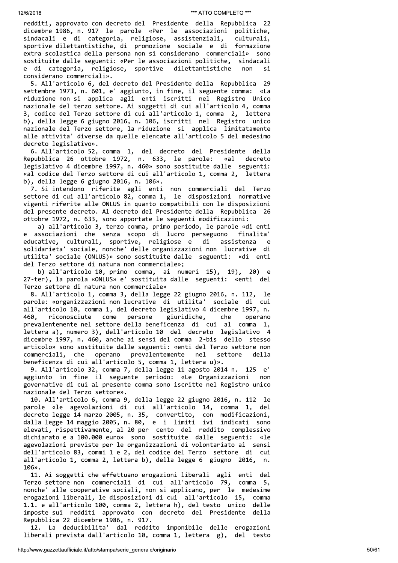redditi, approvato con decreto del Presidente della Repubblica 22 dicembre 1986, n. 917 le parole «Per le associazioni politiche, sindacali e di categoria, religiose, assistenziali, culturali, sportive dilettantistiche, di promozione sociale e di formazione extra-scolastica della persona non si considerano commerciali» sono sostituite dalle seguenti: «Per le associazioni politiche, sindacali e di categoria, religiose, sportive dilettantistiche non ςi considerano commerciali».

5. All'articolo 6, del decreto del Presidente della Repubblica 29 settembre 1973, n. 601, e' aggiunto, in fine, il seguente comma: «La riduzione non si applica agli enti iscritti nel Registro Unico nazionale del terzo settore. Ai soggetti di cui all'articolo 4, comma 3, codice del Terzo settore di cui all'articolo 1, comma 2, lettera b), della legge 6 giugno 2016, n. 106, iscritti nel Registro unico nazionale del Terzo settore, la riduzione si applica limitatamente alle attivita' diverse da quelle elencate all'articolo 5 del medesimo decreto legislativo».

6. All'articolo 52, comma 1, del decreto del Presidente della Repubblica 26 ottobre 1972, n. 633, le parole: «al decreto legislativo 4 dicembre 1997, n. 460» sono sostituite dalle seguenti: «al codice del Terzo settore di cui all'articolo 1, comma 2, lettera b), della legge 6 giugno 2016, n. 106».

7. Si intendono riferite agli enti non commerciali del Terzo settore di cui all'articolo 82, comma 1, le disposizioni normative vigenti riferite alle ONLUS in quanto compatibili con le disposizioni del presente decreto. Al decreto del Presidente della Repubblica 26 ottobre 1972, n. 633, sono apportate le seguenti modificazioni:

a) all'articolo 3, terzo comma, primo periodo, le parole «di enti associazioni che senza scopo di lucro perseguono finalita' educative, culturali, sportive, religiose e di assistenza e e solidarieta' sociale, nonche' delle organizzazioni non lucrative di utilita' sociale (ONLUS)» sono sostituite dalle seguenti: «di enti del Terzo settore di natura non commerciale»;

b) all'articolo 10, primo comma, ai numeri 15), 19), 20) e 27-ter), la parola «ONLUS» e' sostituita dalle seguenti: «enti del Terzo settore di natura non commerciale»

8. All'articolo 1, comma 3, della legge 22 giugno 2016, n. 112, le parole: «organizzazioni non lucrative di utilita' sociale di cui all'articolo 10, comma 1, del decreto legislativo 4 dicembre 1997, n. 460. riconosciute come persone giuridiche, che operano prevalentemente nel settore della beneficenza di cui al comma 1, lettera a), numero 3), dell'articolo 10 del decreto legislativo 4 dicembre 1997, n. 460, anche ai sensi del comma 2-bis dello stesso articolo» sono sostituite dalle seguenti: «enti del Terzo settore non commerciali, che operano prevalentemente nel settore della beneficenza di cui all'articolo 5, comma 1, lettera u)».

9. All'articolo 32, comma 7, della legge 11 agosto 2014 n. 125 e' aggiunto in fine il seguente periodo: «Le Organizzazioni non governative di cui al presente comma sono iscritte nel Registro unico nazionale del Terzo settore».

10. All'articolo 6, comma 9, della legge 22 giugno 2016, n. 112 le parole «le agevolazioni di cui all'articolo 14, comma 1, del decreto-legge 14 marzo 2005, n. 35, convertito, con modificazioni, dalla legge 14 maggio 2005, n. 80, e i limiti ivi indicati sono elevati, rispettivamente, al 20 per cento del reddito complessivo dichiarato e a 100.000 euro» sono sostituite dalle seguenti: «le agevolazioni previste per le organizzazioni di volontariato ai sensi dell'articolo 83, commi 1 e 2, del codice del Terzo settore di cui all'articolo 1, comma 2, lettera b), della legge 6 giugno 2016, n. 106».

11. Ai soggetti che effettuano erogazioni liberali agli enti del Terzo settore non commerciali di cui all'articolo 79, comma 5, nonche' alle cooperative sociali, non si applicano, per le medesime erogazioni liberali, le disposizioni di cui all'articolo 15, comma 1.1. e all'articolo 100, comma 2, lettera h), del testo unico delle imposte sui redditi approvato con decreto del Presidente della Repubblica 22 dicembre 1986, n. 917.

12. La deducibilita' dal reddito imponibile delle erogazioni liberali prevista dall'articolo 10, comma 1, lettera g), del testo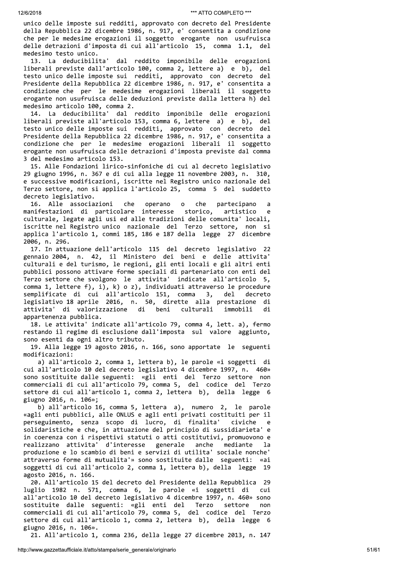unico delle imposte sui redditi, approvato con decreto del Presidente della Repubblica 22 dicembre 1986, n. 917, e' consentita a condizione che per le medesime erogazioni il soggetto erogante non usufruisca delle detrazioni d'imposta di cui all'articolo 15, comma 1.1, del medesimo testo unico.

13. La deducibilita' dal reddito imponibile delle erogazioni liberali previste dall'articolo 100, comma 2, lettere a) e b), del testo unico delle imposte sui redditi, approvato con decreto del Presidente della Repubblica 22 dicembre 1986, n. 917, e' consentita a condizione che per le medesime erogazioni liberali il soggetto erogante non usufruisca delle deduzioni previste dalla lettera h) del medesimo articolo 100, comma 2.

14. La deducibilita' dal reddito imponibile delle erogazioni liberali previste all'articolo 153, comma 6, lettere a) e b), del testo unico delle imposte sui redditi, approvato con decreto del Presidente della Repubblica 22 dicembre 1986, n. 917, e' consentita a condizione che per le medesime erogazioni liberali il soggetto erogante non usufruisca delle detrazioni d'imposta previste dal comma 3 del medesimo articolo 153.

15. Alle Fondazioni lirico-sinfoniche di cui al decreto legislativo 29 giugno 1996, n. 367 e di cui alla legge 11 novembre 2003, n. 310, e successive modificazioni, iscritte nel Registro unico nazionale del Terzo settore, non si applica l'articolo 25, comma 5 del suddetto decreto legislativo.

16. Alle associazioni che operano  $\circ$ che partecipano manifestazioni di particolare interesse storico, artistico  $\epsilon$ culturale, legate agli usi ed alle tradizioni delle comunita' locali, iscritte nel Registro unico nazionale del Terzo settore, non si applica l'articolo 1, commi 185, 186 e 187 della legge 27 dicembre 2006, n. 296.

17. In attuazione dell'articolo 115 del decreto legislativo 22 gennaio 2004, n. 42, il Ministero dei beni e delle attivita' culturali e del turismo, le regioni, gli enti locali e gli altri enti pubblici possono attivare forme speciali di partenariato con enti del Terzo settore che svolgono le attivita' indicate all'articolo 5, comma 1, lettere f), i), k) o z), individuati attraverso le procedure semplificate di cui all'articolo 151, comma del 3, decreto legislativo 18 aprile 2016, n. 50, dirette alla prestazione di attivita' di valorizzazione di beni culturali immobili di appartenenza pubblica.

18. Le attivita' indicate all'articolo 79, comma 4, lett. a), fermo restando il regime di esclusione dall'imposta sul valore aggiunto, sono esenti da ogni altro tributo.

19. Alla legge 19 agosto 2016, n. 166, sono apportate le seguenti modificazioni:

a) all'articolo 2, comma 1, lettera b), le parole «i soggetti di cui all'articolo 10 del decreto legislativo 4 dicembre 1997, n. 460» sono sostituite dalle seguenti: «gli enti del Terzo settore non commerciali di cui all'articolo 79, comma 5, del codice del Terzo settore di cui all'articolo 1, comma 2, lettera b), della legge 6 giugno 2016, n. 106»;

b) all'articolo 16, comma 5, lettera a), numero 2, le parole «agli enti pubblici, alle ONLUS e agli enti privati costituiti per il perseguimento, senza scopo di lucro, di finalita' civiche  $\epsilon$ solidaristiche e che, in attuazione del principio di sussidiarieta' e in coerenza con i rispettivi statuti o atti costitutivi, promuovono e realizzano attivita' d'interesse generale anche mediante 1a produzione e lo scambio di beni e servizi di utilita' sociale nonche' attraverso forme di mutualita'» sono sostituite dalle seguenti: «ai soggetti di cui all'articolo 2, comma 1, lettera b), della legge 19 agosto 2016, n. 166.

20. All'articolo 15 del decreto del Presidente della Repubblica 29 luglio 1982 n. 571, comma 6, le parole «i soggetti di cui all'articolo 10 del decreto legislativo 4 dicembre 1997, n. 460» sono sostituite dalle seguenti: «gli enti del Terzo settore non commerciali di cui all'articolo 79, comma 5, del codice del Terzo settore di cui all'articolo 1, comma 2, lettera b), della legge 6 giugno 2016, n. 106».

21. All'articolo 1, comma 236, della legge 27 dicembre 2013, n. 147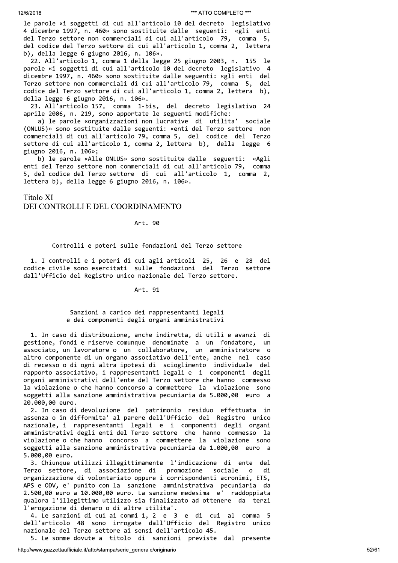le parole «i soggetti di cui all'articolo 10 del decreto legislativo 4 dicembre 1997, n. 460» sono sostituite dalle seguenti: «gli enti del Terzo settore non commerciali di cui all'articolo 79, comma 5, del codice del Terzo settore di cui all'articolo 1, comma 2, lettera b), della legge 6 giugno 2016, n. 106».

22. All'articolo 1, comma 1 della legge 25 giugno 2003, n. 155 le parole «i soggetti di cui all'articolo 10 del decreto legislativo 4 dicembre 1997, n. 460» sono sostituite dalle seguenti: «gli enti del Terzo settore non commerciali di cui all'articolo 79, comma 5, del codice del Terzo settore di cui all'articolo 1, comma 2, lettera b), della legge 6 giugno 2016, n. 106».

23. All'articolo 157, comma 1-bis, del decreto legislativo 24 aprile 2006, n. 219, sono apportate le seguenti modifiche:

a) le parole «organizzazioni non lucrative di utilita' sociale (ONLUS)» sono sostituite dalle seguenti: «enti del Terzo settore non commerciali di cui all'articolo 79, comma 5, del codice del Terzo settore di cui all'articolo 1, comma 2, lettera b), della legge 6 giugno 2016, n. 106»;

b) le parole «Alle ONLUS» sono sostituite dalle seguenti: «Agli enti del Terzo settore non commerciali di cui all'articolo 79, comma 5, del codice del Terzo settore di cui all'articolo 1, comma 2, lettera b), della legge 6 giugno 2016, n. 106».

# Titolo XI DEI CONTROLLI E DEL COORDINAMENTO

# Art. 90

# Controlli e poteri sulle fondazioni del Terzo settore

1. I controlli e i poteri di cui agli articoli 25, 26 e 28 del codice civile sono esercitati sulle fondazioni del Terzo settore dall'Ufficio del Registro unico nazionale del Terzo settore.

# Art. 91

# Sanzioni a carico dei rappresentanti legali e dei componenti degli organi amministrativi

1. In caso di distribuzione, anche indiretta, di utili e avanzi di gestione, fondi e riserve comunque denominate a un fondatore, un associato, un lavoratore o un collaboratore, un amministratore o altro componente di un organo associativo dell'ente, anche nel caso di recesso o di ogni altra ipotesi di scioglimento individuale del rapporto associativo, i rappresentanti legali e i componenti degli organi amministrativi dell'ente del Terzo settore che hanno commesso la violazione o che hanno concorso a commettere la violazione sono soggetti alla sanzione amministrativa pecuniaria da 5.000,00 euro a 20.000,00 euro.

2. In caso di devoluzione del patrimonio residuo effettuata in assenza o in difformita' al parere dell'Ufficio del Registro unico nazionale, i rappresentanti legali e i componenti degli organi amministrativi degli enti del Terzo settore che hanno commesso la violazione o che hanno concorso a commettere la violazione sono soggetti alla sanzione amministrativa pecuniaria da 1.000,00 euro a 5.000,00 euro.

3. Chiunque utilizzi illegittimamente l'indicazione di ente del Terzo settore, di associazione di promozione sociale  $\overline{0}$ di organizzazione di volontariato oppure i corrispondenti acronimi, ETS, APS e ODV, e' punito con la sanzione amministrativa pecuniaria da 2.500,00 euro a 10.000,00 euro. La sanzione medesima e' raddoppiata qualora l'illegittimo utilizzo sia finalizzato ad ottenere da terzi l'erogazione di denaro o di altre utilita'.

4. Le sanzioni di cui ai commi 1, 2 e 3 e di cui al comma 5 dell'articolo 48 sono irrogate dall'Ufficio del Registro unico nazionale del Terzo settore ai sensi dell'articolo 45.

5. Le somme dovute a titolo di sanzioni previste dal presente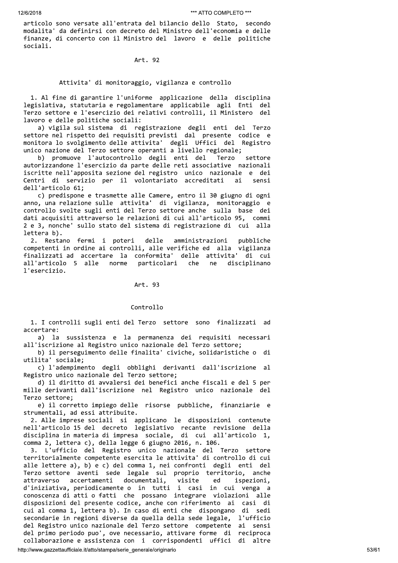articolo sono versate all'entrata del bilancio dello Stato, secondo modalita' da definirsi con decreto del Ministro dell'economia e delle finanze, di concerto con il Ministro del lavoro e delle politiche sociali.

# Art. 92

# Attivita' di monitoraggio, vigilanza e controllo

1. Al fine di garantire l'uniforme applicazione della disciplina legislativa, statutaria e regolamentare applicabile agli Enti del Terzo settore e l'esercizio dei relativi controlli, il Ministero del lavoro e delle politiche sociali:

a) vigila sul sistema di registrazione degli enti del Terzo settore nel rispetto dei requisiti previsti dal presente codice e monitora lo svolgimento delle attivita' degli Uffici del Registro unico nazione del Terzo settore operanti a livello regionale;

b) promuove l'autocontrollo degli enti del Terzo settore autorizzandone l'esercizio da parte delle reti associative nazionali iscritte nell'apposita sezione del registro unico nazionale e dei Centri di servizio per il volontariato accreditati ai sensi dell'articolo 61:

c) predispone e trasmette alle Camere, entro il 30 giugno di ogni anno, una relazione sulle attivita' di vigilanza, monitoraggio e controllo svolte sugli enti del Terzo settore anche sulla base dei dati acquisiti attraverso le relazioni di cui all'articolo 95, commi 2 e 3, nonche' sullo stato del sistema di registrazione di cui alla lettera b).

2. Restano fermi i poteri delle amministrazioni pubbliche competenti in ordine ai controlli, alle verifiche ed alla vigilanza finalizzati ad accertare la conformita' delle attivita' di cui all'articolo 5 alle norme particolari che ne disciplinano l'esercizio.

### Art. 93

#### Controllo

1. I controlli sugli enti del Terzo settore sono finalizzati ad accertare:

a) la sussistenza e la permanenza dei requisiti necessari all'iscrizione al Registro unico nazionale del Terzo settore;

b) il perseguimento delle finalita' civiche, solidaristiche o di utilita' sociale;

c) l'adempimento degli obblighi derivanti dall'iscrizione al Registro unico nazionale del Terzo settore;

d) il diritto di avvalersi dei benefici anche fiscali e del 5 per mille derivanti dall'iscrizione nel Registro unico nazionale del Terzo settore;

e) il corretto impiego delle risorse pubbliche, finanziarie e strumentali, ad essi attribuite.

2. Alle imprese sociali si applicano le disposizioni contenute<br>nell'articolo 15 del decreto legislativo recante revisione della<br>disciplina in materia di impresa sociale, di cui all'articolo 1, comma 2, lettera c), della legge 6 giugno 2016, n. 106.

3. L'ufficio del Registro unico nazionale del Terzo settore<br>territorialmente competente esercita le attivita di controllo di cui alle lettere a), b) e c) del comma 1, nei confronti degli enti del Terzo settore aventi sede legale sul proprio territorio, anche accertamenti documentali. visite ed attraverso ispezioni, d'iniziativa, periodicamente o in tutti i casi in cui venga a conoscenza di atti o fatti che possano integrare violazioni alle disposizioni del presente codice, anche con riferimento ai casi di cui al comma 1, lettera b). In caso di enti che dispongano di sedi secondarie in regioni diverse da quella della sede legale, l'ufficio del Registro unico nazionale del Terzo settore competente ai sensi<br>del primo periodo puo', ove necessario, attivare forme di reciproca collaborazione e assistenza con i corrispondenti uffici di altre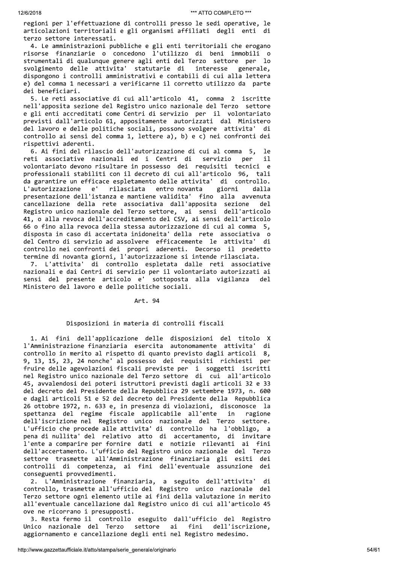regioni per l'effettuazione di controlli presso le sedi operative, le articolazioni territoriali e gli organismi affiliati degli enti di terzo settore interessati.

4. Le amministrazioni pubbliche e gli enti territoriali che erogano risorse finanziarie o concedono l'utilizzo di beni immobili o strumentali di qualunque genere agli enti del Terzo settore per lo svolgimento delle attivita' statutarie di interesse generale, dispongono i controlli amministrativi e contabili di cui alla lettera e) del comma 1 necessari a verificarne il corretto utilizzo da parte dei beneficiari.

5. Le reti associative di cui all'articolo 41, comma 2 iscritte nell'apposita sezione del Registro unico nazionale del Terzo settore e gli enti accreditati come Centri di servizio per il volontariato previsti dall'articolo 61, appositamente autorizzati dal Ministero del lavoro e delle politiche sociali, possono svolgere attivita' di controllo ai sensi del comma 1, lettere a), b) e c) nei confronti dei rispettivi aderenti.

6. Ai fini del rilascio dell'autorizzazione di cui al comma 5, le reti associative nazionali ed i Centri di servizio per  $11$ volontariato devono risultare in possesso dei requisiti tecnici e professionali stabiliti con il decreto di cui all'articolo 96, tali da garantire un efficace espletamento delle attivita' di controllo. entro novanta L'autorizzazione  $\rho'$ rilasciata giorni dalla presentazione dell'istanza e mantiene validita' fino alla avvenuta cancellazione della rete associativa dall'apposita sezione del Registro unico nazionale del Terzo settore, ai sensi dell'articolo 41, o alla revoca dell'accreditamento del CSV, ai sensi dell'articolo 66 o fino alla revoca della stessa autorizzazione di cui al comma 5, disposta in caso di accertata inidoneita' della rete associativa o del Centro di servizio ad assolvere efficacemente le attivita' di controllo nei confronti dei propri aderenti. Decorso il predetto termine di novanta giorni, l'autorizzazione si intende rilasciata.

7. L'attivita' di controllo espletata dalle reti associative nazionali e dai Centri di servizio per il volontariato autorizzati ai sensi del presente articolo e' sottoposta alla vigilanza Ministero del lavoro e delle politiche sociali.

#### Art. 94

# Disposizioni in materia di controlli fiscali

1. Ai fini dell'applicazione delle disposizioni del titolo X l'Amministrazione finanziaria esercita autonomamente attivita' di controllo in merito al rispetto di quanto previsto dagli articoli 8, 9, 13, 15, 23, 24 nonche' al possesso dei requisiti richiesti per fruire delle agevolazioni fiscali previste per i soggetti iscritti nel Registro unico nazionale del Terzo settore di cui all'articolo 45, avvalendosi dei poteri istruttori previsti dagli articoli 32 e 33 del decreto del Presidente della Repubblica 29 settembre 1973, n. 600 e dagli articoli 51 e 52 del decreto del Presidente della Repubblica 26 ottobre 1972, n. 633 e, in presenza di violazioni, disconosce la spettanza del regime fiscale applicabile all'ente in ragione dell'iscrizione nel Registro unico nazionale del Terzo settore. L'ufficio che procede alle attivita' di controllo ha l'obbligo, a pena di nullita' del relativo atto di accertamento, di invitare l'ente a comparire per fornire dati e notizie rilevanti ai fini dell'accertamento. L'ufficio del Registro unico nazionale del Terzo settore trasmette all'Amministrazione finanziaria gli esiti dei controlli di competenza, ai fini dell'eventuale assunzione dei conseguenti provvedimenti.

2. L'Amministrazione finanziaria, a seguito dell'attivita' di controllo, trasmette all'ufficio del Registro unico nazionale del Terzo settore ogni elemento utile ai fini della valutazione in merito all'eventuale cancellazione dal Registro unico di cui all'articolo 45 ove ne ricorrano i presupposti.

3. Resta fermo il controllo eseguito dall'ufficio del Registro Unico nazionale del Terzo settore ai fini dell'iscrizione, aggiornamento e cancellazione degli enti nel Registro medesimo.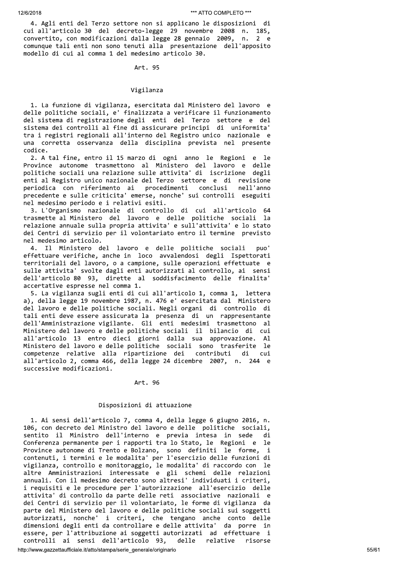4. Agli enti del Terzo settore non si applicano le disposizioni di cui all'articolo 30 del decreto-legge 29 novembre 2008 n. 185, convertito, con modificazioni dalla legge 28 gennaio 2009, n. 2 e comunque tali enti non sono tenuti alla presentazione dell'apposito modello di cui al comma 1 del medesimo articolo 30.

# Art. 95

#### Vigilanza

1. La funzione di vigilanza, esercitata dal Ministero del lavoro e delle politiche sociali, e' finalizzata a verificare il funzionamento del sistema di registrazione degli enti del Terzo settore e del<br>sistema dei controlli al fine di assicurare principi di uniformita' tra i registri regionali all'interno del Registro unico nazionale e una corretta osservanza della disciplina prevista nel presente codice.

2. A tal fine, entro il 15 marzo di ogni anno le Regioni e le Province autonome trasmettono al Ministero del lavoro e delle politiche sociali una relazione sulle attivita' di iscrizione degli enti al Registro unico nazionale del Terzo settore e di revisione periodica con riferimento ai procedimenti conclusi nell'anno precedente e sulle criticita' emerse, nonche' sui controlli eseguiti nel medesimo periodo e i relativi esiti.

3. L'Organismo nazionale di controllo di cui all'articolo 64<br>trasmette al Ministero del lavoro e delle politiche sociali la relazione annuale sulla propria attivita' e sull'attivita' e lo stato dei Centri di servizio per il volontariato entro il termine previsto nel medesimo articolo.

4. Il Ministero del lavoro e delle politiche sociali puo' effettuare verifiche, anche in loco avvalendosi degli Ispettorati territoriali del lavoro, o a campione, sulle operazioni effettuate e sulle attivita' svolte dagli enti autorizzati al controllo, ai sensi dell'articolo 80 93, dirette al soddisfacimento delle finalita' accertative espresse nel comma 1.

5. La vigilanza sugli enti di cui all'articolo 1, comma 1, lettera a), della legge 19 novembre 1987, n. 476 e' esercitata dal Ministero del lavoro e delle politiche sociali. Negli organi di controllo di tali enti deve essere assicurata la presenza di un rappresentante dell'Amministrazione vigilante. Gli enti medesimi trasmettono al Ministero del lavoro e delle politiche sociali il bilancio di cui all'articolo 13 entro dieci giorni dalla sua approvazione. Al Ministero del lavoro e delle politiche sociali sono trasferite le competenze relative alla ripartizione dei contributi di cui all'articolo 2, comma 466, della legge 24 dicembre 2007, n. 244 e successive modificazioni.

#### Art. 96

## Disposizioni di attuazione

1. Ai sensi dell'articolo 7, comma 4, della legge 6 giugno 2016, n. 106, con decreto del Ministro del lavoro e delle politiche sociali, sentito il Ministro dell'interno e previa intesa in sede di Conferenza permanente per i rapporti tra lo Stato, le Regioni e le Province autonome di Trento e Bolzano, sono definiti le forme,  $\mathbf i$ contenuti, i termini e le modalita' per l'esercizio delle funzioni di vigilanza, controllo e monitoraggio, le modalita' di raccordo con le altre Amministrazioni interessate e gli schemi delle relazioni annuali. Con il medesimo decreto sono altresi' individuati i criteri, i requisiti e le procedure per l'autorizzazione all'esercizio delle attivita' di controllo da parte delle reti associative nazionali e<br>dei Centri di servizio per il volontariato, le forme di vigilanza da parte del Ministero del lavoro e delle politiche sociali sui soggetti autorizzati, nonche' i criteri, che tengano anche conto delle dimensioni degli enti da controllare e delle attivita' da porre in essere, per l'attribuzione ai soggetti autorizzati ad effettuare i controlli ai sensi dell'articolo 93, delle relative risorse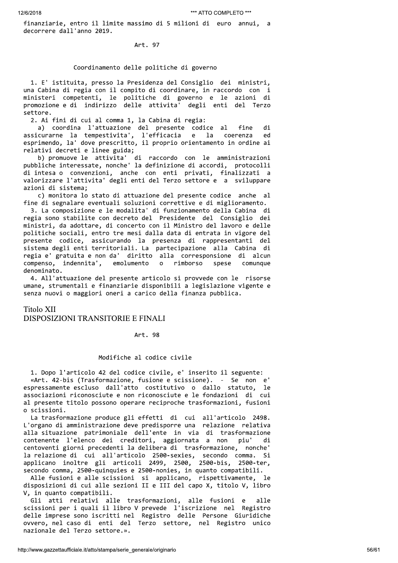finanziarie, entro il limite massimo di 5 milioni di euro annui, a decorrere dall'anno 2019.

Art. 97

# Coordinamento delle politiche di governo

1. E' istituita, presso la Presidenza del Consiglio dei ministri, una Cabina di regia con il compito di coordinare, in raccordo con i ministeri competenti, le politiche di governo e le azioni di promozione e di indirizzo delle attivita' degli enti del Terzo settore.

2. Ai fini di cui al comma 1, la Cabina di regia:

a) coordina l'attuazione del presente codice al fine di assicurarne la tempestivita', l'efficacia e la coerenza ed<br>esprimendo, la' dove prescritto, il proprio orientamento in ordine ai relativi decreti e linee guida;

b) promuove le attivita' di raccordo con le amministrazioni pubbliche interessate, nonche' la definizione di accordi, protocolli di intesa o convenzioni, anche con enti privati, finalizzati a valorizzare l'attivita' degli enti del Terzo settore e a sviluppare azioni di sistema:

c) monitora lo stato di attuazione del presente codice anche al fine di segnalare eventuali soluzioni correttive e di miglioramento.

3. La composizione e le modalita' di funzionamento della Cabina di regia sono stabilite con decreto del Presidente del Consiglio dei ministri, da adottare, di concerto con il Ministro del lavoro e delle politiche sociali, entro tre mesi dalla data di entrata in vigore del presente codice, assicurando la presenza di rappresentanti del sistema degli enti territoriali. La partecipazione alla Cabina di regia e' gratuita e non da' diritto alla corresponsione di alcun compenso, indennita', emolumento rimborso spese  $\circ$ comunque denominato.

4. All'attuazione del presente articolo si provvede con le risorse umane, strumentali e finanziarie disponibili a legislazione vigente e senza nuovi o maggiori oneri a carico della finanza pubblica.

**Titolo XII** 

# DISPOSIZIONI TRANSITORIE E FINALI

Art. 98

# Modifiche al codice civile

1. Dopo l'articolo 42 del codice civile, e' inserito il seguente: «Art. 42-bis (Trasformazione, fusione e scissione). - Se non e' espressamente escluso dall'atto costitutivo o dallo statuto, - le associazioni riconosciute e non riconosciute e le fondazioni di cui al presente titolo possono operare reciproche trasformazioni, fusioni o scissioni.

La trasformazione produce gli effetti di cui all'articolo 2498. L'organo di amministrazione deve predisporre una relazione relativa alla situazione patrimoniale dell'ente in via di trasformazione piu' contenente l'elenco dei creditori, aggiornata a non di centoventi giorni precedenti la delibera di trasformazione, nonche' la relazione di cui all'articolo 2500-sexies, secondo comma. Si applicano inoltre gli articoli 2499, 2500, 2500-bis, 2500-ter, secondo comma, 2500-quinquies e 2500-nonies, in quanto compatibili.

Alle fusioni e alle scissioni si applicano, rispettivamente, le disposizioni di cui alle sezioni II e III del capo X, titolo V, libro V, in quanto compatibili.

Gli atti relativi alle trasformazioni, alle fusioni e alle scissioni per i quali il libro V prevede l'iscrizione nel Registro delle imprese sono iscritti nel Registro delle Persone Giuridiche ovvero, nel caso di enti del Terzo settore, nel Registro unico nazionale del Terzo settore.».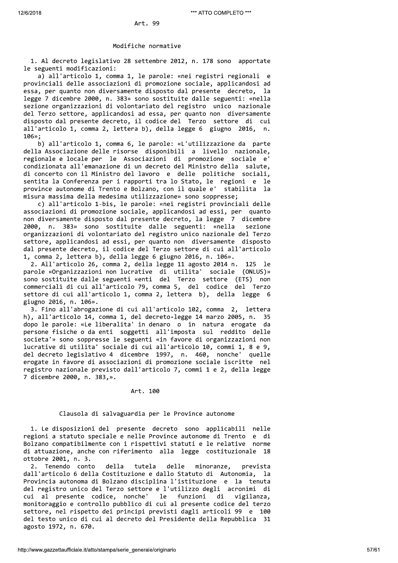# Modifiche normative

1. Al decreto legislativo 28 settembre 2012, n. 178 sono apportate le seguenti modificazioni:

a) all'articolo 1, comma 1, le parole: «nei registri regionali e provinciali delle associazioni di promozione sociale, applicandosi ad essa, per quanto non diversamente disposto dal presente decreto, la legge 7 dicembre 2000, n. 383» sono sostituite dalle seguenti: «nella sezione organizzazioni di volontariato del registro unico nazionale del Terzo settore, applicandosi ad essa, per quanto non diversamente disposto dal presente decreto, il codice del Terzo settore di cui all'articolo 1, comma 2, lettera b), della legge 6 giugno 2016, n.  $106$ »:

b) all'articolo 1, comma 6, le parole: «L'utilizzazione da parte della Associazione delle risorse disponibili a livello nazionale, regionale e locale per le Associazioni di promozione sociale e' condizionata all'emanazione di un decreto del Ministro della salute, di concerto con il Ministro del lavoro e delle politiche sociali, sentita la Conferenza per i rapporti tra lo Stato, le regioni e le province autonome di Trento e Bolzano, con il quale e' stabilita la misura massima della medesima utilizzazione» sono soppresse;

c) all'articolo 1-bis, le parole: «nei registri provinciali delle associazioni di promozione sociale, applicandosi ad essi, per quanto non diversamente disposto dal presente decreto, la legge 7 dicembre 2000, n. 383» sono sostituite dalle seguenti: «nella sezione organizzazioni di volontariato del registro unico nazionale del Terzo settore, applicandosi ad essi, per quanto non diversamente disposto dal presente decreto, il codice del Terzo settore di cui all'articolo 1, comma 2, lettera b), della legge 6 giugno 2016, n. 106».

2. All'articolo 26, comma 2, della legge 11 agosto 2014 n. 125 le parole «Organizzazioni non lucrative di utilita' sociale (ONLUS)» sono sostituite dalle seguenti «enti del Terzo settore (ETS) non commerciali di cui all'articolo 79, comma 5, del codice del Terzo settore di cui all'articolo 1, comma 2, lettera b), della legge 6 giugno 2016, n. 106».

3. Fino all'abrogazione di cui all'articolo 102, comma 2, lettera h), all'articolo 14, comma 1, del decreto-legge 14 marzo 2005, n. 35 dopo le parole: «Le liberalita' in denaro o in natura erogate da persone fisiche o da enti soggetti all'imposta sul reddito delle societa'» sono soppresse le seguenti «in favore di organizzazioni non lucrative di utilita' sociale di cui all'articolo 10, commi 1, 8 e 9, del decreto legislativo 4 dicembre 1997, n. 460, nonche' quelle erogate in favore di associazioni di promozione sociale iscritte nel registro nazionale previsto dall'articolo 7, commi 1 e 2, della legge 7 dicembre 2000, n. 383, ».

#### Art. 100

# Clausola di salvaguardia per le Province autonome

1. Le disposizioni del presente decreto sono applicabili nelle regioni a statuto speciale e nelle Province autonome di Trento e di Bolzano compatibilmente con i rispettivi statuti e le relative norme di attuazione, anche con riferimento alla legge costituzionale 18 ottobre 2001, n. 3.

2. Tenendo conto della tutela delle minoranze, prevista dall'articolo 6 della Costituzione e dallo Statuto di Autonomia, la Provincia autonoma di Bolzano disciplina l'istituzione e la tenuta del registro unico del Terzo settore e l'utilizzo degli acronimi di cui al presente codice, nonche' funzioni vigilanza, le di monitoraggio e controllo pubblico di cui al presente codice del terzo settore, nel rispetto dei principi previsti dagli articoli 99 e 100 del testo unico di cui al decreto del Presidente della Repubblica 31 agosto 1972, n. 670.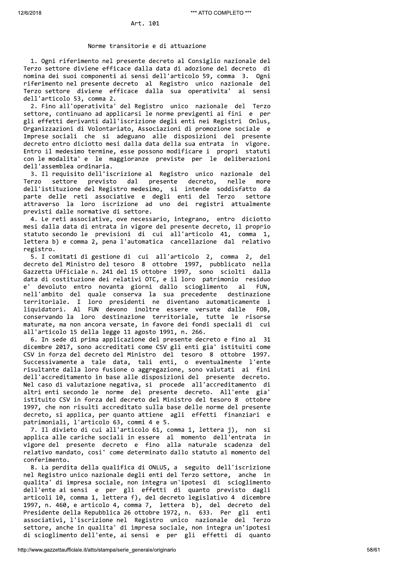### Norme transitorie e di attuazione

1. Ogni riferimento nel presente decreto al Consiglio nazionale del Terzo settore diviene efficace dalla data di adozione del decreto di nomina dei suoi componenti ai sensi dell'articolo 59, comma 3. Ogni riferimento nel presente decreto al Registro unico nazionale del Terzo settore diviene efficace dalla sua operativita' ai sensi dell'articolo 53, comma 2.

2. Fino all'operativita' del Registro unico nazionale del Terzo settore, continuano ad applicarsi le norme previgenti ai fini e per gli effetti derivanti dall'iscrizione degli enti nei Registri Onlus, Organizzazioni di Volontariato, Associazioni di promozione sociale e Imprese sociali che si adeguano alle disposizioni del presente decreto entro diciotto mesi dalla data della sua entrata in vigore. Entro il medesimo termine, esse possono modificare i propri statuti con le modalita' e le maggioranze previste per le deliberazioni dell'assemblea ordinaria.

3. Il requisito dell'iscrizione al Registro unico nazionale del presente Terzo settore previsto dal decreto, nelle more dell'istituzione del Registro medesimo, si intende soddisfatto da parte delle reti associative e degli enti del Terzo settore attraverso la loro iscrizione ad uno dei registri attualmente previsti dalle normative di settore.

4. Le reti associative, ove necessario, integrano, entro diciotto mesi dalla data di entrata in vigore del presente decreto, il proprio statuto secondo le previsioni di cui all'articolo 41, comma 1, lettera b) e comma 2, pena l'automatica cancellazione dal relativo registro.

5. I comitati di gestione di cui all'articolo 2, comma 2, del decreto del Ministro del tesoro 8 ottobre 1997, pubblicato nella Gazzetta Ufficiale n. 241 del 15 ottobre 1997, sono sciolti dalla data di costituzione dei relativi OTC, e il loro patrimonio residuo devoluto entro novanta giorni dallo scioglimento  $a1$  $\mathsf{P}$ FUN. nell'ambito del quale conserva la sua precedente destinazione territoriale. I loro presidenti ne diventano automaticamente i liquidatori. Al FUN devono inoltre essere versate dalle FOB. conservando la loro destinazione territoriale, tutte le risorse maturate, ma non ancora versate, in favore dei fondi speciali di cui all'articolo 15 della legge 11 agosto 1991, n. 266.

6. In sede di prima applicazione del presente decreto e fino al 31 dicembre 2017, sono accreditati come CSV gli enti gia' istituiti come CSV in forza del decreto del Ministro del tesoro 8 ottobre 1997. Successivamente a tale data, tali enti, o eventualmente l'ente risultante dalla loro fusione o aggregazione, sono valutati ai fini dell'accreditamento in base alle disposizioni del presente decreto. Nel caso di valutazione negativa, si procede all'accreditamento di altri enti secondo le norme del presente decreto. All'ente gia' istituito CSV in forza del decreto del Ministro del tesoro 8 ottobre 1997, che non risulti accreditato sulla base delle norme del presente decreto, si applica, per quanto attiene agli effetti finanziari e patrimoniali, l'articolo 63, commi 4 e 5.

7. Il divieto di cui all'articolo 61, comma 1, lettera j), non si applica alle cariche sociali in essere al momento dell'entrata in vigore del presente decreto e fino alla naturale scadenza del relativo mandato, cosi' come determinato dallo statuto al momento del conferimento.

8. La perdita della qualifica di ONLUS, a seguito dell'iscrizione nel Registro unico nazionale degli enti del Terzo settore, anche in qualita' di impresa sociale, non integra un'ipotesi di scioglimento dell'ente ai sensi e per gli effetti di quanto previsto dagli articoli 10, comma 1, lettera f), del decreto legislativo 4 dicembre 1997, n. 460, e articolo 4, comma 7, lettera b), del decreto del Presidente della Repubblica 26 ottobre 1972, n. 633. Per gli enti associativi, l'iscrizione nel Registro unico nazionale del Terzo settore, anche in qualita' di impresa sociale, non integra un'ipotesi di scioglimento dell'ente, ai sensi e per gli effetti di quanto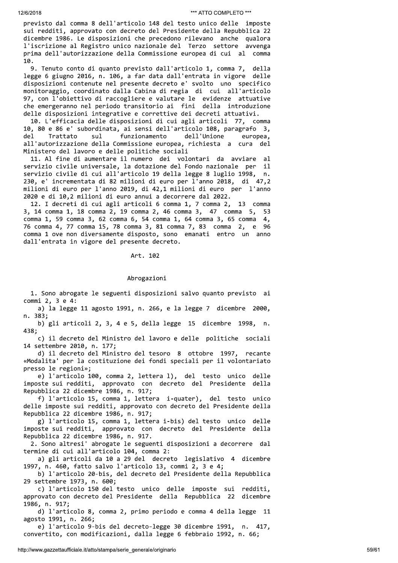previsto dal comma 8 dell'articolo 148 del testo unico delle imposte sui redditi, approvato con decreto del Presidente della Repubblica 22 dicembre 1986. Le disposizioni che precedono rilevano anche qualora l'iscrizione al Registro unico nazionale del Terzo settore avvenga prima dell'autorizzazione della Commissione europea di cui al comma  $10.$ 

9. Tenuto conto di quanto previsto dall'articolo 1, comma 7, della legge 6 giugno 2016, n. 106, a far data dall'entrata in vigore delle disposizioni contenute nel presente decreto e' svolto uno specifico monitoraggio, coordinato dalla Cabina di regia di cui all'articolo 97, con l'obiettivo di raccogliere e valutare le evidenze attuative che emergeranno nel periodo transitorio ai fini della introduzione delle disposizioni integrative e correttive dei decreti attuativi.

10. L'efficacia delle disposizioni di cui agli articoli 77, comma 10, 80 e 86 e' subordinata, ai sensi dell'articolo 108, paragrafo 3, del Trattato sul funzionamento dell'Unione europea, all'autorizzazione della Commissione europea, richiesta a cura del Ministero del lavoro e delle politiche sociali

11. Al fine di aumentare il numero dei volontari da avviare al servizio civile universale, la dotazione del Fondo nazionale per il servizio civile di cui all'articolo 19 della legge 8 luglio 1998, n. 230, e' incrementata di 82 milioni di euro per l'anno 2018, di 47,2 milioni di euro per l'anno 2019, di 42,1 milioni di euro per l'anno 2020 e di 10,2 milioni di euro annui a decorrere dal 2022.

12. I decreti di cui agli articoli 6 comma 1, 7 comma 2, 13 comma 3, 14 comma 1, 18 comma 2, 19 comma 2, 46 comma 3, 47 comma 5, 53 comma 1, 59 comma 3, 62 comma 6, 54 comma 1, 64 comma 3, 65 comma 4, 76 comma 4, 77 comma 15, 78 comma 3, 81 comma 7, 83 comma 2, e 96 comma 1 ove non diversamente disposto, sono emanati entro un anno dall'entrata in vigore del presente decreto.

Art. 102

## Abrogazioni

1. Sono abrogate le seguenti disposizioni salvo quanto previsto ai commi 2, 3 e 4:

a) la legge 11 agosto 1991, n. 266, e la legge 7 dicembre 2000, n. 383;

b) gli articoli 2, 3, 4 e 5, della legge 15 dicembre 1998, n. 438;

c) il decreto del Ministro del lavoro e delle politiche sociali 14 settembre 2010, n. 177;

d) il decreto del Ministro del tesoro 8 ottobre 1997, recante «Modalita' per la costituzione dei fondi speciali per il volontariato presso le regioni»;

e) l'articolo 100, comma 2, lettera 1), del testo unico delle imposte sui redditi, approvato con decreto del Presidente della Repubblica 22 dicembre 1986, n. 917;

f) l'articolo 15, comma 1, lettera i-quater), del testo unico delle imposte sui redditi, approvato con decreto del Presidente della Repubblica 22 dicembre 1986, n. 917;

g) l'articolo 15, comma 1, lettera i-bis) del testo unico delle imposte sui redditi, approvato con decreto del Presidente della Repubblica 22 dicembre 1986, n. 917.

2. Sono altresi' abrogate le seguenti disposizioni a decorrere dal termine di cui all'articolo 104, comma 2:

a) gli articoli da 10 a 29 del decreto legislativo 4 dicembre 1997, n. 460, fatto salvo l'articolo 13, commi 2, 3 e 4;

b) l'articolo 20-bis, del decreto del Presidente della Repubblica 29 settembre 1973, n. 600;

c) l'articolo 150 del testo unico delle imposte sui redditi, approvato con decreto del Presidente della Repubblica 22 dicembre 1986, n. 917;

d) l'articolo 8, comma 2, primo periodo e comma 4 della legge 11 agosto 1991, n. 266;

e) l'articolo 9-bis del decreto-legge 30 dicembre 1991, n. 417, convertito, con modificazioni, dalla legge 6 febbraio 1992, n. 66;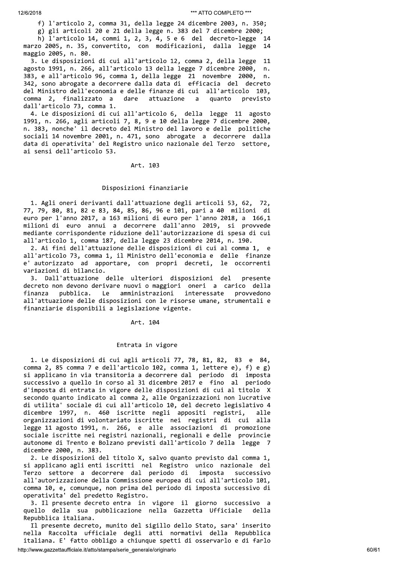f) l'articolo 2, comma 31, della legge 24 dicembre 2003, n. 350;

g) gli articoli 20 e 21 della legge n. 383 del 7 dicembre 2000; h) l'articolo 14, commi 1, 2, 3, 4, 5 e 6 del decreto-legge 14 marzo 2005, n. 35, convertito, con modificazioni, dalla legge 14 maggio 2005, n. 80.

3. Le disposizioni di cui all'articolo 12, comma 2, della legge 11 agosto 1991, n. 266, all'articolo 13 della legge 7 dicembre 2000, n. 383, e all'articolo 96, comma 1, della legge 21 novembre 2000, n. 342, sono abrogate a decorrere dalla data di efficacia del decreto del Ministro dell'economia e delle finanze di cui all'articolo 103, comma 2, finalizzato a dare attuazione a quanto previsto dall'articolo 73, comma 1.

4. Le disposizioni di cui all'articolo 6, della legge 11 agosto 1991, n. 266, agli articoli 7, 8, 9 e 10 della legge 7 dicembre 2000, n. 383, nonche' il decreto del Ministro del lavoro e delle politiche sociali 14 novembre 2001, n. 471, sono abrogate a decorrere dalla data di operativita' del Registro unico nazionale del Terzo settore, ai sensi dell'articolo 53.

# Art. 103

### Disposizioni finanziarie

1. Agli oneri derivanti dall'attuazione degli articoli 53, 62, 72, 77, 79, 80, 81, 82 e 83, 84, 85, 86, 96 e 101, pari a 40 milioni di euro per l'anno 2017, a 163 milioni di euro per l'anno 2018, a 166,1 milioni di euro annui a decorrere dall'anno 2019, si provvede mediante corrispondente riduzione dell'autorizzazione di spesa di cui all'articolo 1, comma 187, della legge 23 dicembre 2014, n. 190.

2. Ai fini dell'attuazione delle disposizioni di cui al comma 1, e e all'articolo 73, comma 1, il Ministro dell'economia e delle finanze e' autorizzato ad apportare, con propri decreti, le occorrenti variazioni di bilancio.

3. Dall'attuazione delle ulteriori disposizioni del presente decreto non devono derivare nuovi o maggiori oneri a carico della amministrazioni interessate provvedono finanza pubblica. Le all'attuazione delle disposizioni con le risorse umane, strumentali e finanziarie disponibili a legislazione vigente.

#### Art. 104

#### Entrata in vigore

1. Le disposizioni di cui agli articoli 77, 78, 81, 82, 83 e 84, comma 2, 85 comma 7 e dell'articolo 102, comma 1, lettere e), f) e g) si applicano in via transitoria a decorrere dal periodo di imposta successivo a quello in corso al 31 dicembre 2017 e fino al periodo d'imposta di entrata in vigore delle disposizioni di cui al titolo X secondo quanto indicato al comma 2, alle Organizzazioni non lucrative di utilita' sociale di cui all'articolo 10, del decreto legislativo 4 dicembre 1997, n. 460 iscritte negli appositi registri, alle organizzazioni di volontariato iscritte nei registri di cui alla legge 11 agosto 1991, n. 266, e alle associazioni di promozione sociale iscritte nei registri nazionali, regionali e delle provincie autonome di Trento e Bolzano previsti dall'articolo 7 della legge 7 dicembre 2000, n. 383.

2. Le disposizioni del titolo X, salvo quanto previsto dal comma 1, si applicano agli enti iscritti nel Registro unico nazionale del Terzo settore a decorrere dal periodo di imposta successivo all'autorizzazione della Commissione europea di cui all'articolo 101, comma 10, e, comunque, non prima del periodo di imposta successivo di operativita' del predetto Registro.

3. Il presente decreto entra in vigore il giorno successivo a quello della sua pubblicazione nella Gazzetta Ufficiale della Repubblica italiana.

Il presente decreto, munito del sigillo dello Stato, sara' inserito nella Raccolta ufficiale degli atti normativi della Repubblica italiana. E' fatto obbligo a chiunque spetti di osservarlo e di farlo